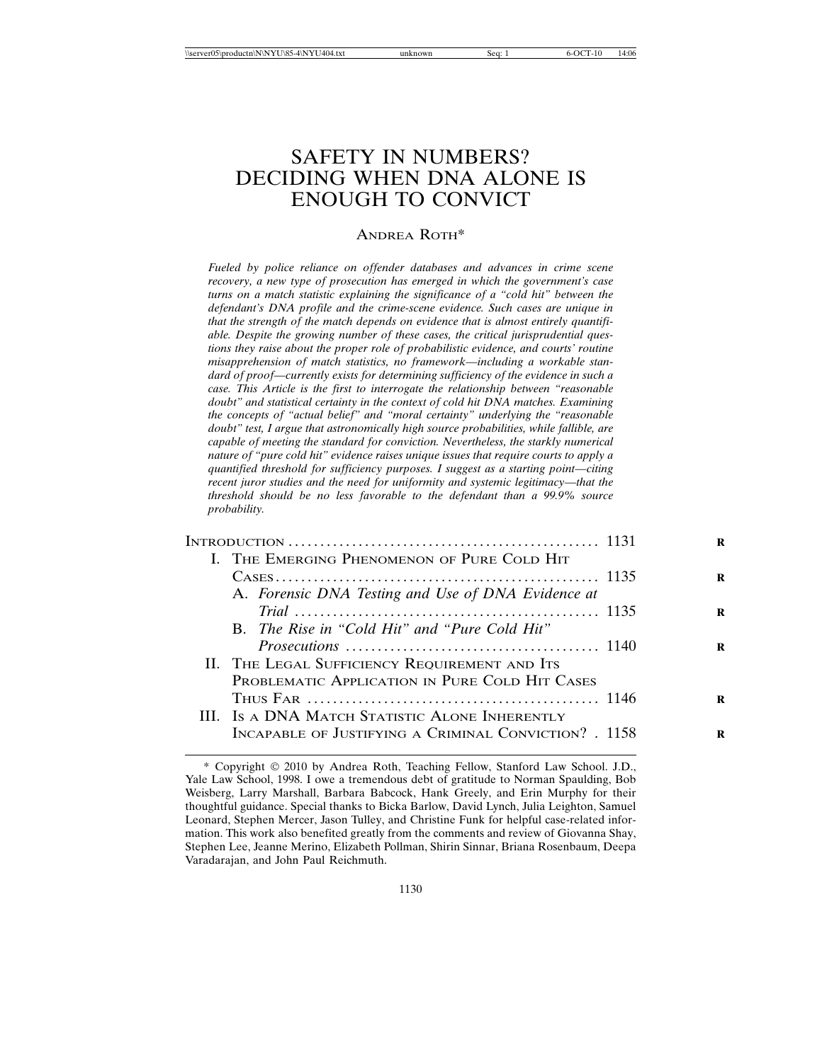# SAFETY IN NUMBERS? DECIDING WHEN DNA ALONE IS ENOUGH TO CONVICT

### ANDREA ROTH\*

*Fueled by police reliance on offender databases and advances in crime scene recovery, a new type of prosecution has emerged in which the government's case turns on a match statistic explaining the significance of a "cold hit" between the defendant's DNA profile and the crime-scene evidence. Such cases are unique in that the strength of the match depends on evidence that is almost entirely quantifiable. Despite the growing number of these cases, the critical jurisprudential questions they raise about the proper role of probabilistic evidence, and courts' routine misapprehension of match statistics, no framework—including a workable standard of proof—currently exists for determining sufficiency of the evidence in such a case. This Article is the first to interrogate the relationship between "reasonable doubt" and statistical certainty in the context of cold hit DNA matches. Examining the concepts of "actual belief" and "moral certainty" underlying the "reasonable doubt" test, I argue that astronomically high source probabilities, while fallible, are capable of meeting the standard for conviction. Nevertheless, the starkly numerical nature of "pure cold hit" evidence raises unique issues that require courts to apply a quantified threshold for sufficiency purposes. I suggest as a starting point—citing recent juror studies and the need for uniformity and systemic legitimacy—that the threshold should be no less favorable to the defendant than a 99.9% source probability.*

| I. THE EMERGING PHENOMENON OF PURE COLD HIT           |  |
|-------------------------------------------------------|--|
|                                                       |  |
| A. Forensic DNA Testing and Use of DNA Evidence at    |  |
|                                                       |  |
| B. The Rise in "Cold Hit" and "Pure Cold Hit"         |  |
|                                                       |  |
| II. THE LEGAL SUFFICIENCY REQUIREMENT AND ITS         |  |
| PROBLEMATIC APPLICATION IN PURE COLD HIT CASES        |  |
|                                                       |  |
| III. Is a DNA MATCH STATISTIC ALONE INHERENTLY        |  |
| INCAPABLE OF JUSTIFYING A CRIMINAL CONVICTION? . 1158 |  |

<sup>\*</sup> Copyright 2010 by Andrea Roth, Teaching Fellow, Stanford Law School. J.D., Yale Law School, 1998. I owe a tremendous debt of gratitude to Norman Spaulding, Bob Weisberg, Larry Marshall, Barbara Babcock, Hank Greely, and Erin Murphy for their thoughtful guidance. Special thanks to Bicka Barlow, David Lynch, Julia Leighton, Samuel Leonard, Stephen Mercer, Jason Tulley, and Christine Funk for helpful case-related information. This work also benefited greatly from the comments and review of Giovanna Shay, Stephen Lee, Jeanne Merino, Elizabeth Pollman, Shirin Sinnar, Briana Rosenbaum, Deepa Varadarajan, and John Paul Reichmuth.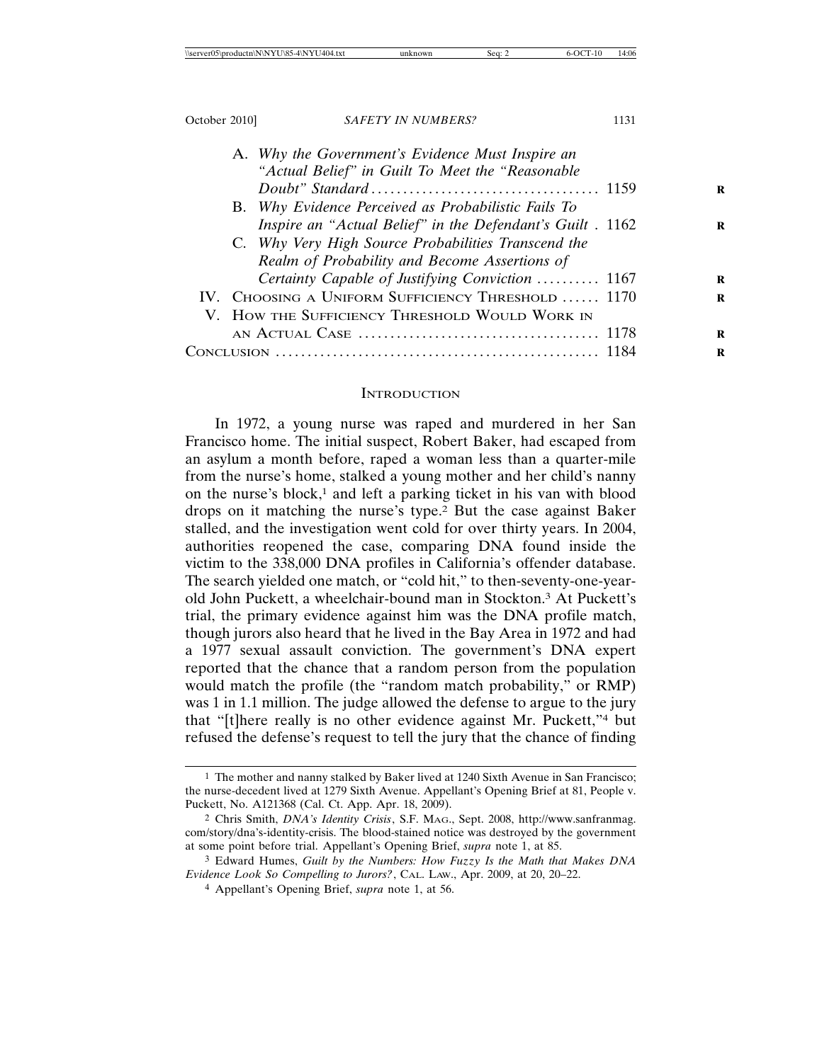| A. Why the Government's Evidence Must Inspire an          |  |
|-----------------------------------------------------------|--|
| "Actual Belief" in Guilt To Meet the "Reasonable"         |  |
|                                                           |  |
| B. Why Evidence Perceived as Probabilistic Fails To       |  |
| Inspire an "Actual Belief" in the Defendant's Guilt. 1162 |  |
| C. Why Very High Source Probabilities Transcend the       |  |
| Realm of Probability and Become Assertions of             |  |
| Certainty Capable of Justifying Conviction  1167          |  |
| IV. CHOOSING A UNIFORM SUFFICIENCY THRESHOLD  1170        |  |
| V. HOW THE SUFFICIENCY THRESHOLD WOULD WORK IN            |  |
|                                                           |  |
| (`on                                                      |  |
|                                                           |  |

#### **INTRODUCTION**

In 1972, a young nurse was raped and murdered in her San Francisco home. The initial suspect, Robert Baker, had escaped from an asylum a month before, raped a woman less than a quarter-mile from the nurse's home, stalked a young mother and her child's nanny on the nurse's block, $1$  and left a parking ticket in his van with blood drops on it matching the nurse's type.2 But the case against Baker stalled, and the investigation went cold for over thirty years. In 2004, authorities reopened the case, comparing DNA found inside the victim to the 338,000 DNA profiles in California's offender database. The search yielded one match, or "cold hit," to then-seventy-one-yearold John Puckett, a wheelchair-bound man in Stockton.3 At Puckett's trial, the primary evidence against him was the DNA profile match, though jurors also heard that he lived in the Bay Area in 1972 and had a 1977 sexual assault conviction. The government's DNA expert reported that the chance that a random person from the population would match the profile (the "random match probability," or RMP) was 1 in 1.1 million. The judge allowed the defense to argue to the jury that "[t]here really is no other evidence against Mr. Puckett,"4 but refused the defense's request to tell the jury that the chance of finding

<sup>1</sup> The mother and nanny stalked by Baker lived at 1240 Sixth Avenue in San Francisco; the nurse-decedent lived at 1279 Sixth Avenue. Appellant's Opening Brief at 81, People v. Puckett, No. A121368 (Cal. Ct. App. Apr. 18, 2009).

<sup>2</sup> Chris Smith, *DNA's Identity Crisis*, S.F. MAG., Sept. 2008, http://www.sanfranmag. com/story/dna's-identity-crisis. The blood-stained notice was destroyed by the government at some point before trial. Appellant's Opening Brief, *supra* note 1, at 85.

<sup>3</sup> Edward Humes, *Guilt by the Numbers: How Fuzzy Is the Math that Makes DNA Evidence Look So Compelling to Jurors?*, CAL. LAW., Apr. 2009, at 20, 20–22.

<sup>4</sup> Appellant's Opening Brief, *supra* note 1, at 56.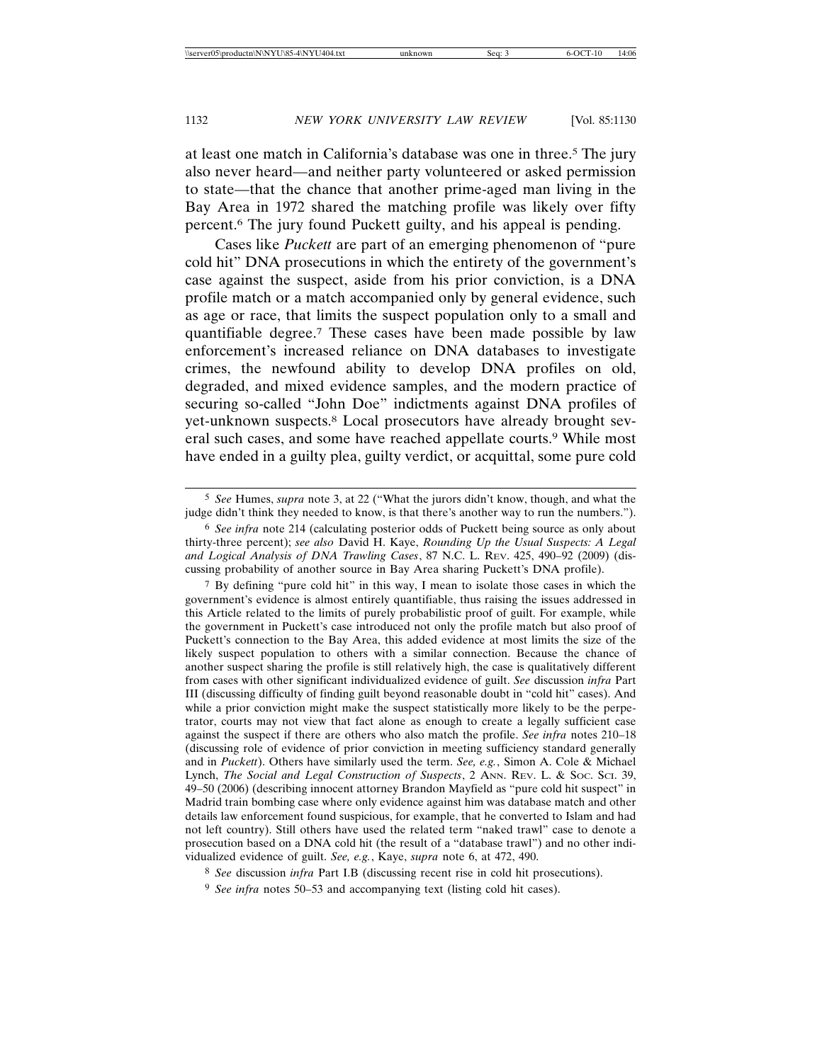at least one match in California's database was one in three.5 The jury also never heard—and neither party volunteered or asked permission to state—that the chance that another prime-aged man living in the Bay Area in 1972 shared the matching profile was likely over fifty percent.6 The jury found Puckett guilty, and his appeal is pending.

Cases like *Puckett* are part of an emerging phenomenon of "pure cold hit" DNA prosecutions in which the entirety of the government's case against the suspect, aside from his prior conviction, is a DNA profile match or a match accompanied only by general evidence, such as age or race, that limits the suspect population only to a small and quantifiable degree.7 These cases have been made possible by law enforcement's increased reliance on DNA databases to investigate crimes, the newfound ability to develop DNA profiles on old, degraded, and mixed evidence samples, and the modern practice of securing so-called "John Doe" indictments against DNA profiles of yet-unknown suspects.8 Local prosecutors have already brought several such cases, and some have reached appellate courts.9 While most have ended in a guilty plea, guilty verdict, or acquittal, some pure cold

7 By defining "pure cold hit" in this way, I mean to isolate those cases in which the government's evidence is almost entirely quantifiable, thus raising the issues addressed in this Article related to the limits of purely probabilistic proof of guilt. For example, while the government in Puckett's case introduced not only the profile match but also proof of Puckett's connection to the Bay Area, this added evidence at most limits the size of the likely suspect population to others with a similar connection. Because the chance of another suspect sharing the profile is still relatively high, the case is qualitatively different from cases with other significant individualized evidence of guilt. *See* discussion *infra* Part III (discussing difficulty of finding guilt beyond reasonable doubt in "cold hit" cases). And while a prior conviction might make the suspect statistically more likely to be the perpetrator, courts may not view that fact alone as enough to create a legally sufficient case against the suspect if there are others who also match the profile. *See infra* notes 210–18 (discussing role of evidence of prior conviction in meeting sufficiency standard generally and in *Puckett*). Others have similarly used the term. *See, e.g.*, Simon A. Cole & Michael Lynch, *The Social and Legal Construction of Suspects*, 2 ANN. REV. L. & SOC. SCI. 39, 49–50 (2006) (describing innocent attorney Brandon Mayfield as "pure cold hit suspect" in Madrid train bombing case where only evidence against him was database match and other details law enforcement found suspicious, for example, that he converted to Islam and had not left country). Still others have used the related term "naked trawl" case to denote a prosecution based on a DNA cold hit (the result of a "database trawl") and no other individualized evidence of guilt. *See, e.g.*, Kaye, *supra* note 6, at 472, 490.

<sup>5</sup> *See* Humes, *supra* note 3, at 22 ("What the jurors didn't know, though, and what the judge didn't think they needed to know, is that there's another way to run the numbers.").

<sup>6</sup> *See infra* note 214 (calculating posterior odds of Puckett being source as only about thirty-three percent); *see also* David H. Kaye, *Rounding Up the Usual Suspects: A Legal and Logical Analysis of DNA Trawling Cases*, 87 N.C. L. REV. 425, 490–92 (2009) (discussing probability of another source in Bay Area sharing Puckett's DNA profile).

<sup>8</sup> *See* discussion *infra* Part I.B (discussing recent rise in cold hit prosecutions).

<sup>9</sup> *See infra* notes 50–53 and accompanying text (listing cold hit cases).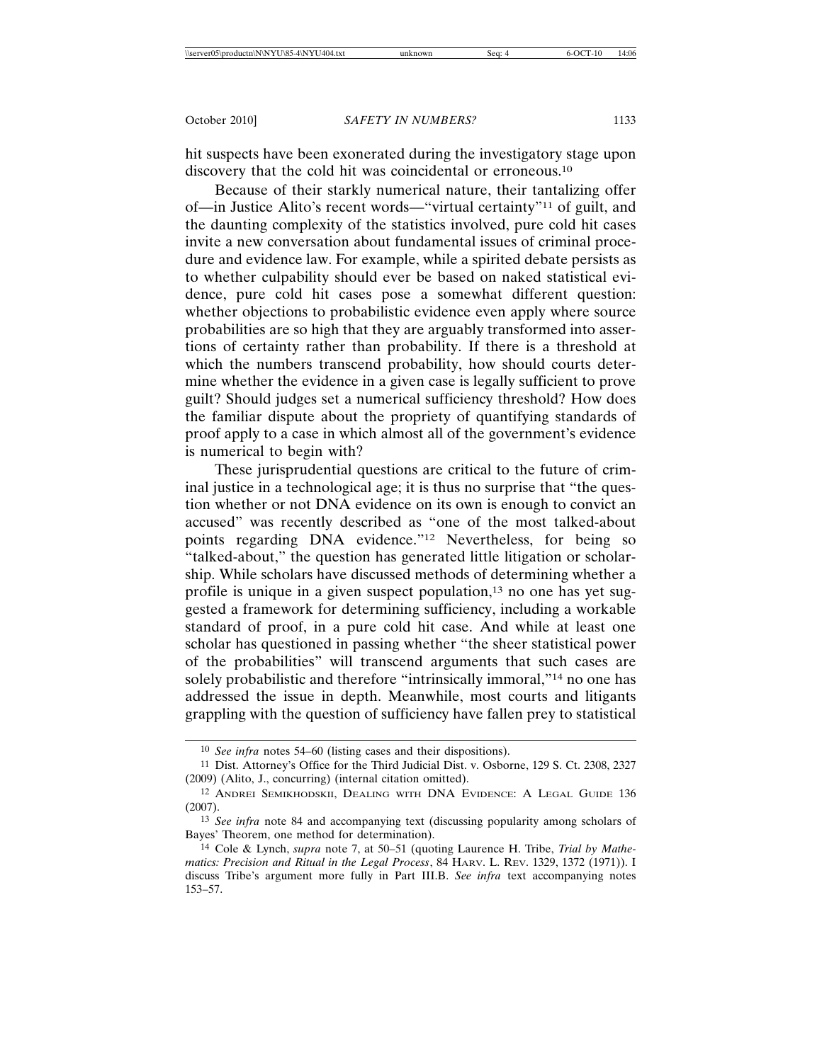hit suspects have been exonerated during the investigatory stage upon discovery that the cold hit was coincidental or erroneous.<sup>10</sup>

Because of their starkly numerical nature, their tantalizing offer of—in Justice Alito's recent words—"virtual certainty"11 of guilt, and the daunting complexity of the statistics involved, pure cold hit cases invite a new conversation about fundamental issues of criminal procedure and evidence law. For example, while a spirited debate persists as to whether culpability should ever be based on naked statistical evidence, pure cold hit cases pose a somewhat different question: whether objections to probabilistic evidence even apply where source probabilities are so high that they are arguably transformed into assertions of certainty rather than probability. If there is a threshold at which the numbers transcend probability, how should courts determine whether the evidence in a given case is legally sufficient to prove guilt? Should judges set a numerical sufficiency threshold? How does the familiar dispute about the propriety of quantifying standards of proof apply to a case in which almost all of the government's evidence is numerical to begin with?

These jurisprudential questions are critical to the future of criminal justice in a technological age; it is thus no surprise that "the question whether or not DNA evidence on its own is enough to convict an accused" was recently described as "one of the most talked-about points regarding DNA evidence."12 Nevertheless, for being so "talked-about," the question has generated little litigation or scholarship. While scholars have discussed methods of determining whether a profile is unique in a given suspect population, $13$  no one has yet suggested a framework for determining sufficiency, including a workable standard of proof, in a pure cold hit case. And while at least one scholar has questioned in passing whether "the sheer statistical power of the probabilities" will transcend arguments that such cases are solely probabilistic and therefore "intrinsically immoral,"<sup>14</sup> no one has addressed the issue in depth. Meanwhile, most courts and litigants grappling with the question of sufficiency have fallen prey to statistical

<sup>10</sup> *See infra* notes 54–60 (listing cases and their dispositions).

<sup>11</sup> Dist. Attorney's Office for the Third Judicial Dist. v. Osborne, 129 S. Ct. 2308, 2327 (2009) (Alito, J., concurring) (internal citation omitted).

<sup>12</sup> ANDREI SEMIKHODSKII, DEALING WITH DNA EVIDENCE: A LEGAL GUIDE 136 (2007).

<sup>13</sup> *See infra* note 84 and accompanying text (discussing popularity among scholars of Bayes' Theorem, one method for determination).

<sup>14</sup> Cole & Lynch, *supra* note 7, at 50–51 (quoting Laurence H. Tribe, *Trial by Mathematics: Precision and Ritual in the Legal Process*, 84 HARV. L. REV. 1329, 1372 (1971)). I discuss Tribe's argument more fully in Part III.B. *See infra* text accompanying notes 153–57.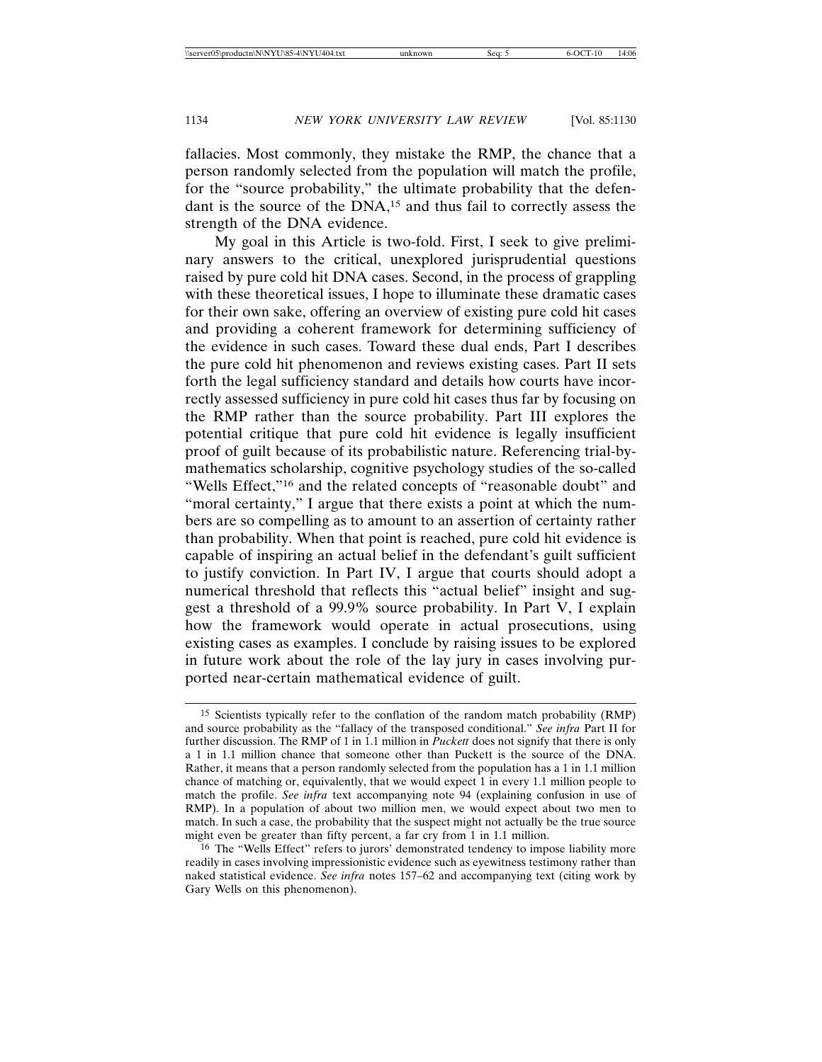fallacies. Most commonly, they mistake the RMP, the chance that a person randomly selected from the population will match the profile, for the "source probability," the ultimate probability that the defendant is the source of the DNA,15 and thus fail to correctly assess the strength of the DNA evidence.

My goal in this Article is two-fold. First, I seek to give preliminary answers to the critical, unexplored jurisprudential questions raised by pure cold hit DNA cases. Second, in the process of grappling with these theoretical issues, I hope to illuminate these dramatic cases for their own sake, offering an overview of existing pure cold hit cases and providing a coherent framework for determining sufficiency of the evidence in such cases. Toward these dual ends, Part I describes the pure cold hit phenomenon and reviews existing cases. Part II sets forth the legal sufficiency standard and details how courts have incorrectly assessed sufficiency in pure cold hit cases thus far by focusing on the RMP rather than the source probability. Part III explores the potential critique that pure cold hit evidence is legally insufficient proof of guilt because of its probabilistic nature. Referencing trial-bymathematics scholarship, cognitive psychology studies of the so-called "Wells Effect,"16 and the related concepts of "reasonable doubt" and "moral certainty," I argue that there exists a point at which the numbers are so compelling as to amount to an assertion of certainty rather than probability. When that point is reached, pure cold hit evidence is capable of inspiring an actual belief in the defendant's guilt sufficient to justify conviction. In Part IV, I argue that courts should adopt a numerical threshold that reflects this "actual belief" insight and suggest a threshold of a 99.9% source probability. In Part V, I explain how the framework would operate in actual prosecutions, using existing cases as examples. I conclude by raising issues to be explored in future work about the role of the lay jury in cases involving purported near-certain mathematical evidence of guilt.

<sup>15</sup> Scientists typically refer to the conflation of the random match probability (RMP) and source probability as the "fallacy of the transposed conditional." *See infra* Part II for further discussion. The RMP of 1 in 1.1 million in *Puckett* does not signify that there is only a 1 in 1.1 million chance that someone other than Puckett is the source of the DNA. Rather, it means that a person randomly selected from the population has a 1 in 1.1 million chance of matching or, equivalently, that we would expect 1 in every 1.1 million people to match the profile. *See infra* text accompanying note 94 (explaining confusion in use of RMP). In a population of about two million men, we would expect about two men to match. In such a case, the probability that the suspect might not actually be the true source might even be greater than fifty percent, a far cry from 1 in 1.1 million.

<sup>&</sup>lt;sup>16</sup> The "Wells Effect" refers to jurors' demonstrated tendency to impose liability more readily in cases involving impressionistic evidence such as eyewitness testimony rather than naked statistical evidence. *See infra* notes 157–62 and accompanying text (citing work by Gary Wells on this phenomenon).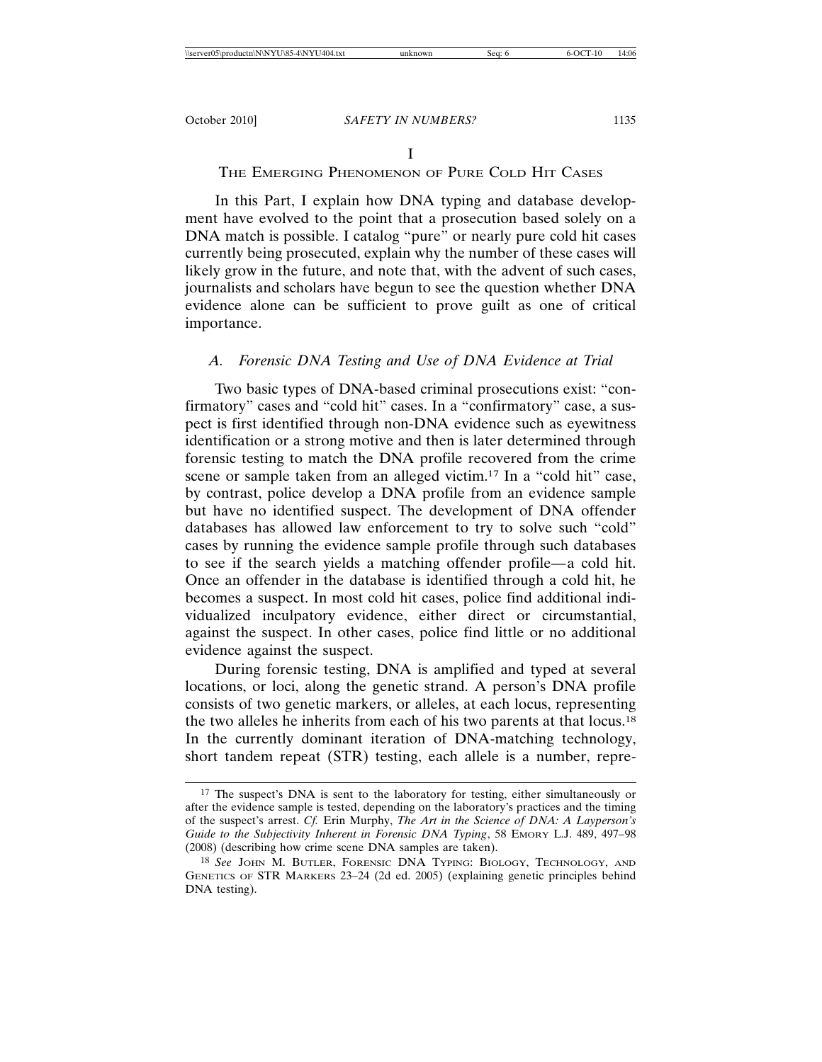### I

# THE EMERGING PHENOMENON OF PURE COLD HIT CASES

In this Part, I explain how DNA typing and database development have evolved to the point that a prosecution based solely on a DNA match is possible. I catalog "pure" or nearly pure cold hit cases currently being prosecuted, explain why the number of these cases will likely grow in the future, and note that, with the advent of such cases, journalists and scholars have begun to see the question whether DNA evidence alone can be sufficient to prove guilt as one of critical importance.

# *A. Forensic DNA Testing and Use of DNA Evidence at Trial*

Two basic types of DNA-based criminal prosecutions exist: "confirmatory" cases and "cold hit" cases. In a "confirmatory" case, a suspect is first identified through non-DNA evidence such as eyewitness identification or a strong motive and then is later determined through forensic testing to match the DNA profile recovered from the crime scene or sample taken from an alleged victim.17 In a "cold hit" case, by contrast, police develop a DNA profile from an evidence sample but have no identified suspect. The development of DNA offender databases has allowed law enforcement to try to solve such "cold" cases by running the evidence sample profile through such databases to see if the search yields a matching offender profile*—*a cold hit. Once an offender in the database is identified through a cold hit, he becomes a suspect. In most cold hit cases, police find additional individualized inculpatory evidence, either direct or circumstantial, against the suspect. In other cases, police find little or no additional evidence against the suspect.

During forensic testing, DNA is amplified and typed at several locations, or loci, along the genetic strand. A person's DNA profile consists of two genetic markers, or alleles, at each locus, representing the two alleles he inherits from each of his two parents at that locus.18 In the currently dominant iteration of DNA-matching technology, short tandem repeat (STR) testing, each allele is a number, repre-

<sup>17</sup> The suspect's DNA is sent to the laboratory for testing, either simultaneously or after the evidence sample is tested, depending on the laboratory's practices and the timing of the suspect's arrest. *Cf.* Erin Murphy, *The Art in the Science of DNA: A Layperson's Guide to the Subjectivity Inherent in Forensic DNA Typing*, 58 EMORY L.J. 489, 497–98 (2008) (describing how crime scene DNA samples are taken).

<sup>18</sup> *See* JOHN M. BUTLER, FORENSIC DNA TYPING: BIOLOGY, TECHNOLOGY, AND GENETICS OF STR MARKERS 23–24 (2d ed. 2005) (explaining genetic principles behind DNA testing).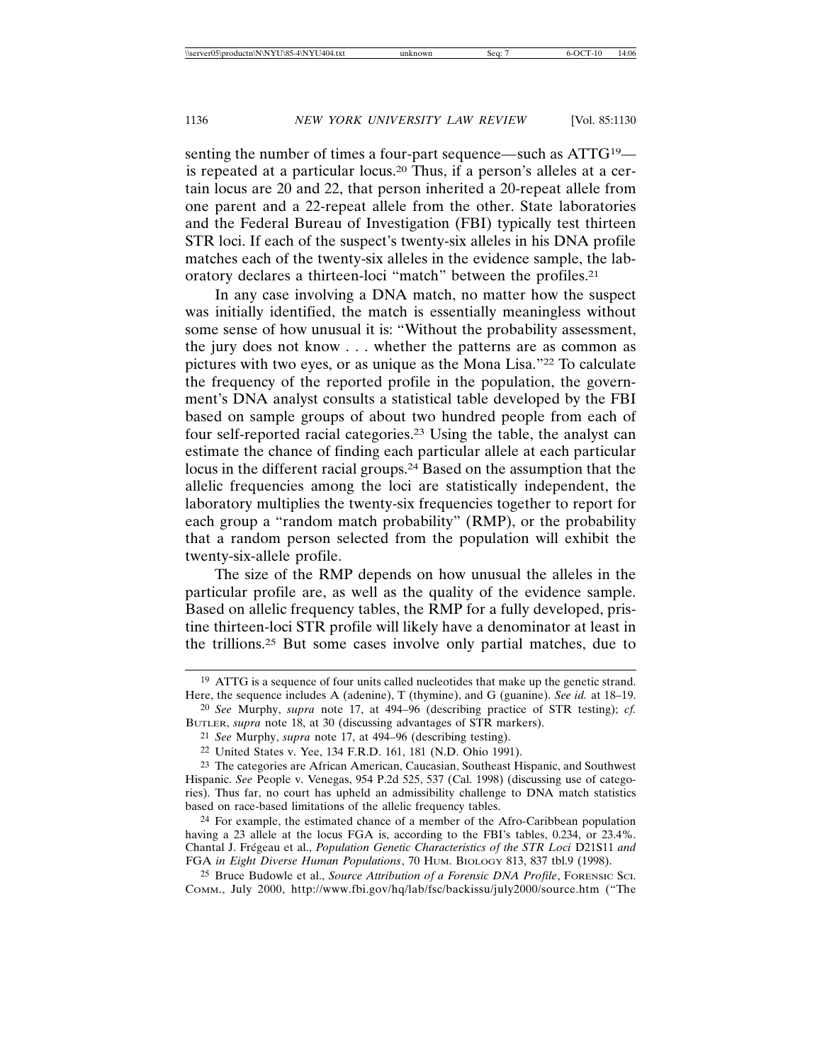senting the number of times a four-part sequence*—*such as ATTG19 is repeated at a particular locus.20 Thus, if a person's alleles at a certain locus are 20 and 22, that person inherited a 20-repeat allele from one parent and a 22-repeat allele from the other. State laboratories and the Federal Bureau of Investigation (FBI) typically test thirteen STR loci. If each of the suspect's twenty-six alleles in his DNA profile matches each of the twenty-six alleles in the evidence sample, the laboratory declares a thirteen-loci "match" between the profiles.21

In any case involving a DNA match, no matter how the suspect was initially identified, the match is essentially meaningless without some sense of how unusual it is: "Without the probability assessment, the jury does not know . . . whether the patterns are as common as pictures with two eyes, or as unique as the Mona Lisa."22 To calculate the frequency of the reported profile in the population, the government's DNA analyst consults a statistical table developed by the FBI based on sample groups of about two hundred people from each of four self-reported racial categories.23 Using the table, the analyst can estimate the chance of finding each particular allele at each particular locus in the different racial groups.24 Based on the assumption that the allelic frequencies among the loci are statistically independent, the laboratory multiplies the twenty-six frequencies together to report for each group a "random match probability" (RMP), or the probability that a random person selected from the population will exhibit the twenty-six-allele profile.

The size of the RMP depends on how unusual the alleles in the particular profile are, as well as the quality of the evidence sample. Based on allelic frequency tables, the RMP for a fully developed, pristine thirteen-loci STR profile will likely have a denominator at least in the trillions.25 But some cases involve only partial matches, due to

<sup>19</sup> ATTG is a sequence of four units called nucleotides that make up the genetic strand. Here, the sequence includes A (adenine), T (thymine), and G (guanine). *See id.* at 18–19.

<sup>20</sup> *See* Murphy, *supra* note 17, at 494–96 (describing practice of STR testing); *cf.* BUTLER, *supra* note 18, at 30 (discussing advantages of STR markers).

<sup>21</sup> *See* Murphy, *supra* note 17, at 494–96 (describing testing).

<sup>22</sup> United States v. Yee, 134 F.R.D. 161, 181 (N.D. Ohio 1991).

<sup>23</sup> The categories are African American, Caucasian, Southeast Hispanic, and Southwest Hispanic. *See* People v. Venegas, 954 P.2d 525, 537 (Cal. 1998) (discussing use of categories). Thus far, no court has upheld an admissibility challenge to DNA match statistics based on race-based limitations of the allelic frequency tables.

<sup>24</sup> For example, the estimated chance of a member of the Afro-Caribbean population having a 23 allele at the locus FGA is, according to the FBI's tables, 0.234, or 23.4%. Chantal J. Frégeau et al., *Population Genetic Characteristics of the STR Loci D21S11 and* FGA *in Eight Diverse Human Populations*, 70 HUM. BIOLOGY 813, 837 tbl.9 (1998).

<sup>25</sup> Bruce Budowle et al., *Source Attribution of a Forensic DNA Profile*, FORENSIC SCI. COMM., July 2000, http://www.fbi.gov/hq/lab/fsc/backissu/july2000/source.htm ("The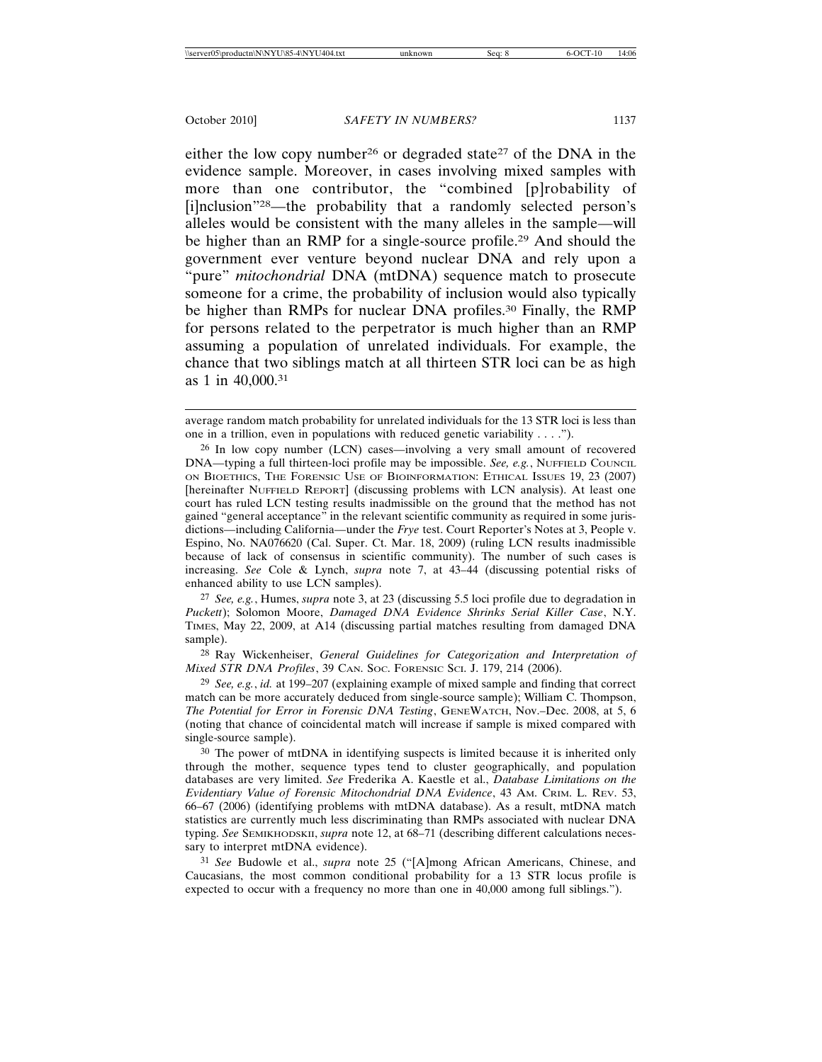either the low copy number<sup>26</sup> or degraded state<sup>27</sup> of the DNA in the evidence sample. Moreover, in cases involving mixed samples with more than one contributor, the "combined [p]robability of [i]nclusion"28—the probability that a randomly selected person's alleles would be consistent with the many alleles in the sample—will be higher than an RMP for a single-source profile.29 And should the government ever venture beyond nuclear DNA and rely upon a "pure" *mitochondrial* DNA (mtDNA) sequence match to prosecute someone for a crime, the probability of inclusion would also typically be higher than RMPs for nuclear DNA profiles.<sup>30</sup> Finally, the RMP for persons related to the perpetrator is much higher than an RMP assuming a population of unrelated individuals. For example, the chance that two siblings match at all thirteen STR loci can be as high as 1 in 40,000.31

27 *See, e.g.*, Humes, *supra* note 3, at 23 (discussing 5.5 loci profile due to degradation in *Puckett*); Solomon Moore, *Damaged DNA Evidence Shrinks Serial Killer Case*, N.Y. TIMES, May 22, 2009, at A14 (discussing partial matches resulting from damaged DNA sample).

28 Ray Wickenheiser, *General Guidelines for Categorization and Interpretation of Mixed STR DNA Profiles*, 39 CAN. SOC. FORENSIC SCI. J. 179, 214 (2006).

29 *See, e.g.*, *id.* at 199–207 (explaining example of mixed sample and finding that correct match can be more accurately deduced from single-source sample); William C. Thompson, *The Potential for Error in Forensic DNA Testing*, GENEWATCH, Nov.–Dec. 2008, at 5, 6 (noting that chance of coincidental match will increase if sample is mixed compared with single-source sample).

30 The power of mtDNA in identifying suspects is limited because it is inherited only through the mother, sequence types tend to cluster geographically, and population databases are very limited. *See* Frederika A. Kaestle et al., *Database Limitations on the Evidentiary Value of Forensic Mitochondrial DNA Evidence*, 43 AM. CRIM. L. REV. 53, 66–67 (2006) (identifying problems with mtDNA database). As a result, mtDNA match statistics are currently much less discriminating than RMPs associated with nuclear DNA typing. *See* SEMIKHODSKII, *supra* note 12, at 68–71 (describing different calculations necessary to interpret mtDNA evidence).

31 *See* Budowle et al., *supra* note 25 ("[A]mong African Americans, Chinese, and Caucasians, the most common conditional probability for a 13 STR locus profile is expected to occur with a frequency no more than one in 40,000 among full siblings.").

average random match probability for unrelated individuals for the 13 STR loci is less than one in a trillion, even in populations with reduced genetic variability . . . .").

<sup>26</sup> In low copy number (LCN) cases—involving a very small amount of recovered DNA—typing a full thirteen-loci profile may be impossible. *See, e.g.*, NUFFIELD COUNCIL ON BIOETHICS, THE FORENSIC USE OF BIOINFORMATION: ETHICAL ISSUES 19, 23 (2007) [hereinafter NUFFIELD REPORT] (discussing problems with LCN analysis). At least one court has ruled LCN testing results inadmissible on the ground that the method has not gained "general acceptance" in the relevant scientific community as required in some jurisdictions—including California—under the *Frye* test. Court Reporter's Notes at 3, People v. Espino, No. NA076620 (Cal. Super. Ct. Mar. 18, 2009) (ruling LCN results inadmissible because of lack of consensus in scientific community). The number of such cases is increasing. *See* Cole & Lynch, *supra* note 7, at 43–44 (discussing potential risks of enhanced ability to use LCN samples).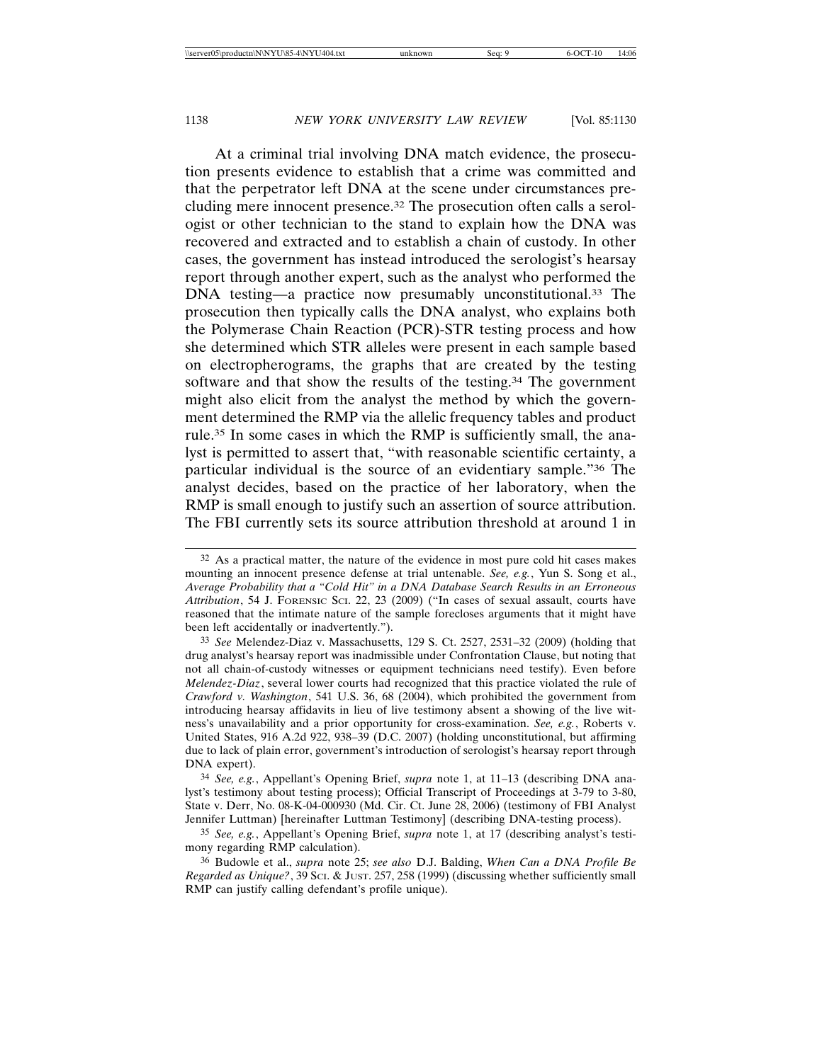At a criminal trial involving DNA match evidence, the prosecution presents evidence to establish that a crime was committed and that the perpetrator left DNA at the scene under circumstances precluding mere innocent presence.32 The prosecution often calls a serologist or other technician to the stand to explain how the DNA was recovered and extracted and to establish a chain of custody. In other cases, the government has instead introduced the serologist's hearsay report through another expert, such as the analyst who performed the DNA testing—a practice now presumably unconstitutional.<sup>33</sup> The prosecution then typically calls the DNA analyst, who explains both the Polymerase Chain Reaction (PCR)-STR testing process and how she determined which STR alleles were present in each sample based on electropherograms, the graphs that are created by the testing software and that show the results of the testing.<sup>34</sup> The government might also elicit from the analyst the method by which the government determined the RMP via the allelic frequency tables and product rule.35 In some cases in which the RMP is sufficiently small, the analyst is permitted to assert that, "with reasonable scientific certainty, a particular individual is the source of an evidentiary sample."36 The analyst decides, based on the practice of her laboratory, when the RMP is small enough to justify such an assertion of source attribution. The FBI currently sets its source attribution threshold at around 1 in

34 *See, e.g.*, Appellant's Opening Brief, *supra* note 1, at 11–13 (describing DNA analyst's testimony about testing process); Official Transcript of Proceedings at 3-79 to 3-80, State v. Derr, No. 08-K-04-000930 (Md. Cir. Ct. June 28, 2006) (testimony of FBI Analyst Jennifer Luttman) [hereinafter Luttman Testimony] (describing DNA-testing process).

35 *See, e.g.*, Appellant's Opening Brief, *supra* note 1, at 17 (describing analyst's testimony regarding RMP calculation).

36 Budowle et al., *supra* note 25; *see also* D.J. Balding, *When Can a DNA Profile Be Regarded as Unique?*, 39 SCI. & JUST. 257, 258 (1999) (discussing whether sufficiently small RMP can justify calling defendant's profile unique).

<sup>32</sup> As a practical matter, the nature of the evidence in most pure cold hit cases makes mounting an innocent presence defense at trial untenable. *See, e.g.*, Yun S. Song et al., *Average Probability that a "Cold Hit" in a DNA Database Search Results in an Erroneous Attribution*, 54 J. FORENSIC SCI. 22, 23 (2009) ("In cases of sexual assault, courts have reasoned that the intimate nature of the sample forecloses arguments that it might have been left accidentally or inadvertently.").

<sup>33</sup> *See* Melendez-Diaz v. Massachusetts, 129 S. Ct. 2527, 2531–32 (2009) (holding that drug analyst's hearsay report was inadmissible under Confrontation Clause, but noting that not all chain-of-custody witnesses or equipment technicians need testify). Even before *Melendez-Diaz*, several lower courts had recognized that this practice violated the rule of *Crawford v. Washington*, 541 U.S. 36, 68 (2004), which prohibited the government from introducing hearsay affidavits in lieu of live testimony absent a showing of the live witness's unavailability and a prior opportunity for cross-examination. *See, e.g.*, Roberts v. United States, 916 A.2d 922, 938–39 (D.C. 2007) (holding unconstitutional, but affirming due to lack of plain error, government's introduction of serologist's hearsay report through DNA expert).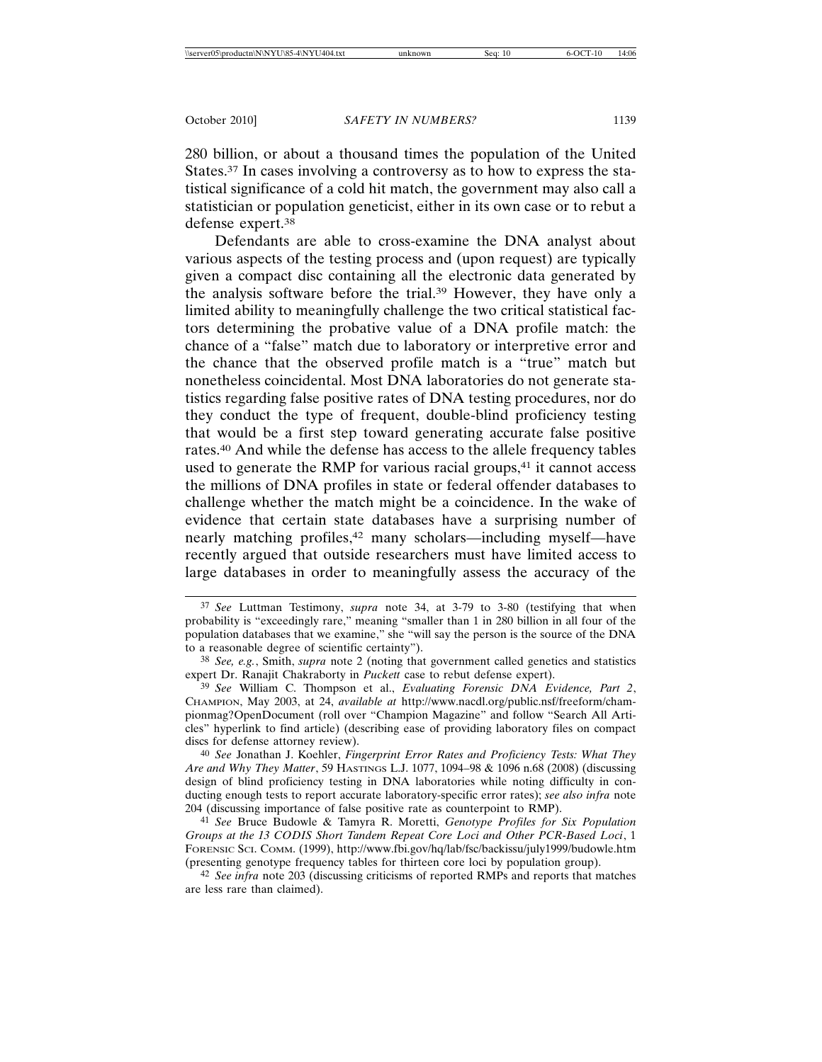280 billion, or about a thousand times the population of the United States.<sup>37</sup> In cases involving a controversy as to how to express the statistical significance of a cold hit match, the government may also call a statistician or population geneticist, either in its own case or to rebut a defense expert.38

Defendants are able to cross-examine the DNA analyst about various aspects of the testing process and (upon request) are typically given a compact disc containing all the electronic data generated by the analysis software before the trial.39 However, they have only a limited ability to meaningfully challenge the two critical statistical factors determining the probative value of a DNA profile match: the chance of a "false" match due to laboratory or interpretive error and the chance that the observed profile match is a "true" match but nonetheless coincidental. Most DNA laboratories do not generate statistics regarding false positive rates of DNA testing procedures, nor do they conduct the type of frequent, double-blind proficiency testing that would be a first step toward generating accurate false positive rates.40 And while the defense has access to the allele frequency tables used to generate the RMP for various racial groups, $41$  it cannot access the millions of DNA profiles in state or federal offender databases to challenge whether the match might be a coincidence. In the wake of evidence that certain state databases have a surprising number of nearly matching profiles,42 many scholars—including myself—have recently argued that outside researchers must have limited access to large databases in order to meaningfully assess the accuracy of the

40 *See* Jonathan J. Koehler, *Fingerprint Error Rates and Proficiency Tests: What They Are and Why They Matter*, 59 HASTINGS L.J. 1077, 1094–98 & 1096 n.68 (2008) (discussing design of blind proficiency testing in DNA laboratories while noting difficulty in conducting enough tests to report accurate laboratory-specific error rates); *see also infra* note 204 (discussing importance of false positive rate as counterpoint to RMP).

41 *See* Bruce Budowle & Tamyra R. Moretti, *Genotype Profiles for Six Population Groups at the 13 CODIS Short Tandem Repeat Core Loci and Other PCR-Based Loci*, 1 FORENSIC SCI. COMM. (1999), http://www.fbi.gov/hq/lab/fsc/backissu/july1999/budowle.htm (presenting genotype frequency tables for thirteen core loci by population group).

42 *See infra* note 203 (discussing criticisms of reported RMPs and reports that matches are less rare than claimed).

<sup>37</sup> *See* Luttman Testimony, *supra* note 34, at 3-79 to 3-80 (testifying that when probability is "exceedingly rare," meaning "smaller than 1 in 280 billion in all four of the population databases that we examine," she "will say the person is the source of the DNA to a reasonable degree of scientific certainty").

<sup>38</sup> *See, e.g.*, Smith, *supra* note 2 (noting that government called genetics and statistics expert Dr. Ranajit Chakraborty in *Puckett* case to rebut defense expert).

<sup>39</sup> *See* William C. Thompson et al., *Evaluating Forensic DNA Evidence, Part 2*, CHAMPION, May 2003, at 24, *available at* http://www.nacdl.org/public.nsf/freeform/championmag?OpenDocument (roll over "Champion Magazine" and follow "Search All Articles" hyperlink to find article) (describing ease of providing laboratory files on compact discs for defense attorney review).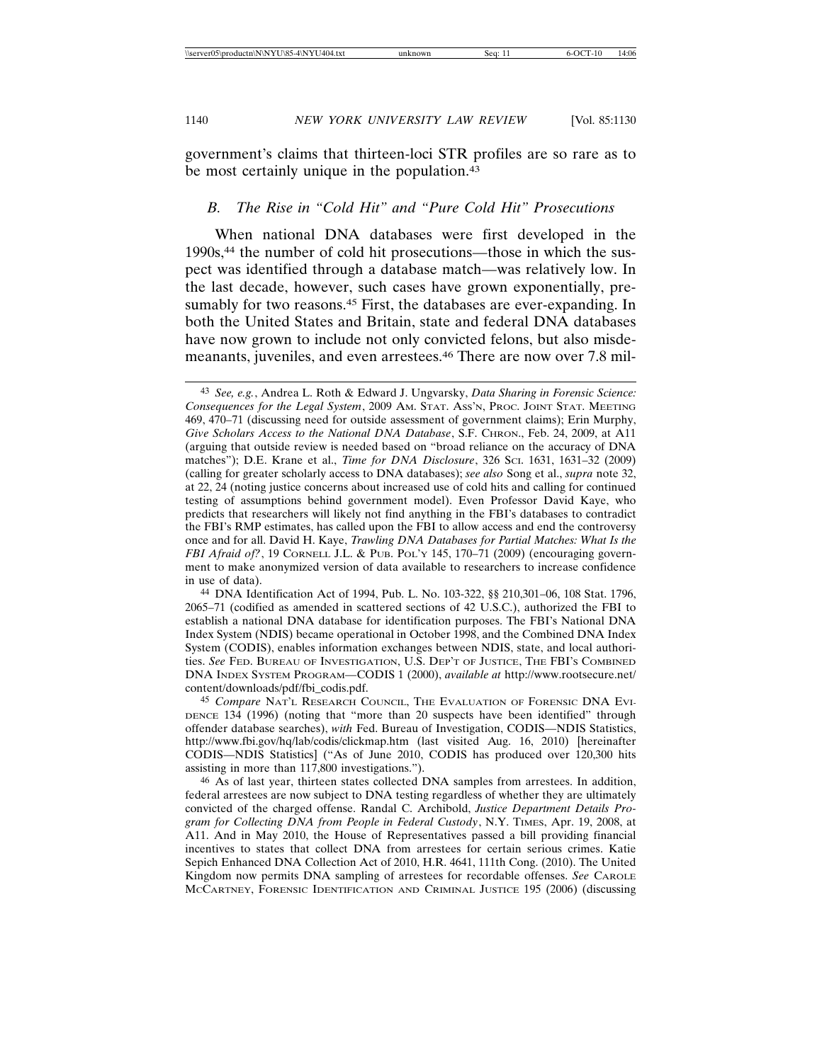government's claims that thirteen-loci STR profiles are so rare as to be most certainly unique in the population.<sup>43</sup>

### *B. The Rise in "Cold Hit" and "Pure Cold Hit" Prosecutions*

When national DNA databases were first developed in the 1990s,44 the number of cold hit prosecutions—those in which the suspect was identified through a database match—was relatively low. In the last decade, however, such cases have grown exponentially, presumably for two reasons.<sup>45</sup> First, the databases are ever-expanding. In both the United States and Britain, state and federal DNA databases have now grown to include not only convicted felons, but also misdemeanants, juveniles, and even arrestees.<sup>46</sup> There are now over 7.8 mil-

44 DNA Identification Act of 1994, Pub. L. No. 103-322, §§ 210,301–06, 108 Stat. 1796, 2065–71 (codified as amended in scattered sections of 42 U.S.C.), authorized the FBI to establish a national DNA database for identification purposes. The FBI's National DNA Index System (NDIS) became operational in October 1998, and the Combined DNA Index System (CODIS), enables information exchanges between NDIS, state, and local authorities. *See* FED. BUREAU OF INVESTIGATION, U.S. DEP'T OF JUSTICE, THE FBI'S COMBINED DNA INDEX SYSTEM PROGRAM—CODIS 1 (2000), *available at* http://www.rootsecure.net/ content/downloads/pdf/fbi\_codis.pdf.

45 *Compare* NAT'L RESEARCH COUNCIL, THE EVALUATION OF FORENSIC DNA EVI-DENCE 134 (1996) (noting that "more than 20 suspects have been identified" through offender database searches), *with* Fed. Bureau of Investigation, CODIS—NDIS Statistics, http://www.fbi.gov/hq/lab/codis/clickmap.htm (last visited Aug. 16, 2010) [hereinafter CODIS—NDIS Statistics] ("As of June 2010, CODIS has produced over 120,300 hits assisting in more than 117,800 investigations.").

46 As of last year, thirteen states collected DNA samples from arrestees. In addition, federal arrestees are now subject to DNA testing regardless of whether they are ultimately convicted of the charged offense. Randal C. Archibold, *Justice Department Details Program for Collecting DNA from People in Federal Custody*, N.Y. TIMES, Apr. 19, 2008, at A11. And in May 2010, the House of Representatives passed a bill providing financial incentives to states that collect DNA from arrestees for certain serious crimes. Katie Sepich Enhanced DNA Collection Act of 2010, H.R. 4641, 111th Cong. (2010). The United Kingdom now permits DNA sampling of arrestees for recordable offenses. *See* CAROLE MCCARTNEY, FORENSIC IDENTIFICATION AND CRIMINAL JUSTICE 195 (2006) (discussing

<sup>43</sup> *See, e.g.*, Andrea L. Roth & Edward J. Ungvarsky, *Data Sharing in Forensic Science: Consequences for the Legal System*, 2009 AM. STAT. ASS'N, PROC. JOINT STAT. MEETING 469, 470–71 (discussing need for outside assessment of government claims); Erin Murphy, *Give Scholars Access to the National DNA Database*, S.F. CHRON., Feb. 24, 2009, at A11 (arguing that outside review is needed based on "broad reliance on the accuracy of DNA matches"); D.E. Krane et al., *Time for DNA Disclosure*, 326 SCI. 1631, 1631–32 (2009) (calling for greater scholarly access to DNA databases); *see also* Song et al., *supra* note 32, at 22, 24 (noting justice concerns about increased use of cold hits and calling for continued testing of assumptions behind government model). Even Professor David Kaye, who predicts that researchers will likely not find anything in the FBI's databases to contradict the FBI's RMP estimates, has called upon the FBI to allow access and end the controversy once and for all. David H. Kaye, *Trawling DNA Databases for Partial Matches: What Is the FBI Afraid of?*, 19 CORNELL J.L. & PUB. POL'Y 145, 170–71 (2009) (encouraging government to make anonymized version of data available to researchers to increase confidence in use of data).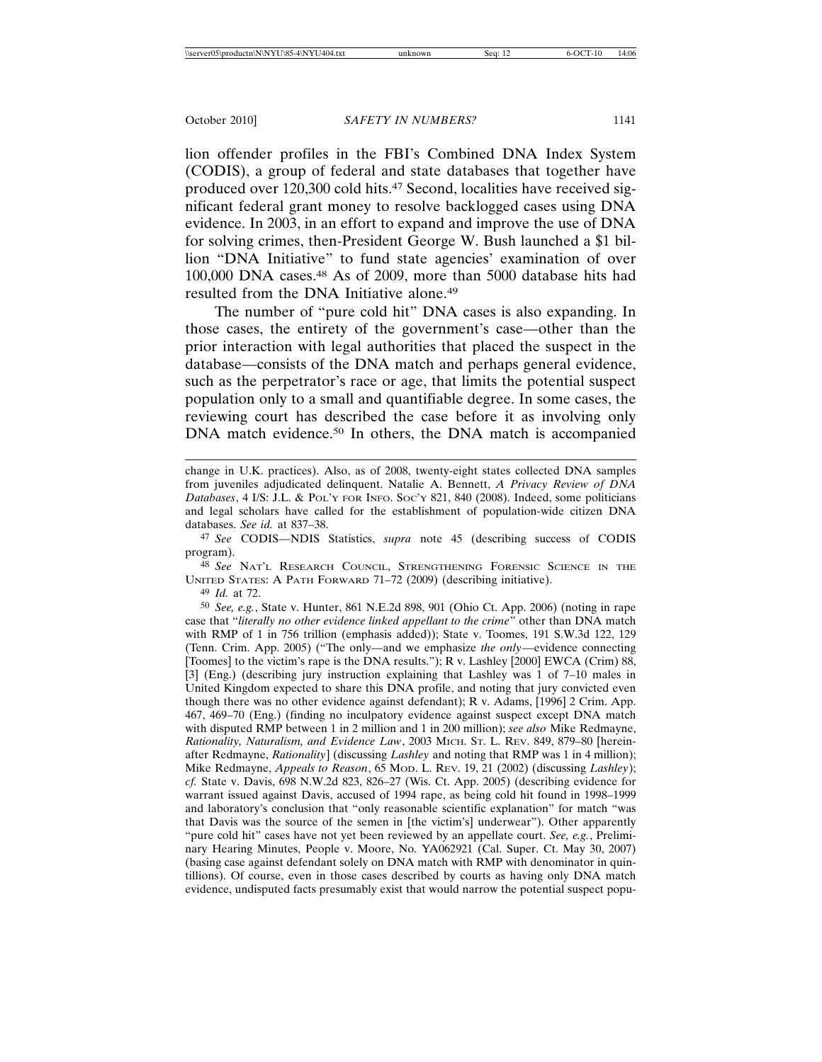lion offender profiles in the FBI's Combined DNA Index System (CODIS), a group of federal and state databases that together have produced over 120,300 cold hits.<sup>47</sup> Second, localities have received significant federal grant money to resolve backlogged cases using DNA evidence. In 2003, in an effort to expand and improve the use of DNA for solving crimes, then-President George W. Bush launched a \$1 billion "DNA Initiative" to fund state agencies' examination of over 100,000 DNA cases.48 As of 2009, more than 5000 database hits had resulted from the DNA Initiative alone.49

The number of "pure cold hit" DNA cases is also expanding. In those cases, the entirety of the government's case—other than the prior interaction with legal authorities that placed the suspect in the database—consists of the DNA match and perhaps general evidence, such as the perpetrator's race or age, that limits the potential suspect population only to a small and quantifiable degree. In some cases, the reviewing court has described the case before it as involving only DNA match evidence.<sup>50</sup> In others, the DNA match is accompanied

47 *See* CODIS—NDIS Statistics, *supra* note 45 (describing success of CODIS program).

48 *See* NAT'L RESEARCH COUNCIL, STRENGTHENING FORENSIC SCIENCE IN THE UNITED STATES: A PATH FORWARD 71–72 (2009) (describing initiative).

49 *Id.* at 72.

50 *See, e.g.*, State v. Hunter, 861 N.E.2d 898, 901 (Ohio Ct. App. 2006) (noting in rape case that "*literally no other evidence linked appellant to the crime*" other than DNA match with RMP of 1 in 756 trillion (emphasis added)); State v. Toomes, 191 S.W.3d 122, 129 (Tenn. Crim. App. 2005) ("The only—and we emphasize *the only*—evidence connecting [Toomes] to the victim's rape is the DNA results."); R v. Lashley [2000] EWCA (Crim) 88, [3] (Eng.) (describing jury instruction explaining that Lashley was 1 of 7–10 males in United Kingdom expected to share this DNA profile, and noting that jury convicted even though there was no other evidence against defendant); R v. Adams, [1996] 2 Crim. App. 467, 469–70 (Eng.) (finding no inculpatory evidence against suspect except DNA match with disputed RMP between 1 in 2 million and 1 in 200 million); *see also* Mike Redmayne, *Rationality, Naturalism, and Evidence Law*, 2003 MICH. ST. L. REV. 849, 879–80 [hereinafter Redmayne, *Rationality*] (discussing *Lashley* and noting that RMP was 1 in 4 million); Mike Redmayne, *Appeals to Reason*, 65 MOD. L. REV. 19, 21 (2002) (discussing *Lashley*); *cf.* State v. Davis, 698 N.W.2d 823, 826–27 (Wis. Ct. App. 2005) (describing evidence for warrant issued against Davis, accused of 1994 rape, as being cold hit found in 1998–1999 and laboratory's conclusion that "only reasonable scientific explanation" for match "was that Davis was the source of the semen in [the victim's] underwear"). Other apparently "pure cold hit" cases have not yet been reviewed by an appellate court. *See, e.g.*, Preliminary Hearing Minutes, People v. Moore, No. YA062921 (Cal. Super. Ct. May 30, 2007) (basing case against defendant solely on DNA match with RMP with denominator in quintillions). Of course, even in those cases described by courts as having only DNA match evidence, undisputed facts presumably exist that would narrow the potential suspect popu-

change in U.K. practices). Also, as of 2008, twenty-eight states collected DNA samples from juveniles adjudicated delinquent. Natalie A. Bennett, *A Privacy Review of DNA Databases*, 4 I/S: J.L. & POL'Y FOR INFO. SOC'Y 821, 840 (2008). Indeed, some politicians and legal scholars have called for the establishment of population-wide citizen DNA databases. *See id.* at 837–38.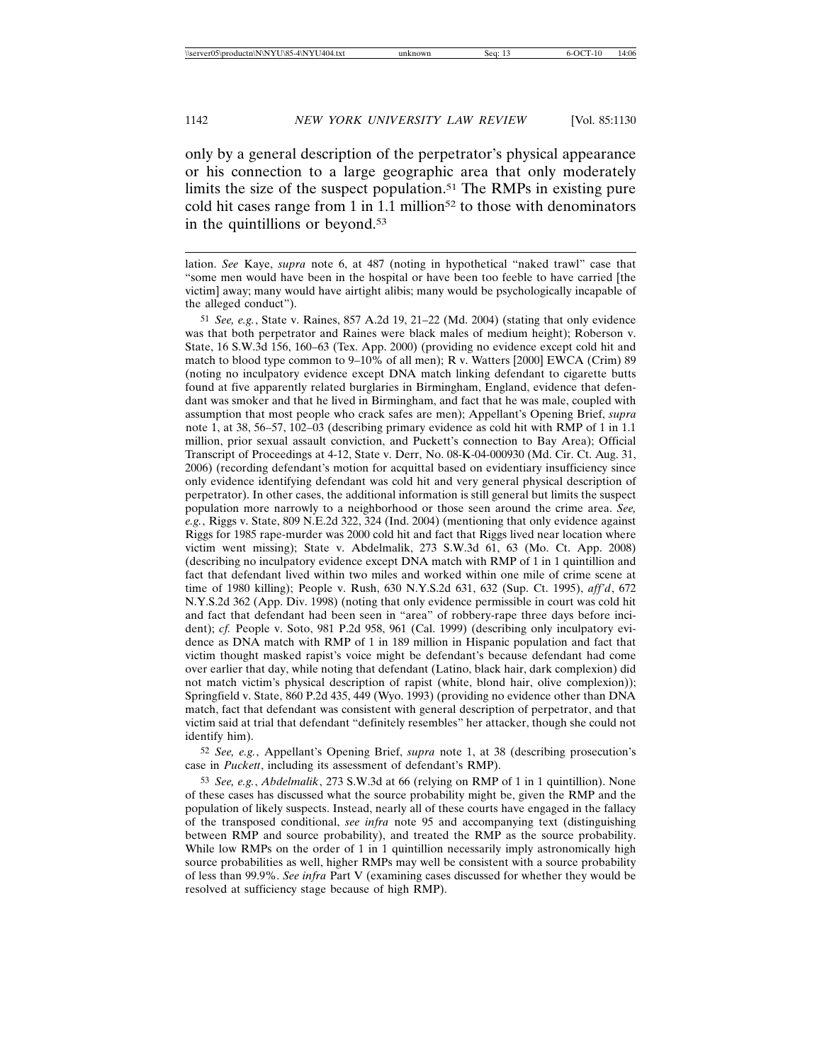only by a general description of the perpetrator's physical appearance or his connection to a large geographic area that only moderately limits the size of the suspect population.51 The RMPs in existing pure cold hit cases range from 1 in  $1.1$  million<sup>52</sup> to those with denominators in the quintillions or beyond.53

51 *See, e.g.*, State v. Raines, 857 A.2d 19, 21–22 (Md. 2004) (stating that only evidence was that both perpetrator and Raines were black males of medium height); Roberson v. State, 16 S.W.3d 156, 160–63 (Tex. App. 2000) (providing no evidence except cold hit and match to blood type common to 9–10% of all men); R v. Watters [2000] EWCA (Crim) 89 (noting no inculpatory evidence except DNA match linking defendant to cigarette butts found at five apparently related burglaries in Birmingham, England, evidence that defendant was smoker and that he lived in Birmingham, and fact that he was male, coupled with assumption that most people who crack safes are men); Appellant's Opening Brief, *supra* note 1, at 38, 56–57, 102–03 (describing primary evidence as cold hit with RMP of 1 in 1.1 million, prior sexual assault conviction, and Puckett's connection to Bay Area); Official Transcript of Proceedings at 4-12, State v. Derr, No. 08-K-04-000930 (Md. Cir. Ct. Aug. 31, 2006) (recording defendant's motion for acquittal based on evidentiary insufficiency since only evidence identifying defendant was cold hit and very general physical description of perpetrator). In other cases, the additional information is still general but limits the suspect population more narrowly to a neighborhood or those seen around the crime area. *See, e.g.*, Riggs v. State, 809 N.E.2d 322, 324 (Ind. 2004) (mentioning that only evidence against Riggs for 1985 rape-murder was 2000 cold hit and fact that Riggs lived near location where victim went missing); State v. Abdelmalik, 273 S.W.3d 61, 63 (Mo. Ct. App. 2008) (describing no inculpatory evidence except DNA match with RMP of 1 in 1 quintillion and fact that defendant lived within two miles and worked within one mile of crime scene at time of 1980 killing); People v. Rush, 630 N.Y.S.2d 631, 632 (Sup. Ct. 1995), *aff'd*, 672 N.Y.S.2d 362 (App. Div. 1998) (noting that only evidence permissible in court was cold hit and fact that defendant had been seen in "area" of robbery-rape three days before incident); *cf.* People v. Soto, 981 P.2d 958, 961 (Cal. 1999) (describing only inculpatory evidence as DNA match with RMP of 1 in 189 million in Hispanic population and fact that victim thought masked rapist's voice might be defendant's because defendant had come over earlier that day, while noting that defendant (Latino, black hair, dark complexion) did not match victim's physical description of rapist (white, blond hair, olive complexion)); Springfield v. State, 860 P.2d 435, 449 (Wyo. 1993) (providing no evidence other than DNA match, fact that defendant was consistent with general description of perpetrator, and that victim said at trial that defendant "definitely resembles" her attacker, though she could not identify him).

52 *See, e.g.*, Appellant's Opening Brief, *supra* note 1, at 38 (describing prosecution's case in *Puckett*, including its assessment of defendant's RMP).

53 *See, e.g.*, *Abdelmalik*, 273 S.W.3d at 66 (relying on RMP of 1 in 1 quintillion). None of these cases has discussed what the source probability might be, given the RMP and the population of likely suspects. Instead, nearly all of these courts have engaged in the fallacy of the transposed conditional, *see infra* note 95 and accompanying text (distinguishing between RMP and source probability), and treated the RMP as the source probability. While low RMPs on the order of 1 in 1 quintillion necessarily imply astronomically high source probabilities as well, higher RMPs may well be consistent with a source probability of less than 99.9%. *See infra* Part V (examining cases discussed for whether they would be resolved at sufficiency stage because of high RMP).

lation. *See* Kaye, *supra* note 6, at 487 (noting in hypothetical "naked trawl" case that "some men would have been in the hospital or have been too feeble to have carried [the victim] away; many would have airtight alibis; many would be psychologically incapable of the alleged conduct").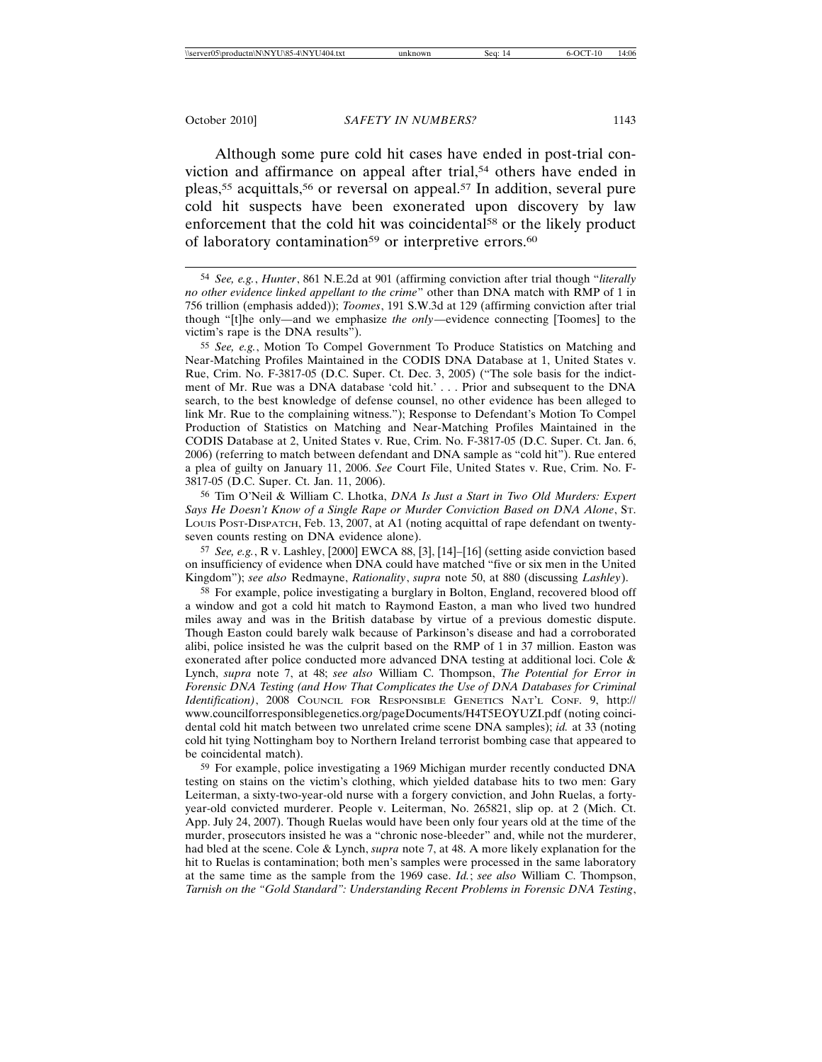Although some pure cold hit cases have ended in post-trial conviction and affirmance on appeal after trial,<sup>54</sup> others have ended in pleas,<sup>55</sup> acquittals,<sup>56</sup> or reversal on appeal.<sup>57</sup> In addition, several pure cold hit suspects have been exonerated upon discovery by law enforcement that the cold hit was coincidental<sup>58</sup> or the likely product of laboratory contamination<sup>59</sup> or interpretive errors.<sup>60</sup>

54 *See, e.g.*, *Hunter*, 861 N.E.2d at 901 (affirming conviction after trial though "*literally no other evidence linked appellant to the crime*" other than DNA match with RMP of 1 in 756 trillion (emphasis added)); *Toomes*, 191 S.W.3d at 129 (affirming conviction after trial though "[t]he only—and we emphasize *the only*—evidence connecting [Toomes] to the victim's rape is the DNA results").

55 *See, e.g.*, Motion To Compel Government To Produce Statistics on Matching and Near-Matching Profiles Maintained in the CODIS DNA Database at 1, United States v. Rue, Crim. No. F-3817-05 (D.C. Super. Ct. Dec. 3, 2005) ("The sole basis for the indictment of Mr. Rue was a DNA database 'cold hit.' . . . Prior and subsequent to the DNA search, to the best knowledge of defense counsel, no other evidence has been alleged to link Mr. Rue to the complaining witness."); Response to Defendant's Motion To Compel Production of Statistics on Matching and Near-Matching Profiles Maintained in the CODIS Database at 2, United States v. Rue, Crim. No. F-3817-05 (D.C. Super. Ct. Jan. 6, 2006) (referring to match between defendant and DNA sample as "cold hit"). Rue entered a plea of guilty on January 11, 2006. *See* Court File, United States v. Rue, Crim. No. F-3817-05 (D.C. Super. Ct. Jan. 11, 2006).

56 Tim O'Neil & William C. Lhotka, *DNA Is Just a Start in Two Old Murders: Expert Says He Doesn't Know of a Single Rape or Murder Conviction Based on DNA Alone*, ST. LOUIS POST-DISPATCH, Feb. 13, 2007, at A1 (noting acquittal of rape defendant on twentyseven counts resting on DNA evidence alone).

57 *See, e.g.*, R v. Lashley, [2000] EWCA 88, [3], [14]–[16] (setting aside conviction based on insufficiency of evidence when DNA could have matched "five or six men in the United Kingdom"); *see also* Redmayne, *Rationality*, *supra* note 50, at 880 (discussing *Lashley*).

58 For example, police investigating a burglary in Bolton, England, recovered blood off a window and got a cold hit match to Raymond Easton, a man who lived two hundred miles away and was in the British database by virtue of a previous domestic dispute. Though Easton could barely walk because of Parkinson's disease and had a corroborated alibi, police insisted he was the culprit based on the RMP of 1 in 37 million. Easton was exonerated after police conducted more advanced DNA testing at additional loci. Cole & Lynch, *supra* note 7, at 48; *see also* William C. Thompson, *The Potential for Error in Forensic DNA Testing (and How That Complicates the Use of DNA Databases for Criminal Identification)*, 2008 COUNCIL FOR RESPONSIBLE GENETICS NAT'L CONF. 9, http:// www.councilforresponsiblegenetics.org/pageDocuments/H4T5EOYUZI.pdf (noting coincidental cold hit match between two unrelated crime scene DNA samples); *id.* at 33 (noting cold hit tying Nottingham boy to Northern Ireland terrorist bombing case that appeared to be coincidental match).

59 For example, police investigating a 1969 Michigan murder recently conducted DNA testing on stains on the victim's clothing, which yielded database hits to two men: Gary Leiterman, a sixty-two-year-old nurse with a forgery conviction, and John Ruelas, a fortyyear-old convicted murderer. People v. Leiterman, No. 265821, slip op. at 2 (Mich. Ct. App. July 24, 2007). Though Ruelas would have been only four years old at the time of the murder, prosecutors insisted he was a "chronic nose-bleeder" and, while not the murderer, had bled at the scene. Cole & Lynch, *supra* note 7, at 48. A more likely explanation for the hit to Ruelas is contamination; both men's samples were processed in the same laboratory at the same time as the sample from the 1969 case. *Id.*; *see also* William C. Thompson, *Tarnish on the "Gold Standard": Understanding Recent Problems in Forensic DNA Testing*,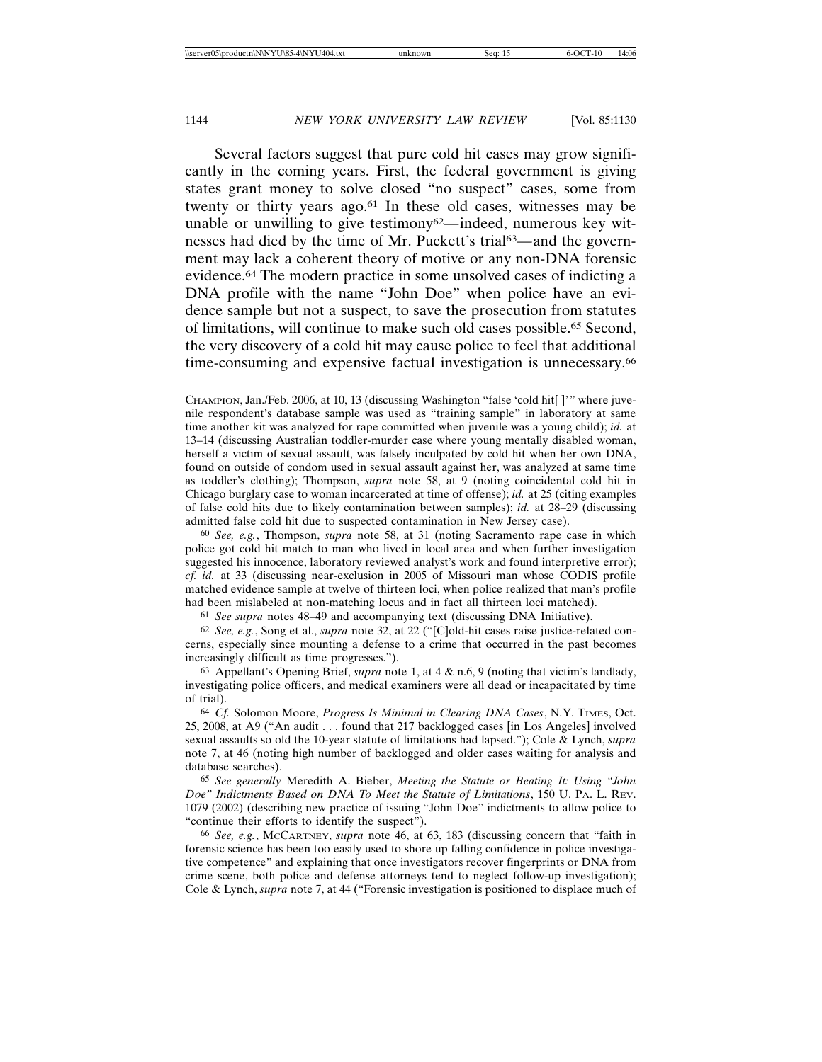Several factors suggest that pure cold hit cases may grow significantly in the coming years. First, the federal government is giving states grant money to solve closed "no suspect" cases, some from twenty or thirty years ago.61 In these old cases, witnesses may be unable or unwilling to give testimony<sup>62</sup>—indeed, numerous key witnesses had died by the time of Mr. Puckett's trial63*—*and the government may lack a coherent theory of motive or any non-DNA forensic evidence.64 The modern practice in some unsolved cases of indicting a DNA profile with the name "John Doe" when police have an evidence sample but not a suspect, to save the prosecution from statutes of limitations, will continue to make such old cases possible.65 Second, the very discovery of a cold hit may cause police to feel that additional time-consuming and expensive factual investigation is unnecessary.<sup>66</sup>

60 *See, e.g.*, Thompson, *supra* note 58, at 31 (noting Sacramento rape case in which police got cold hit match to man who lived in local area and when further investigation suggested his innocence, laboratory reviewed analyst's work and found interpretive error); *cf. id.* at 33 (discussing near-exclusion in 2005 of Missouri man whose CODIS profile matched evidence sample at twelve of thirteen loci, when police realized that man's profile had been mislabeled at non-matching locus and in fact all thirteen loci matched).

61 *See supra* notes 48–49 and accompanying text (discussing DNA Initiative).

62 *See, e.g.*, Song et al., *supra* note 32, at 22 ("[C]old-hit cases raise justice-related concerns, especially since mounting a defense to a crime that occurred in the past becomes increasingly difficult as time progresses.").

63 Appellant's Opening Brief, *supra* note 1, at 4 & n.6, 9 (noting that victim's landlady, investigating police officers, and medical examiners were all dead or incapacitated by time of trial).

64 *Cf.* Solomon Moore, *Progress Is Minimal in Clearing DNA Cases*, N.Y. TIMES, Oct. 25, 2008, at A9 ("An audit . . . found that 217 backlogged cases [in Los Angeles] involved sexual assaults so old the 10-year statute of limitations had lapsed."); Cole & Lynch, *supra* note 7, at 46 (noting high number of backlogged and older cases waiting for analysis and database searches).

65 *See generally* Meredith A. Bieber, *Meeting the Statute or Beating It: Using "John Doe" Indictments Based on DNA To Meet the Statute of Limitations*, 150 U. PA. L. REV. 1079 (2002) (describing new practice of issuing "John Doe" indictments to allow police to "continue their efforts to identify the suspect").

66 *See, e.g.*, MCCARTNEY, *supra* note 46, at 63, 183 (discussing concern that "faith in forensic science has been too easily used to shore up falling confidence in police investigative competence" and explaining that once investigators recover fingerprints or DNA from crime scene, both police and defense attorneys tend to neglect follow-up investigation); Cole & Lynch, *supra* note 7, at 44 ("Forensic investigation is positioned to displace much of

CHAMPION, Jan./Feb. 2006, at 10, 13 (discussing Washington "false 'cold hit[ ]'" where juvenile respondent's database sample was used as "training sample" in laboratory at same time another kit was analyzed for rape committed when juvenile was a young child); *id.* at 13–14 (discussing Australian toddler-murder case where young mentally disabled woman, herself a victim of sexual assault, was falsely inculpated by cold hit when her own DNA, found on outside of condom used in sexual assault against her, was analyzed at same time as toddler's clothing); Thompson, *supra* note 58, at 9 (noting coincidental cold hit in Chicago burglary case to woman incarcerated at time of offense); *id.* at 25 (citing examples of false cold hits due to likely contamination between samples); *id.* at 28–29 (discussing admitted false cold hit due to suspected contamination in New Jersey case).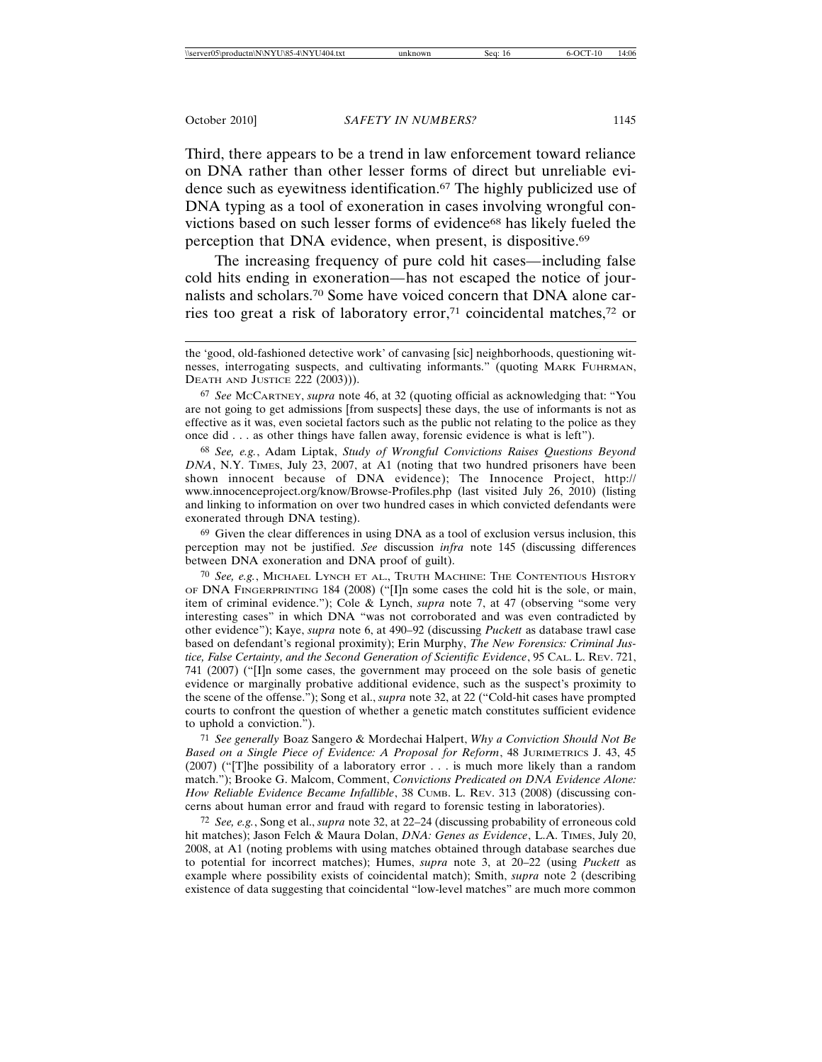Third, there appears to be a trend in law enforcement toward reliance on DNA rather than other lesser forms of direct but unreliable evidence such as eyewitness identification.67 The highly publicized use of DNA typing as a tool of exoneration in cases involving wrongful convictions based on such lesser forms of evidence<sup>68</sup> has likely fueled the perception that DNA evidence, when present, is dispositive.<sup>69</sup>

The increasing frequency of pure cold hit cases*—*including false cold hits ending in exoneration*—*has not escaped the notice of journalists and scholars.70 Some have voiced concern that DNA alone carries too great a risk of laboratory error,71 coincidental matches,72 or

68 *See, e.g.*, Adam Liptak, *Study of Wrongful Convictions Raises Questions Beyond DNA*, N.Y. TIMES, July 23, 2007, at A1 (noting that two hundred prisoners have been shown innocent because of DNA evidence); The Innocence Project, http:// www.innocenceproject.org/know/Browse-Profiles.php (last visited July 26, 2010) (listing and linking to information on over two hundred cases in which convicted defendants were exonerated through DNA testing).

69 Given the clear differences in using DNA as a tool of exclusion versus inclusion, this perception may not be justified. *See* discussion *infra* note 145 (discussing differences between DNA exoneration and DNA proof of guilt).

70 *See, e.g.*, MICHAEL LYNCH ET AL., TRUTH MACHINE: THE CONTENTIOUS HISTORY OF DNA FINGERPRINTING 184 (2008) ("[I]n some cases the cold hit is the sole, or main, item of criminal evidence."); Cole & Lynch, *supra* note 7, at 47 (observing "some very interesting cases" in which DNA "was not corroborated and was even contradicted by other evidence"); Kaye, *supra* note 6, at 490–92 (discussing *Puckett* as database trawl case based on defendant's regional proximity); Erin Murphy, *The New Forensics: Criminal Justice, False Certainty, and the Second Generation of Scientific Evidence*, 95 CAL. L. REV. 721, 741 (2007) ("[I]n some cases, the government may proceed on the sole basis of genetic evidence or marginally probative additional evidence, such as the suspect's proximity to the scene of the offense."); Song et al., *supra* note 32, at 22 ("Cold-hit cases have prompted courts to confront the question of whether a genetic match constitutes sufficient evidence to uphold a conviction.").

71 *See generally* Boaz Sangero & Mordechai Halpert, *Why a Conviction Should Not Be Based on a Single Piece of Evidence: A Proposal for Reform*, 48 JURIMETRICS J. 43, 45 (2007) ("[T]he possibility of a laboratory error . . . is much more likely than a random match."); Brooke G. Malcom, Comment, *Convictions Predicated on DNA Evidence Alone: How Reliable Evidence Became Infallible*, 38 CUMB. L. REV. 313 (2008) (discussing concerns about human error and fraud with regard to forensic testing in laboratories).

72 *See, e.g.*, Song et al., *supra* note 32, at 22–24 (discussing probability of erroneous cold hit matches); Jason Felch & Maura Dolan, *DNA: Genes as Evidence*, L.A. TIMES, July 20, 2008, at A1 (noting problems with using matches obtained through database searches due to potential for incorrect matches); Humes, *supra* note 3, at 20–22 (using *Puckett* as example where possibility exists of coincidental match); Smith, *supra* note 2 (describing existence of data suggesting that coincidental "low-level matches" are much more common

the 'good, old-fashioned detective work' of canvasing [sic] neighborhoods, questioning witnesses, interrogating suspects, and cultivating informants." (quoting MARK FUHRMAN, DEATH AND JUSTICE 222 (2003))).

<sup>67</sup> *See* MCCARTNEY, *supra* note 46, at 32 (quoting official as acknowledging that: "You are not going to get admissions [from suspects] these days, the use of informants is not as effective as it was, even societal factors such as the public not relating to the police as they once did . . . as other things have fallen away, forensic evidence is what is left").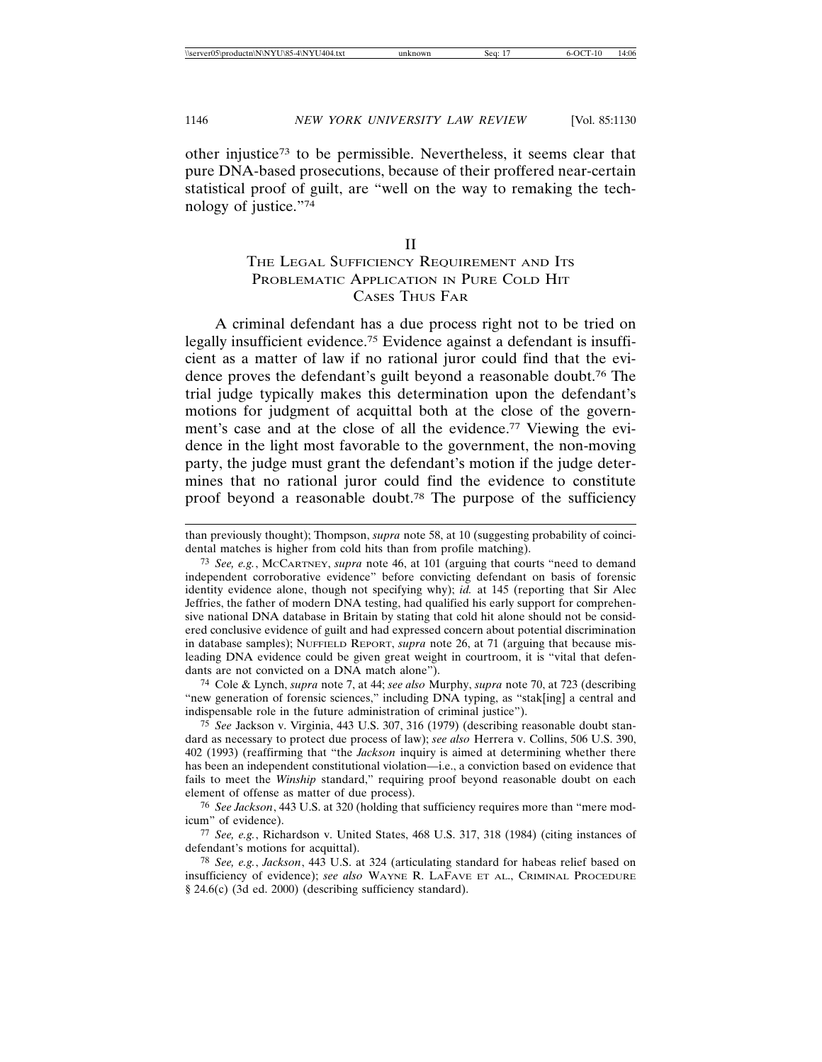other injustice73 to be permissible. Nevertheless, it seems clear that pure DNA-based prosecutions, because of their proffered near-certain statistical proof of guilt, are "well on the way to remaking the technology of justice."74

#### II

# THE LEGAL SUFFICIENCY REQUIREMENT AND ITS PROBLEMATIC APPLICATION IN PURE COLD HIT CASES THUS FAR

A criminal defendant has a due process right not to be tried on legally insufficient evidence.<sup>75</sup> Evidence against a defendant is insufficient as a matter of law if no rational juror could find that the evidence proves the defendant's guilt beyond a reasonable doubt.76 The trial judge typically makes this determination upon the defendant's motions for judgment of acquittal both at the close of the government's case and at the close of all the evidence.77 Viewing the evidence in the light most favorable to the government, the non-moving party, the judge must grant the defendant's motion if the judge determines that no rational juror could find the evidence to constitute proof beyond a reasonable doubt.78 The purpose of the sufficiency

74 Cole & Lynch, *supra* note 7, at 44; *see also* Murphy, *supra* note 70, at 723 (describing "new generation of forensic sciences," including DNA typing, as "stak[ing] a central and indispensable role in the future administration of criminal justice").

75 *See* Jackson v. Virginia, 443 U.S. 307, 316 (1979) (describing reasonable doubt standard as necessary to protect due process of law); *see also* Herrera v. Collins, 506 U.S. 390, 402 (1993) (reaffirming that "the *Jackson* inquiry is aimed at determining whether there has been an independent constitutional violation—i.e., a conviction based on evidence that fails to meet the *Winship* standard," requiring proof beyond reasonable doubt on each element of offense as matter of due process).

76 *See Jackson*, 443 U.S. at 320 (holding that sufficiency requires more than "mere modicum" of evidence).

77 *See, e.g.*, Richardson v. United States, 468 U.S. 317, 318 (1984) (citing instances of defendant's motions for acquittal).

78 *See, e.g.*, *Jackson*, 443 U.S. at 324 (articulating standard for habeas relief based on insufficiency of evidence); *see also* WAYNE R. LAFAVE ET AL., CRIMINAL PROCEDURE § 24.6(c) (3d ed. 2000) (describing sufficiency standard).

than previously thought); Thompson, *supra* note 58, at 10 (suggesting probability of coincidental matches is higher from cold hits than from profile matching).

<sup>73</sup> *See, e.g.*, MCCARTNEY, *supra* note 46, at 101 (arguing that courts "need to demand independent corroborative evidence" before convicting defendant on basis of forensic identity evidence alone, though not specifying why); *id.* at 145 (reporting that Sir Alec Jeffries, the father of modern DNA testing, had qualified his early support for comprehensive national DNA database in Britain by stating that cold hit alone should not be considered conclusive evidence of guilt and had expressed concern about potential discrimination in database samples); NUFFIELD REPORT, *supra* note 26, at 71 (arguing that because misleading DNA evidence could be given great weight in courtroom, it is "vital that defendants are not convicted on a DNA match alone").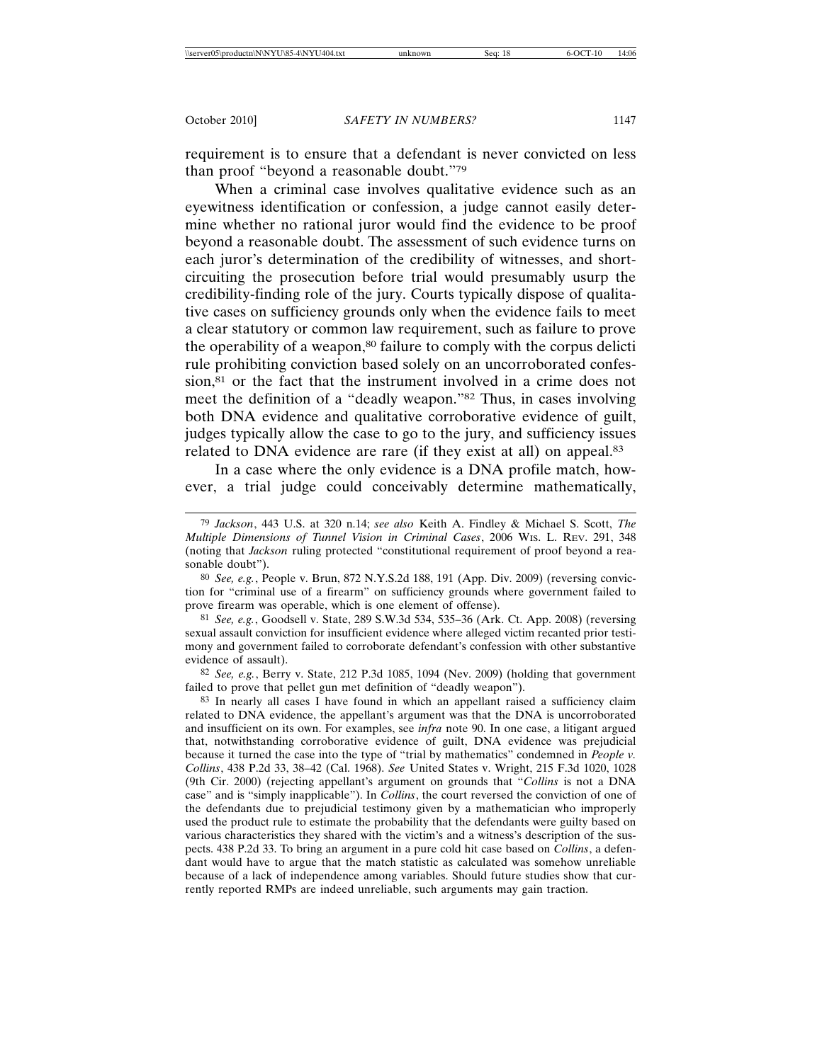requirement is to ensure that a defendant is never convicted on less than proof "beyond a reasonable doubt."79

When a criminal case involves qualitative evidence such as an eyewitness identification or confession, a judge cannot easily determine whether no rational juror would find the evidence to be proof beyond a reasonable doubt. The assessment of such evidence turns on each juror's determination of the credibility of witnesses, and shortcircuiting the prosecution before trial would presumably usurp the credibility-finding role of the jury. Courts typically dispose of qualitative cases on sufficiency grounds only when the evidence fails to meet a clear statutory or common law requirement, such as failure to prove the operability of a weapon,<sup>80</sup> failure to comply with the corpus delicti rule prohibiting conviction based solely on an uncorroborated confession,<sup>81</sup> or the fact that the instrument involved in a crime does not meet the definition of a "deadly weapon."82 Thus, in cases involving both DNA evidence and qualitative corroborative evidence of guilt, judges typically allow the case to go to the jury, and sufficiency issues related to DNA evidence are rare (if they exist at all) on appeal.<sup>83</sup>

In a case where the only evidence is a DNA profile match, however, a trial judge could conceivably determine mathematically,

81 *See, e.g.*, Goodsell v. State, 289 S.W.3d 534, 535–36 (Ark. Ct. App. 2008) (reversing sexual assault conviction for insufficient evidence where alleged victim recanted prior testimony and government failed to corroborate defendant's confession with other substantive evidence of assault).

82 *See, e.g.*, Berry v. State, 212 P.3d 1085, 1094 (Nev. 2009) (holding that government failed to prove that pellet gun met definition of "deadly weapon").

83 In nearly all cases I have found in which an appellant raised a sufficiency claim related to DNA evidence, the appellant's argument was that the DNA is uncorroborated and insufficient on its own. For examples, see *infra* note 90. In one case, a litigant argued that, notwithstanding corroborative evidence of guilt, DNA evidence was prejudicial because it turned the case into the type of "trial by mathematics" condemned in *People v. Collins*, 438 P.2d 33, 38–42 (Cal. 1968). *See* United States v. Wright, 215 F.3d 1020, 1028 (9th Cir. 2000) (rejecting appellant's argument on grounds that "*Collins* is not a DNA case" and is "simply inapplicable"). In *Collins*, the court reversed the conviction of one of the defendants due to prejudicial testimony given by a mathematician who improperly used the product rule to estimate the probability that the defendants were guilty based on various characteristics they shared with the victim's and a witness's description of the suspects. 438 P.2d 33. To bring an argument in a pure cold hit case based on *Collins*, a defendant would have to argue that the match statistic as calculated was somehow unreliable because of a lack of independence among variables. Should future studies show that currently reported RMPs are indeed unreliable, such arguments may gain traction.

<sup>79</sup> *Jackson*, 443 U.S. at 320 n.14; *see also* Keith A. Findley & Michael S. Scott, *The Multiple Dimensions of Tunnel Vision in Criminal Cases*, 2006 WIS. L. REV. 291, 348 (noting that *Jackson* ruling protected "constitutional requirement of proof beyond a reasonable doubt").

<sup>80</sup> *See, e.g.*, People v. Brun, 872 N.Y.S.2d 188, 191 (App. Div. 2009) (reversing conviction for "criminal use of a firearm" on sufficiency grounds where government failed to prove firearm was operable, which is one element of offense).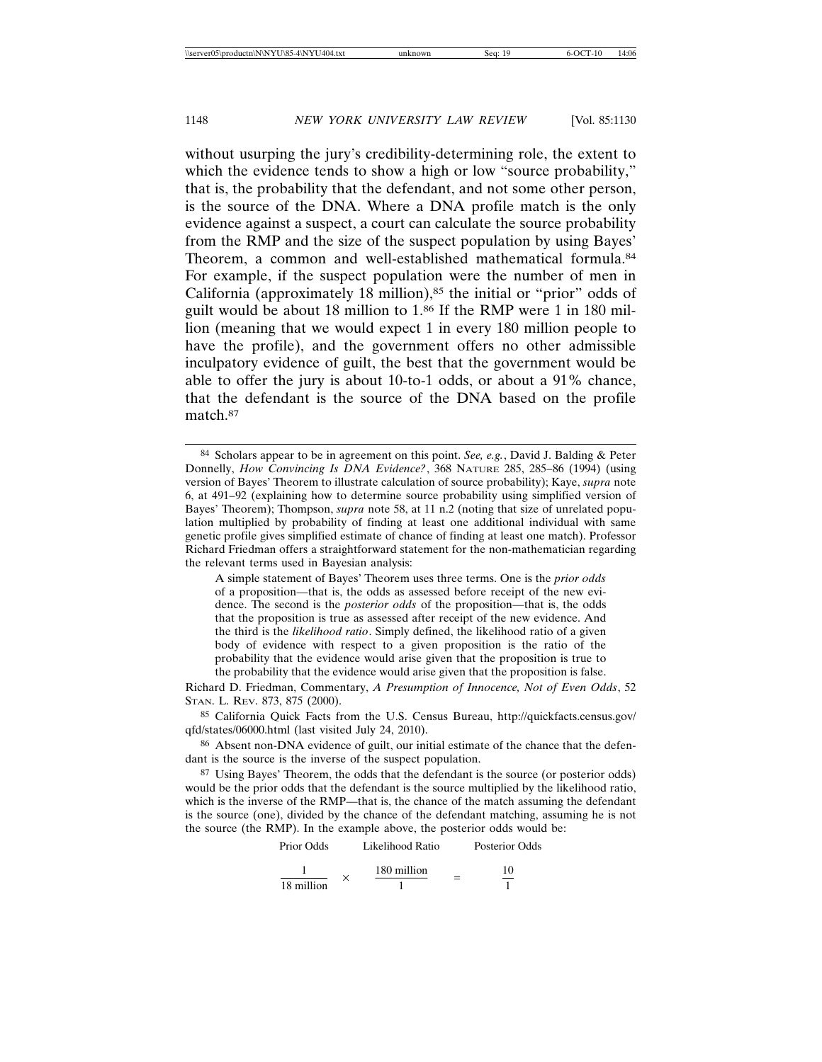without usurping the jury's credibility-determining role, the extent to which the evidence tends to show a high or low "source probability," that is, the probability that the defendant, and not some other person, is the source of the DNA. Where a DNA profile match is the only evidence against a suspect, a court can calculate the source probability from the RMP and the size of the suspect population by using Bayes' Theorem, a common and well-established mathematical formula.<sup>84</sup> For example, if the suspect population were the number of men in California (approximately 18 million), $85$  the initial or "prior" odds of guilt would be about 18 million to 1.86 If the RMP were 1 in 180 million (meaning that we would expect 1 in every 180 million people to have the profile), and the government offers no other admissible inculpatory evidence of guilt, the best that the government would be able to offer the jury is about 10-to-1 odds, or about a 91% chance, that the defendant is the source of the DNA based on the profile match.87

A simple statement of Bayes' Theorem uses three terms. One is the *prior odds* of a proposition—that is, the odds as assessed before receipt of the new evidence. The second is the *posterior odds* of the proposition—that is, the odds that the proposition is true as assessed after receipt of the new evidence. And the third is the *likelihood ratio*. Simply defined, the likelihood ratio of a given body of evidence with respect to a given proposition is the ratio of the probability that the evidence would arise given that the proposition is true to the probability that the evidence would arise given that the proposition is false.

Richard D. Friedman, Commentary, *A Presumption of Innocence, Not of Even Odds*, 52 STAN. L. REV. 873, 875 (2000).

85 California Quick Facts from the U.S. Census Bureau, http://quickfacts.census.gov/ qfd/states/06000.html (last visited July 24, 2010).

86 Absent non-DNA evidence of guilt, our initial estimate of the chance that the defendant is the source is the inverse of the suspect population.

87 Using Bayes' Theorem, the odds that the defendant is the source (or posterior odds) would be the prior odds that the defendant is the source multiplied by the likelihood ratio, which is the inverse of the RMP—that is, the chance of the match assuming the defendant is the source (one), divided by the chance of the defendant matching, assuming he is not the source (the RMP). In the example above, the posterior odds would be:

| Prior Odds |  | Likelihood Ratio |  | Posterior Odds |
|------------|--|------------------|--|----------------|
|            |  | 180 million      |  | 10             |
| 18 million |  |                  |  |                |

<sup>84</sup> Scholars appear to be in agreement on this point. *See, e.g.*, David J. Balding & Peter Donnelly, *How Convincing Is DNA Evidence?*, 368 NATURE 285, 285–86 (1994) (using version of Bayes' Theorem to illustrate calculation of source probability); Kaye, *supra* note 6, at 491–92 (explaining how to determine source probability using simplified version of Bayes' Theorem); Thompson, *supra* note 58, at 11 n.2 (noting that size of unrelated population multiplied by probability of finding at least one additional individual with same genetic profile gives simplified estimate of chance of finding at least one match). Professor Richard Friedman offers a straightforward statement for the non-mathematician regarding the relevant terms used in Bayesian analysis: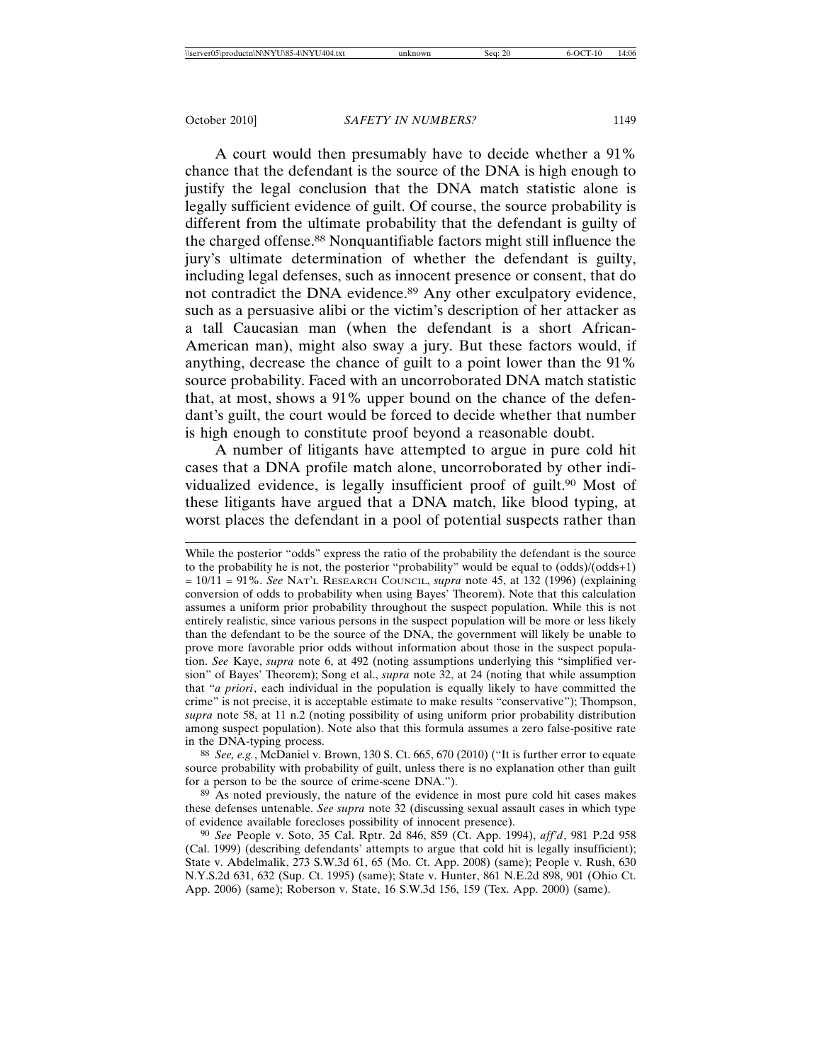A court would then presumably have to decide whether a 91% chance that the defendant is the source of the DNA is high enough to justify the legal conclusion that the DNA match statistic alone is legally sufficient evidence of guilt. Of course, the source probability is different from the ultimate probability that the defendant is guilty of the charged offense.88 Nonquantifiable factors might still influence the jury's ultimate determination of whether the defendant is guilty, including legal defenses, such as innocent presence or consent, that do not contradict the DNA evidence.<sup>89</sup> Any other exculpatory evidence, such as a persuasive alibi or the victim's description of her attacker as a tall Caucasian man (when the defendant is a short African-American man), might also sway a jury. But these factors would, if anything, decrease the chance of guilt to a point lower than the 91% source probability. Faced with an uncorroborated DNA match statistic that, at most, shows a 91% upper bound on the chance of the defendant's guilt, the court would be forced to decide whether that number is high enough to constitute proof beyond a reasonable doubt.

A number of litigants have attempted to argue in pure cold hit cases that a DNA profile match alone, uncorroborated by other individualized evidence, is legally insufficient proof of guilt.<sup>90</sup> Most of these litigants have argued that a DNA match, like blood typing, at worst places the defendant in a pool of potential suspects rather than

88 *See, e.g.*, McDaniel v. Brown, 130 S. Ct. 665, 670 (2010) ("It is further error to equate source probability with probability of guilt, unless there is no explanation other than guilt for a person to be the source of crime-scene DNA.").

89 As noted previously, the nature of the evidence in most pure cold hit cases makes these defenses untenable. *See supra* note 32 (discussing sexual assault cases in which type of evidence available forecloses possibility of innocent presence).

While the posterior "odds" express the ratio of the probability the defendant is the source to the probability he is not, the posterior "probability" would be equal to (odds)/(odds+1) = 10/11 = 91%. *See* NAT'L RESEARCH COUNCIL, *supra* note 45, at 132 (1996) (explaining conversion of odds to probability when using Bayes' Theorem). Note that this calculation assumes a uniform prior probability throughout the suspect population. While this is not entirely realistic, since various persons in the suspect population will be more or less likely than the defendant to be the source of the DNA, the government will likely be unable to prove more favorable prior odds without information about those in the suspect population. *See* Kaye, *supra* note 6, at 492 (noting assumptions underlying this "simplified version" of Bayes' Theorem); Song et al., *supra* note 32, at 24 (noting that while assumption that "*a priori*, each individual in the population is equally likely to have committed the crime" is not precise, it is acceptable estimate to make results "conservative"); Thompson, *supra* note 58, at 11 n.2 (noting possibility of using uniform prior probability distribution among suspect population). Note also that this formula assumes a zero false-positive rate in the DNA-typing process.

<sup>90</sup> *See* People v. Soto, 35 Cal. Rptr. 2d 846, 859 (Ct. App. 1994), *aff'd*, 981 P.2d 958 (Cal. 1999) (describing defendants' attempts to argue that cold hit is legally insufficient); State v. Abdelmalik, 273 S.W.3d 61, 65 (Mo. Ct. App. 2008) (same); People v. Rush, 630 N.Y.S.2d 631, 632 (Sup. Ct. 1995) (same); State v. Hunter, 861 N.E.2d 898, 901 (Ohio Ct. App. 2006) (same); Roberson v. State, 16 S.W.3d 156, 159 (Tex. App. 2000) (same).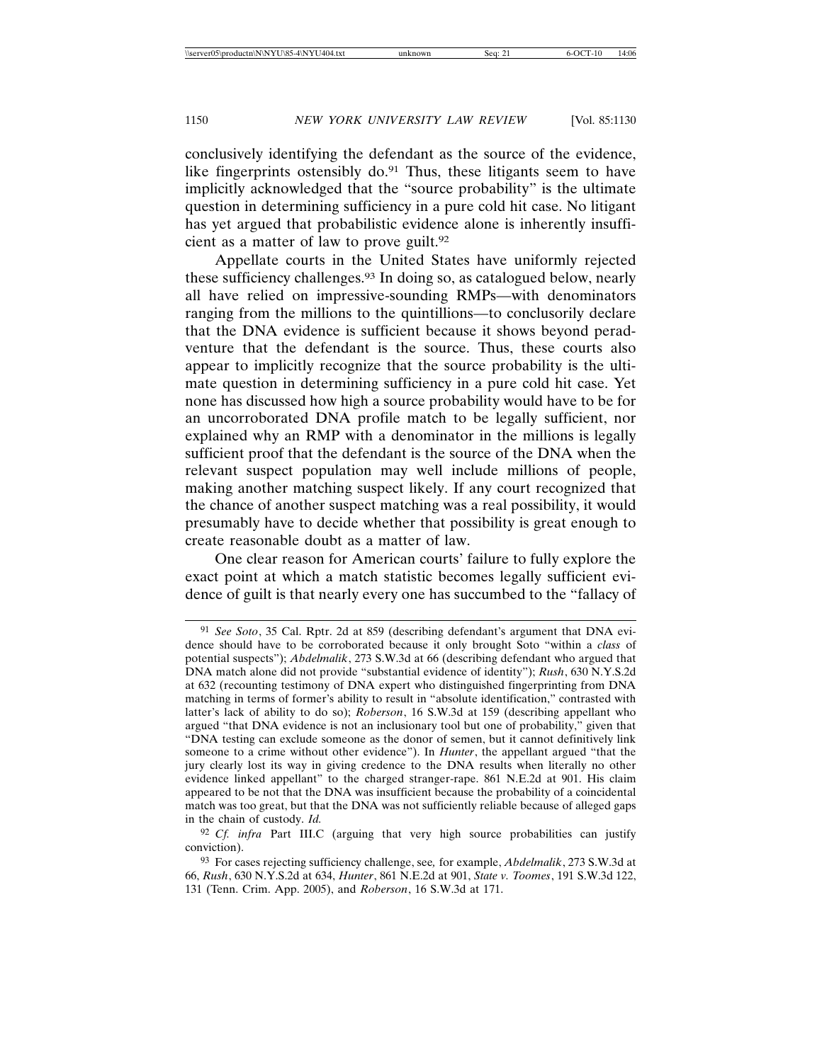conclusively identifying the defendant as the source of the evidence, like fingerprints ostensibly do. $91$  Thus, these litigants seem to have implicitly acknowledged that the "source probability" is the ultimate question in determining sufficiency in a pure cold hit case. No litigant has yet argued that probabilistic evidence alone is inherently insufficient as a matter of law to prove guilt.<sup>92</sup>

Appellate courts in the United States have uniformly rejected these sufficiency challenges.93 In doing so, as catalogued below, nearly all have relied on impressive-sounding RMPs—with denominators ranging from the millions to the quintillions—to conclusorily declare that the DNA evidence is sufficient because it shows beyond peradventure that the defendant is the source. Thus, these courts also appear to implicitly recognize that the source probability is the ultimate question in determining sufficiency in a pure cold hit case. Yet none has discussed how high a source probability would have to be for an uncorroborated DNA profile match to be legally sufficient, nor explained why an RMP with a denominator in the millions is legally sufficient proof that the defendant is the source of the DNA when the relevant suspect population may well include millions of people, making another matching suspect likely. If any court recognized that the chance of another suspect matching was a real possibility, it would presumably have to decide whether that possibility is great enough to create reasonable doubt as a matter of law.

One clear reason for American courts' failure to fully explore the exact point at which a match statistic becomes legally sufficient evidence of guilt is that nearly every one has succumbed to the "fallacy of

<sup>91</sup> *See Soto*, 35 Cal. Rptr. 2d at 859 (describing defendant's argument that DNA evidence should have to be corroborated because it only brought Soto "within a *class* of potential suspects"); *Abdelmalik*, 273 S.W.3d at 66 (describing defendant who argued that DNA match alone did not provide "substantial evidence of identity"); *Rush*, 630 N.Y.S.2d at 632 (recounting testimony of DNA expert who distinguished fingerprinting from DNA matching in terms of former's ability to result in "absolute identification," contrasted with latter's lack of ability to do so); *Roberson*, 16 S.W.3d at 159 (describing appellant who argued "that DNA evidence is not an inclusionary tool but one of probability," given that "DNA testing can exclude someone as the donor of semen, but it cannot definitively link someone to a crime without other evidence"). In *Hunter*, the appellant argued "that the jury clearly lost its way in giving credence to the DNA results when literally no other evidence linked appellant" to the charged stranger-rape. 861 N.E.2d at 901. His claim appeared to be not that the DNA was insufficient because the probability of a coincidental match was too great, but that the DNA was not sufficiently reliable because of alleged gaps in the chain of custody. *Id.*

<sup>92</sup> *Cf. infra* Part III.C (arguing that very high source probabilities can justify conviction).

<sup>93</sup> For cases rejecting sufficiency challenge, see*,* for example, *Abdelmalik*, 273 S.W.3d at 66, *Rush*, 630 N.Y.S.2d at 634, *Hunter*, 861 N.E.2d at 901, *State v. Toomes*, 191 S.W.3d 122, 131 (Tenn. Crim. App. 2005), and *Roberson*, 16 S.W.3d at 171.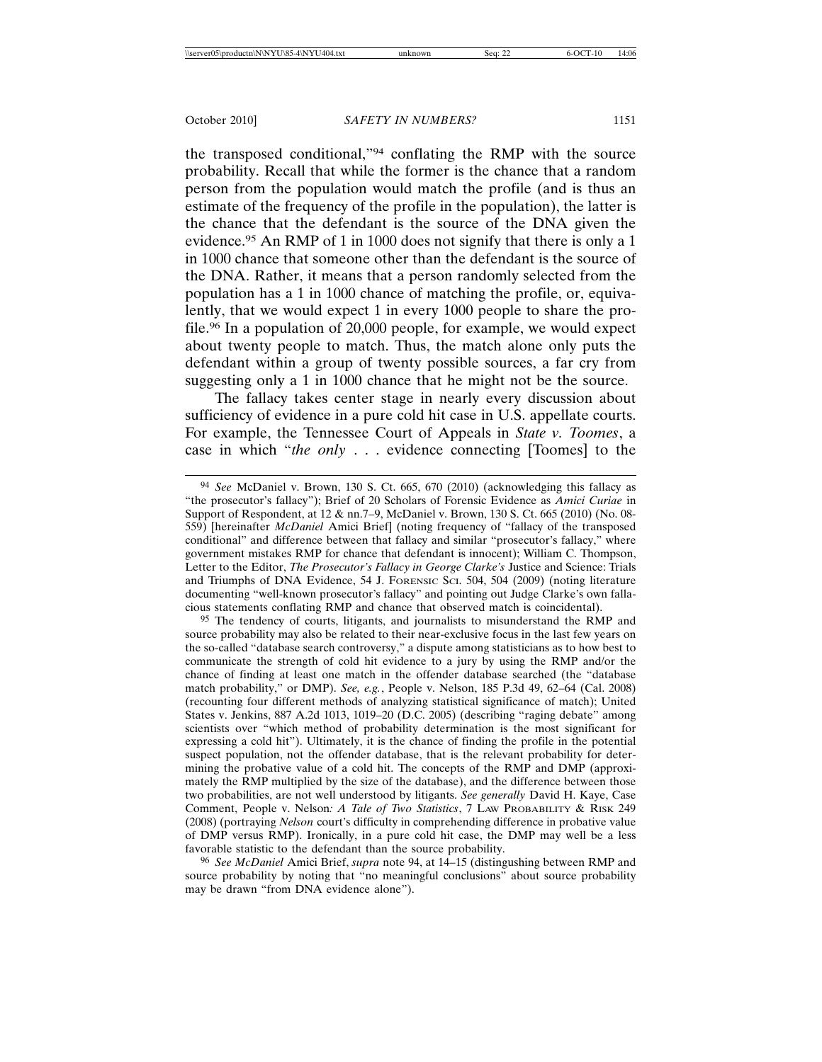the transposed conditional,"94 conflating the RMP with the source probability. Recall that while the former is the chance that a random person from the population would match the profile (and is thus an estimate of the frequency of the profile in the population), the latter is the chance that the defendant is the source of the DNA given the evidence.95 An RMP of 1 in 1000 does not signify that there is only a 1 in 1000 chance that someone other than the defendant is the source of the DNA. Rather, it means that a person randomly selected from the population has a 1 in 1000 chance of matching the profile, or, equivalently, that we would expect 1 in every 1000 people to share the profile.96 In a population of 20,000 people, for example, we would expect about twenty people to match. Thus, the match alone only puts the defendant within a group of twenty possible sources, a far cry from suggesting only a 1 in 1000 chance that he might not be the source.

The fallacy takes center stage in nearly every discussion about sufficiency of evidence in a pure cold hit case in U.S. appellate courts. For example, the Tennessee Court of Appeals in *State v. Toomes*, a case in which "*the only* . . . evidence connecting [Toomes] to the

95 The tendency of courts, litigants, and journalists to misunderstand the RMP and source probability may also be related to their near-exclusive focus in the last few years on the so-called "database search controversy," a dispute among statisticians as to how best to communicate the strength of cold hit evidence to a jury by using the RMP and/or the chance of finding at least one match in the offender database searched (the "database match probability," or DMP). *See, e.g.*, People v. Nelson, 185 P.3d 49, 62–64 (Cal. 2008) (recounting four different methods of analyzing statistical significance of match); United States v. Jenkins, 887 A.2d 1013, 1019–20 (D.C. 2005) (describing "raging debate" among scientists over "which method of probability determination is the most significant for expressing a cold hit"). Ultimately, it is the chance of finding the profile in the potential suspect population, not the offender database, that is the relevant probability for determining the probative value of a cold hit. The concepts of the RMP and DMP (approximately the RMP multiplied by the size of the database), and the difference between those two probabilities, are not well understood by litigants. *See generally* David H. Kaye, Case Comment, People v. Nelson*: A Tale of Two Statistics*, 7 LAW PROBABILITY & RISK 249 (2008) (portraying *Nelson* court's difficulty in comprehending difference in probative value of DMP versus RMP). Ironically, in a pure cold hit case, the DMP may well be a less favorable statistic to the defendant than the source probability.

96 *See McDaniel* Amici Brief, *supra* note 94, at 14–15 (distingushing between RMP and source probability by noting that "no meaningful conclusions" about source probability may be drawn "from DNA evidence alone").

<sup>94</sup> *See* McDaniel v. Brown, 130 S. Ct. 665, 670 (2010) (acknowledging this fallacy as "the prosecutor's fallacy"); Brief of 20 Scholars of Forensic Evidence as *Amici Curiae* in Support of Respondent, at 12 & nn.7–9, McDaniel v. Brown, 130 S. Ct. 665 (2010) (No. 08- 559) [hereinafter *McDaniel* Amici Brief] (noting frequency of "fallacy of the transposed conditional" and difference between that fallacy and similar "prosecutor's fallacy," where government mistakes RMP for chance that defendant is innocent); William C. Thompson, Letter to the Editor, *The Prosecutor's Fallacy in George Clarke's* Justice and Science: Trials and Triumphs of DNA Evidence, 54 J. FORENSIC SCI. 504, 504 (2009) (noting literature documenting "well-known prosecutor's fallacy" and pointing out Judge Clarke's own fallacious statements conflating RMP and chance that observed match is coincidental).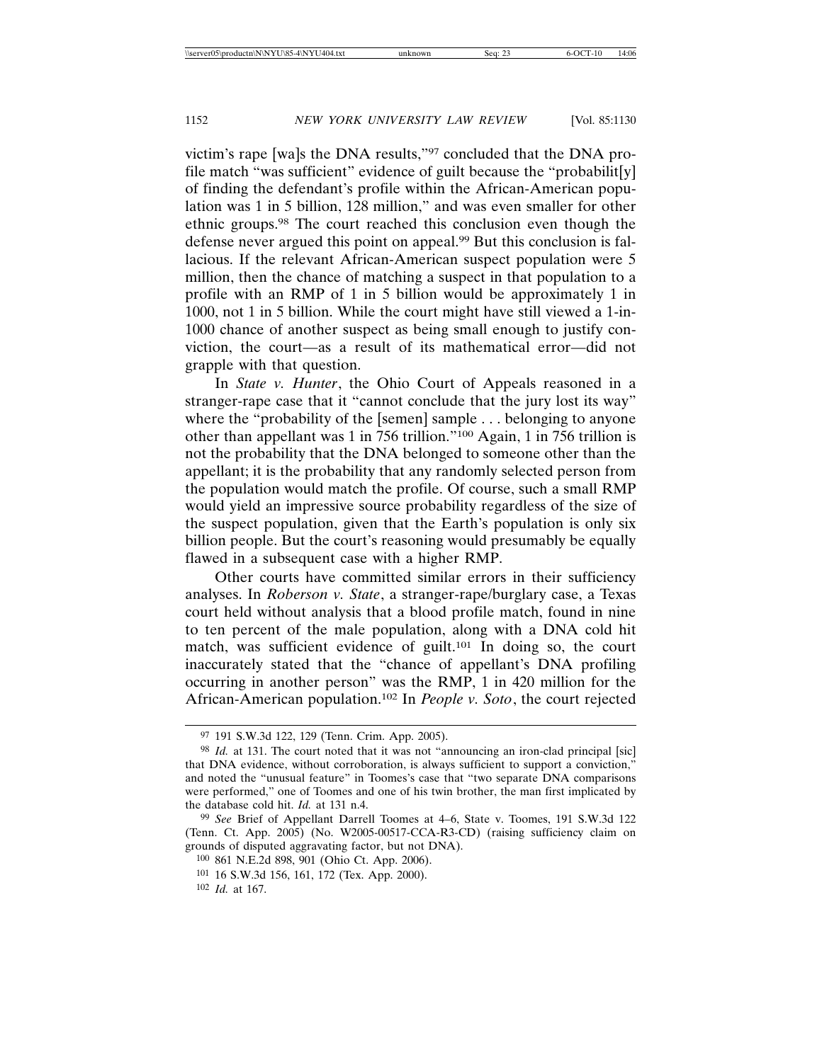victim's rape [wa]s the DNA results,"97 concluded that the DNA profile match "was sufficient" evidence of guilt because the "probabilit[y] of finding the defendant's profile within the African-American population was 1 in 5 billion, 128 million," and was even smaller for other ethnic groups.98 The court reached this conclusion even though the defense never argued this point on appeal.99 But this conclusion is fallacious. If the relevant African-American suspect population were 5 million, then the chance of matching a suspect in that population to a profile with an RMP of 1 in 5 billion would be approximately 1 in 1000, not 1 in 5 billion. While the court might have still viewed a 1-in-1000 chance of another suspect as being small enough to justify conviction, the court—as a result of its mathematical error—did not grapple with that question.

In *State v. Hunter*, the Ohio Court of Appeals reasoned in a stranger-rape case that it "cannot conclude that the jury lost its way" where the "probability of the [semen] sample . . . belonging to anyone other than appellant was 1 in 756 trillion."100 Again, 1 in 756 trillion is not the probability that the DNA belonged to someone other than the appellant; it is the probability that any randomly selected person from the population would match the profile. Of course, such a small RMP would yield an impressive source probability regardless of the size of the suspect population, given that the Earth's population is only six billion people. But the court's reasoning would presumably be equally flawed in a subsequent case with a higher RMP.

Other courts have committed similar errors in their sufficiency analyses. In *Roberson v. State*, a stranger-rape/burglary case, a Texas court held without analysis that a blood profile match, found in nine to ten percent of the male population, along with a DNA cold hit match, was sufficient evidence of guilt.<sup>101</sup> In doing so, the court inaccurately stated that the "chance of appellant's DNA profiling occurring in another person" was the RMP, 1 in 420 million for the African-American population.102 In *People v. Soto*, the court rejected

<sup>97</sup> 191 S.W.3d 122, 129 (Tenn. Crim. App. 2005).

<sup>&</sup>lt;sup>98</sup> *Id.* at 131. The court noted that it was not "announcing an iron-clad principal [sic] that DNA evidence, without corroboration, is always sufficient to support a conviction," and noted the "unusual feature" in Toomes's case that "two separate DNA comparisons were performed," one of Toomes and one of his twin brother, the man first implicated by the database cold hit. *Id.* at 131 n.4.

<sup>99</sup> *See* Brief of Appellant Darrell Toomes at 4–6, State v. Toomes, 191 S.W.3d 122 (Tenn. Ct. App. 2005) (No. W2005-00517-CCA-R3-CD) (raising sufficiency claim on grounds of disputed aggravating factor, but not DNA).

<sup>100</sup> 861 N.E.2d 898, 901 (Ohio Ct. App. 2006).

<sup>101</sup> 16 S.W.3d 156, 161, 172 (Tex. App. 2000).

<sup>102</sup> *Id.* at 167.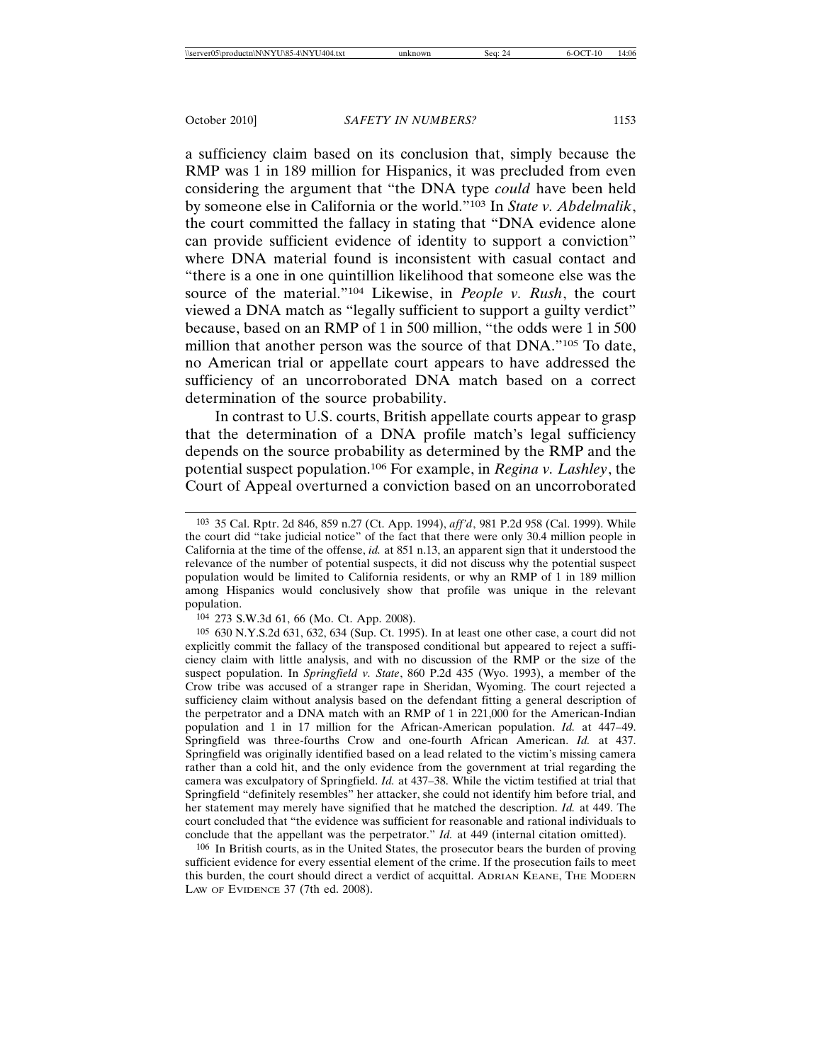a sufficiency claim based on its conclusion that, simply because the RMP was 1 in 189 million for Hispanics, it was precluded from even considering the argument that "the DNA type *could* have been held by someone else in California or the world."103 In *State v. Abdelmalik*, the court committed the fallacy in stating that "DNA evidence alone can provide sufficient evidence of identity to support a conviction" where DNA material found is inconsistent with casual contact and "there is a one in one quintillion likelihood that someone else was the source of the material."104 Likewise, in *People v. Rush*, the court viewed a DNA match as "legally sufficient to support a guilty verdict" because, based on an RMP of 1 in 500 million, "the odds were 1 in 500 million that another person was the source of that DNA."105 To date, no American trial or appellate court appears to have addressed the sufficiency of an uncorroborated DNA match based on a correct determination of the source probability.

In contrast to U.S. courts, British appellate courts appear to grasp that the determination of a DNA profile match's legal sufficiency depends on the source probability as determined by the RMP and the potential suspect population.106 For example, in *Regina v. Lashley*, the Court of Appeal overturned a conviction based on an uncorroborated

104 273 S.W.3d 61, 66 (Mo. Ct. App. 2008).

105 630 N.Y.S.2d 631, 632, 634 (Sup. Ct. 1995). In at least one other case, a court did not explicitly commit the fallacy of the transposed conditional but appeared to reject a sufficiency claim with little analysis, and with no discussion of the RMP or the size of the suspect population. In *Springfield v. State*, 860 P.2d 435 (Wyo. 1993), a member of the Crow tribe was accused of a stranger rape in Sheridan, Wyoming. The court rejected a sufficiency claim without analysis based on the defendant fitting a general description of the perpetrator and a DNA match with an RMP of 1 in 221,000 for the American-Indian population and 1 in 17 million for the African-American population. *Id.* at 447–49. Springfield was three-fourths Crow and one-fourth African American. *Id.* at 437. Springfield was originally identified based on a lead related to the victim's missing camera rather than a cold hit, and the only evidence from the government at trial regarding the camera was exculpatory of Springfield. *Id.* at 437–38. While the victim testified at trial that Springfield "definitely resembles" her attacker, she could not identify him before trial, and her statement may merely have signified that he matched the description. *Id.* at 449. The court concluded that "the evidence was sufficient for reasonable and rational individuals to conclude that the appellant was the perpetrator." *Id.* at 449 (internal citation omitted).

106 In British courts, as in the United States, the prosecutor bears the burden of proving sufficient evidence for every essential element of the crime. If the prosecution fails to meet this burden, the court should direct a verdict of acquittal. ADRIAN KEANE, THE MODERN LAW OF EVIDENCE 37 (7th ed. 2008).

<sup>103</sup> 35 Cal. Rptr. 2d 846, 859 n.27 (Ct. App. 1994), *aff'd*, 981 P.2d 958 (Cal. 1999). While the court did "take judicial notice" of the fact that there were only 30.4 million people in California at the time of the offense, *id.* at 851 n.13, an apparent sign that it understood the relevance of the number of potential suspects, it did not discuss why the potential suspect population would be limited to California residents, or why an RMP of 1 in 189 million among Hispanics would conclusively show that profile was unique in the relevant population.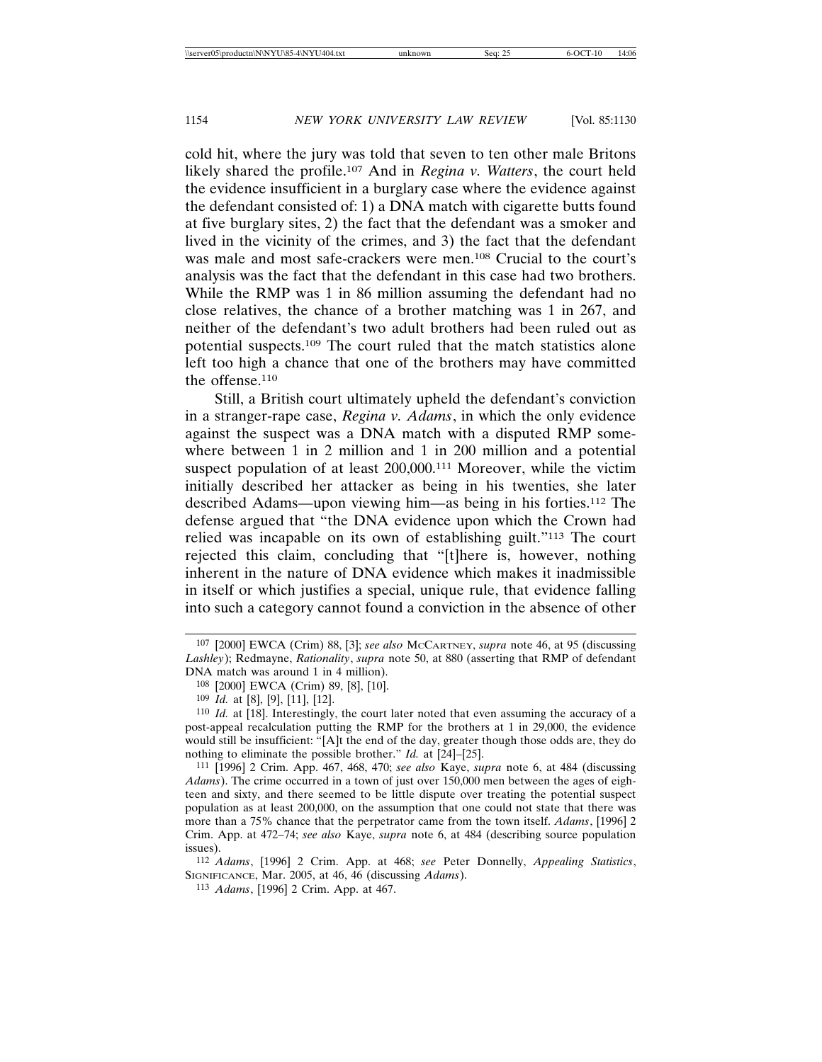cold hit, where the jury was told that seven to ten other male Britons likely shared the profile.107 And in *Regina v. Watters*, the court held the evidence insufficient in a burglary case where the evidence against the defendant consisted of: 1) a DNA match with cigarette butts found at five burglary sites, 2) the fact that the defendant was a smoker and lived in the vicinity of the crimes, and 3) the fact that the defendant was male and most safe-crackers were men.<sup>108</sup> Crucial to the court's analysis was the fact that the defendant in this case had two brothers. While the RMP was 1 in 86 million assuming the defendant had no close relatives, the chance of a brother matching was 1 in 267, and neither of the defendant's two adult brothers had been ruled out as potential suspects.109 The court ruled that the match statistics alone left too high a chance that one of the brothers may have committed the offense.110

Still, a British court ultimately upheld the defendant's conviction in a stranger-rape case, *Regina v. Adams*, in which the only evidence against the suspect was a DNA match with a disputed RMP somewhere between 1 in 2 million and 1 in 200 million and a potential suspect population of at least 200,000.<sup>111</sup> Moreover, while the victim initially described her attacker as being in his twenties, she later described Adams—upon viewing him—as being in his forties.112 The defense argued that "the DNA evidence upon which the Crown had relied was incapable on its own of establishing guilt."113 The court rejected this claim, concluding that "[t]here is, however, nothing inherent in the nature of DNA evidence which makes it inadmissible in itself or which justifies a special, unique rule, that evidence falling into such a category cannot found a conviction in the absence of other

112 *Adams*, [1996] 2 Crim. App. at 468; *see* Peter Donnelly, *Appealing Statistics*, SIGNIFICANCE, Mar. 2005, at 46, 46 (discussing *Adams*).

113 *Adams*, [1996] 2 Crim. App. at 467.

<sup>107</sup> [2000] EWCA (Crim) 88, [3]; *see also* MCCARTNEY, *supra* note 46, at 95 (discussing *Lashley*); Redmayne, *Rationality*, *supra* note 50, at 880 (asserting that RMP of defendant DNA match was around 1 in 4 million).

<sup>108</sup> [2000] EWCA (Crim) 89, [8], [10].

<sup>109</sup> *Id.* at [8], [9], [11], [12].

<sup>110</sup> *Id.* at [18]. Interestingly, the court later noted that even assuming the accuracy of a post-appeal recalculation putting the RMP for the brothers at 1 in 29,000, the evidence would still be insufficient: "[A]t the end of the day, greater though those odds are, they do nothing to eliminate the possible brother." *Id.* at [24]–[25].

<sup>111</sup> [1996] 2 Crim. App. 467, 468, 470; *see also* Kaye, *supra* note 6, at 484 (discussing *Adams*). The crime occurred in a town of just over 150,000 men between the ages of eighteen and sixty, and there seemed to be little dispute over treating the potential suspect population as at least 200,000, on the assumption that one could not state that there was more than a 75% chance that the perpetrator came from the town itself. *Adams*, [1996] 2 Crim. App. at 472–74; *see also* Kaye, *supra* note 6, at 484 (describing source population issues).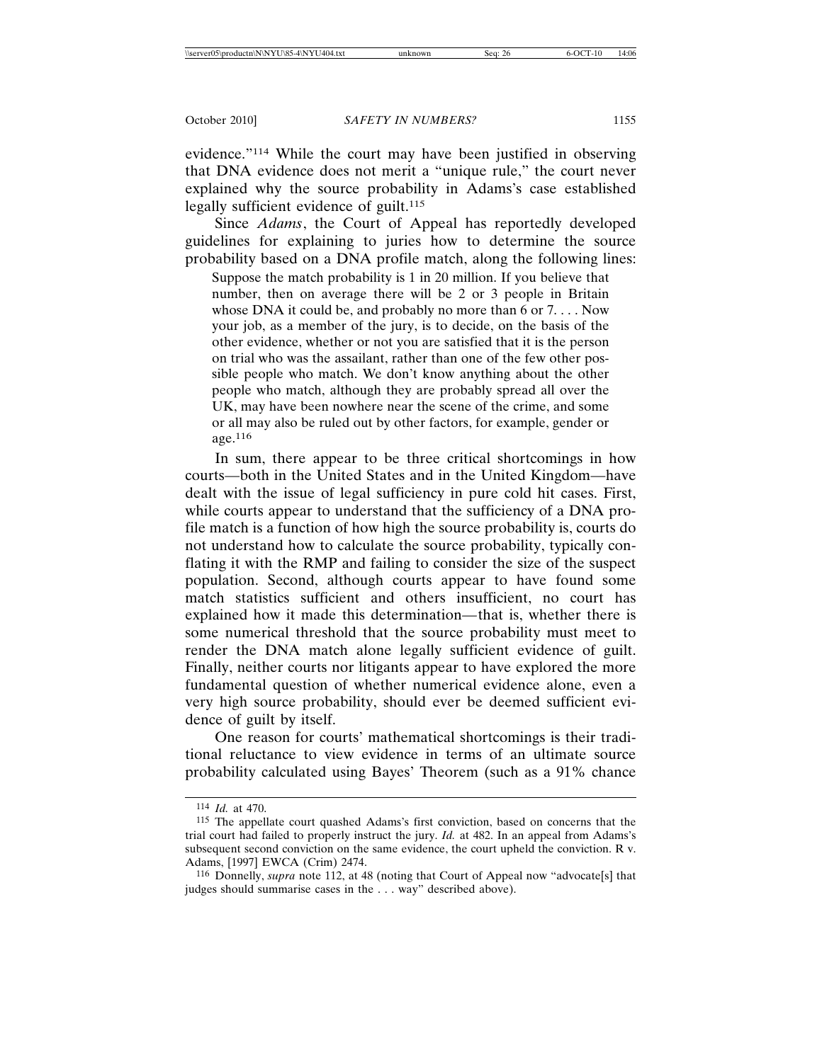evidence."114 While the court may have been justified in observing that DNA evidence does not merit a "unique rule," the court never explained why the source probability in Adams's case established legally sufficient evidence of guilt.<sup>115</sup>

Since *Adams*, the Court of Appeal has reportedly developed guidelines for explaining to juries how to determine the source probability based on a DNA profile match, along the following lines:

Suppose the match probability is 1 in 20 million. If you believe that number, then on average there will be 2 or 3 people in Britain whose DNA it could be, and probably no more than 6 or  $7 \ldots$ . Now your job, as a member of the jury, is to decide, on the basis of the other evidence, whether or not you are satisfied that it is the person on trial who was the assailant, rather than one of the few other possible people who match. We don't know anything about the other people who match, although they are probably spread all over the UK, may have been nowhere near the scene of the crime, and some or all may also be ruled out by other factors, for example, gender or age.<sup>116</sup>

In sum, there appear to be three critical shortcomings in how courts—both in the United States and in the United Kingdom—have dealt with the issue of legal sufficiency in pure cold hit cases. First, while courts appear to understand that the sufficiency of a DNA profile match is a function of how high the source probability is, courts do not understand how to calculate the source probability, typically conflating it with the RMP and failing to consider the size of the suspect population. Second, although courts appear to have found some match statistics sufficient and others insufficient, no court has explained how it made this determination*—*that is, whether there is some numerical threshold that the source probability must meet to render the DNA match alone legally sufficient evidence of guilt. Finally, neither courts nor litigants appear to have explored the more fundamental question of whether numerical evidence alone, even a very high source probability, should ever be deemed sufficient evidence of guilt by itself.

One reason for courts' mathematical shortcomings is their traditional reluctance to view evidence in terms of an ultimate source probability calculated using Bayes' Theorem (such as a 91% chance

<sup>114</sup> *Id.* at 470.

<sup>115</sup> The appellate court quashed Adams's first conviction, based on concerns that the trial court had failed to properly instruct the jury. *Id.* at 482. In an appeal from Adams's subsequent second conviction on the same evidence, the court upheld the conviction. R v. Adams, [1997] EWCA (Crim) 2474.

<sup>116</sup> Donnelly, *supra* note 112, at 48 (noting that Court of Appeal now "advocate[s] that judges should summarise cases in the . . . way" described above).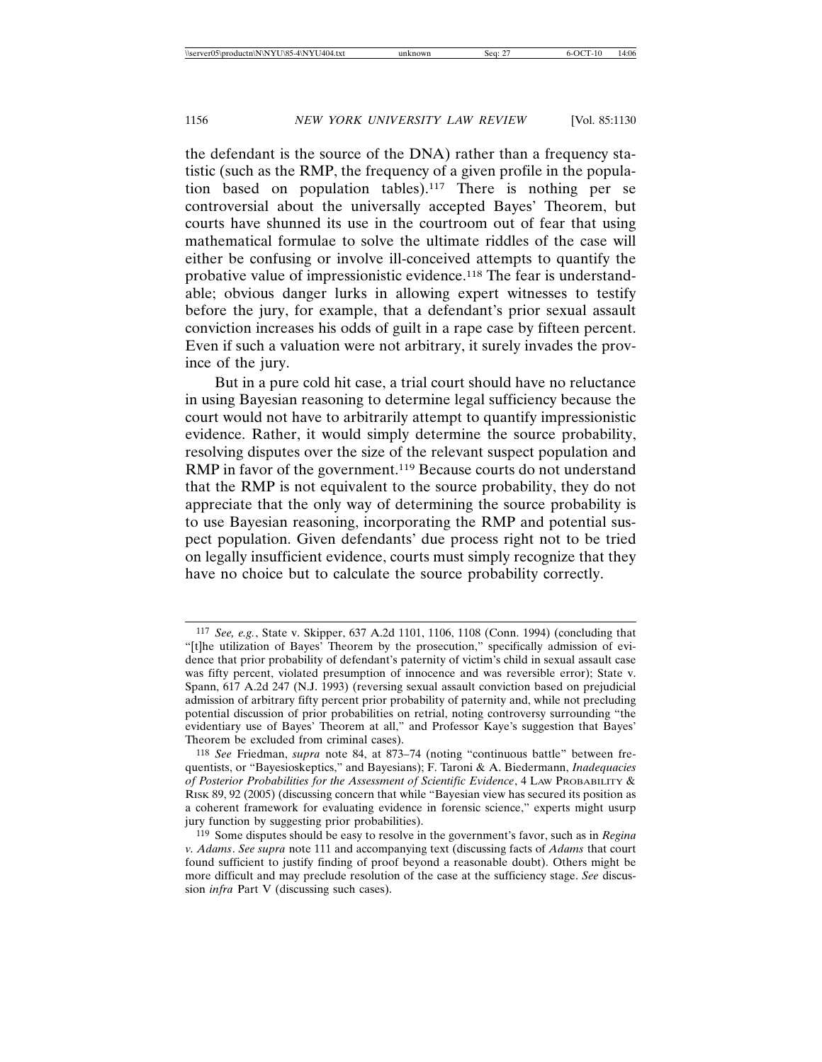the defendant is the source of the DNA) rather than a frequency statistic (such as the RMP, the frequency of a given profile in the population based on population tables).117 There is nothing per se controversial about the universally accepted Bayes' Theorem, but courts have shunned its use in the courtroom out of fear that using mathematical formulae to solve the ultimate riddles of the case will either be confusing or involve ill-conceived attempts to quantify the probative value of impressionistic evidence.118 The fear is understandable; obvious danger lurks in allowing expert witnesses to testify before the jury, for example, that a defendant's prior sexual assault conviction increases his odds of guilt in a rape case by fifteen percent. Even if such a valuation were not arbitrary, it surely invades the province of the jury.

But in a pure cold hit case, a trial court should have no reluctance in using Bayesian reasoning to determine legal sufficiency because the court would not have to arbitrarily attempt to quantify impressionistic evidence. Rather, it would simply determine the source probability, resolving disputes over the size of the relevant suspect population and RMP in favor of the government.<sup>119</sup> Because courts do not understand that the RMP is not equivalent to the source probability, they do not appreciate that the only way of determining the source probability is to use Bayesian reasoning, incorporating the RMP and potential suspect population. Given defendants' due process right not to be tried on legally insufficient evidence, courts must simply recognize that they have no choice but to calculate the source probability correctly.

<sup>117</sup> *See, e.g.*, State v. Skipper, 637 A.2d 1101, 1106, 1108 (Conn. 1994) (concluding that "[t]he utilization of Bayes' Theorem by the prosecution," specifically admission of evidence that prior probability of defendant's paternity of victim's child in sexual assault case was fifty percent, violated presumption of innocence and was reversible error); State v. Spann, 617 A.2d 247 (N.J. 1993) (reversing sexual assault conviction based on prejudicial admission of arbitrary fifty percent prior probability of paternity and, while not precluding potential discussion of prior probabilities on retrial, noting controversy surrounding "the evidentiary use of Bayes' Theorem at all," and Professor Kaye's suggestion that Bayes' Theorem be excluded from criminal cases).

<sup>118</sup> *See* Friedman, *supra* note 84, at 873–74 (noting "continuous battle" between frequentists, or "Bayesioskeptics," and Bayesians); F. Taroni & A. Biedermann, *Inadequacies of Posterior Probabilities for the Assessment of Scientific Evidence*, 4 LAW PROBABILITY & RISK 89, 92 (2005) (discussing concern that while "Bayesian view has secured its position as a coherent framework for evaluating evidence in forensic science," experts might usurp jury function by suggesting prior probabilities).

<sup>119</sup> Some disputes should be easy to resolve in the government's favor, such as in *Regina v. Adams*. *See supra* note 111 and accompanying text (discussing facts of *Adams* that court found sufficient to justify finding of proof beyond a reasonable doubt). Others might be more difficult and may preclude resolution of the case at the sufficiency stage. *See* discussion *infra* Part V (discussing such cases).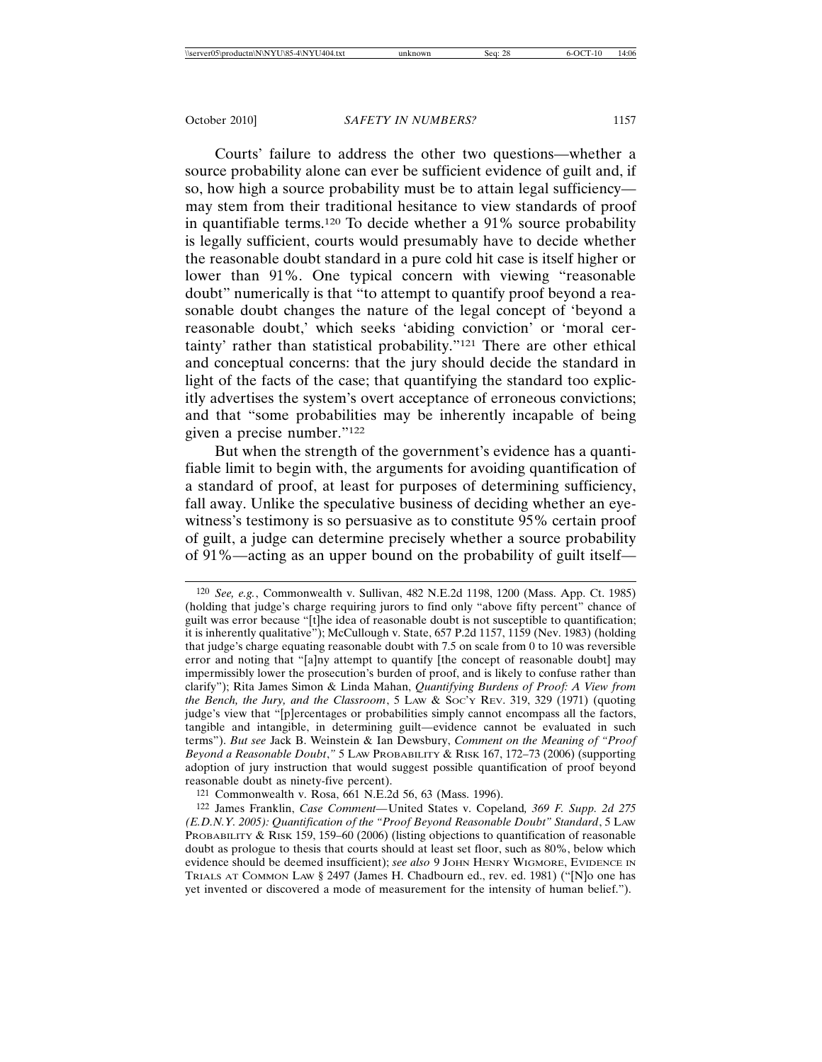Courts' failure to address the other two questions—whether a source probability alone can ever be sufficient evidence of guilt and, if so, how high a source probability must be to attain legal sufficiency may stem from their traditional hesitance to view standards of proof in quantifiable terms.120 To decide whether a 91% source probability is legally sufficient, courts would presumably have to decide whether the reasonable doubt standard in a pure cold hit case is itself higher or lower than 91%. One typical concern with viewing "reasonable doubt" numerically is that "to attempt to quantify proof beyond a reasonable doubt changes the nature of the legal concept of 'beyond a reasonable doubt,' which seeks 'abiding conviction' or 'moral certainty' rather than statistical probability."121 There are other ethical and conceptual concerns: that the jury should decide the standard in light of the facts of the case; that quantifying the standard too explicitly advertises the system's overt acceptance of erroneous convictions; and that "some probabilities may be inherently incapable of being given a precise number."122

But when the strength of the government's evidence has a quantifiable limit to begin with, the arguments for avoiding quantification of a standard of proof, at least for purposes of determining sufficiency, fall away. Unlike the speculative business of deciding whether an eyewitness's testimony is so persuasive as to constitute 95% certain proof of guilt, a judge can determine precisely whether a source probability of 91%—acting as an upper bound on the probability of guilt itself—

<sup>120</sup> *See, e.g.*, Commonwealth v. Sullivan, 482 N.E.2d 1198, 1200 (Mass. App. Ct. 1985) (holding that judge's charge requiring jurors to find only "above fifty percent" chance of guilt was error because "[t]he idea of reasonable doubt is not susceptible to quantification; it is inherently qualitative"); McCullough v. State, 657 P.2d 1157, 1159 (Nev. 1983) (holding that judge's charge equating reasonable doubt with 7.5 on scale from 0 to 10 was reversible error and noting that "[a]ny attempt to quantify [the concept of reasonable doubt] may impermissibly lower the prosecution's burden of proof, and is likely to confuse rather than clarify"); Rita James Simon & Linda Mahan, *Quantifying Burdens of Proof: A View from the Bench, the Jury, and the Classroom*, 5 LAW & SOC'Y REV. 319, 329 (1971) (quoting judge's view that "[p]ercentages or probabilities simply cannot encompass all the factors, tangible and intangible, in determining guilt—evidence cannot be evaluated in such terms"). *But see* Jack B. Weinstein & Ian Dewsbury, *Comment on the Meaning of "Proof Beyond a Reasonable Doubt*,*"* 5 LAW PROBABILITY & RISK 167, 172–73 (2006) (supporting adoption of jury instruction that would suggest possible quantification of proof beyond reasonable doubt as ninety-five percent).

<sup>121</sup> Commonwealth v. Rosa, 661 N.E.2d 56, 63 (Mass. 1996).

<sup>122</sup> James Franklin, *Case Comment—*United States v. Copeland*, 369 F. Supp. 2d 275 (E.D.N.Y. 2005): Quantification of the "Proof Beyond Reasonable Doubt" Standard*, 5 LAW PROBABILITY & RISK 159, 159–60 (2006) (listing objections to quantification of reasonable doubt as prologue to thesis that courts should at least set floor, such as 80%, below which evidence should be deemed insufficient); *see also* 9 JOHN HENRY WIGMORE, EVIDENCE IN TRIALS AT COMMON LAW § 2497 (James H. Chadbourn ed., rev. ed. 1981) ("[N]o one has yet invented or discovered a mode of measurement for the intensity of human belief.").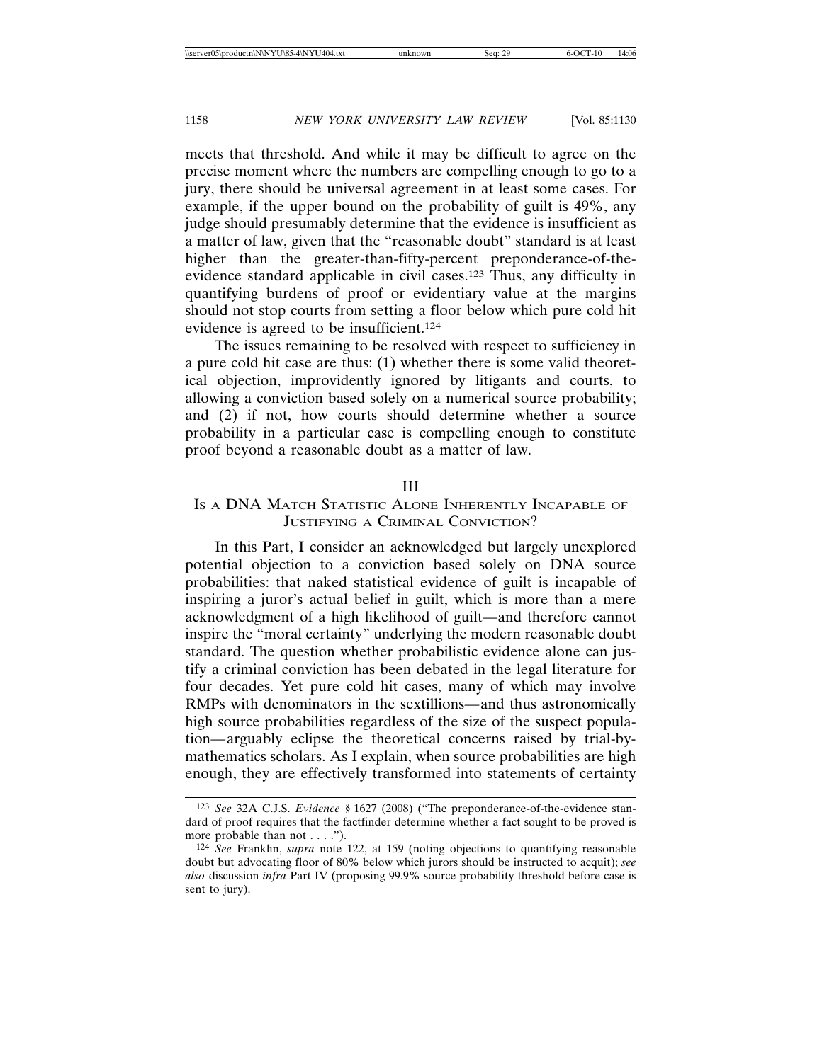meets that threshold. And while it may be difficult to agree on the precise moment where the numbers are compelling enough to go to a jury, there should be universal agreement in at least some cases. For example, if the upper bound on the probability of guilt is 49%, any judge should presumably determine that the evidence is insufficient as a matter of law, given that the "reasonable doubt" standard is at least higher than the greater-than-fifty-percent preponderance-of-theevidence standard applicable in civil cases.123 Thus, any difficulty in quantifying burdens of proof or evidentiary value at the margins should not stop courts from setting a floor below which pure cold hit evidence is agreed to be insufficient.124

The issues remaining to be resolved with respect to sufficiency in a pure cold hit case are thus: (1) whether there is some valid theoretical objection, improvidently ignored by litigants and courts, to allowing a conviction based solely on a numerical source probability; and (2) if not, how courts should determine whether a source probability in a particular case is compelling enough to constitute proof beyond a reasonable doubt as a matter of law.

#### III

# IS A DNA MATCH STATISTIC ALONE INHERENTLY INCAPABLE OF JUSTIFYING A CRIMINAL CONVICTION?

In this Part, I consider an acknowledged but largely unexplored potential objection to a conviction based solely on DNA source probabilities: that naked statistical evidence of guilt is incapable of inspiring a juror's actual belief in guilt, which is more than a mere acknowledgment of a high likelihood of guilt—and therefore cannot inspire the "moral certainty" underlying the modern reasonable doubt standard. The question whether probabilistic evidence alone can justify a criminal conviction has been debated in the legal literature for four decades. Yet pure cold hit cases, many of which may involve RMPs with denominators in the sextillions*—*and thus astronomically high source probabilities regardless of the size of the suspect population*—*arguably eclipse the theoretical concerns raised by trial-bymathematics scholars. As I explain, when source probabilities are high enough, they are effectively transformed into statements of certainty

<sup>123</sup> *See* 32A C.J.S. *Evidence* § 1627 (2008) ("The preponderance-of-the-evidence standard of proof requires that the factfinder determine whether a fact sought to be proved is more probable than not . . . .").

<sup>124</sup> *See* Franklin, *supra* note 122, at 159 (noting objections to quantifying reasonable doubt but advocating floor of 80% below which jurors should be instructed to acquit); *see also* discussion *infra* Part IV (proposing 99.9% source probability threshold before case is sent to jury).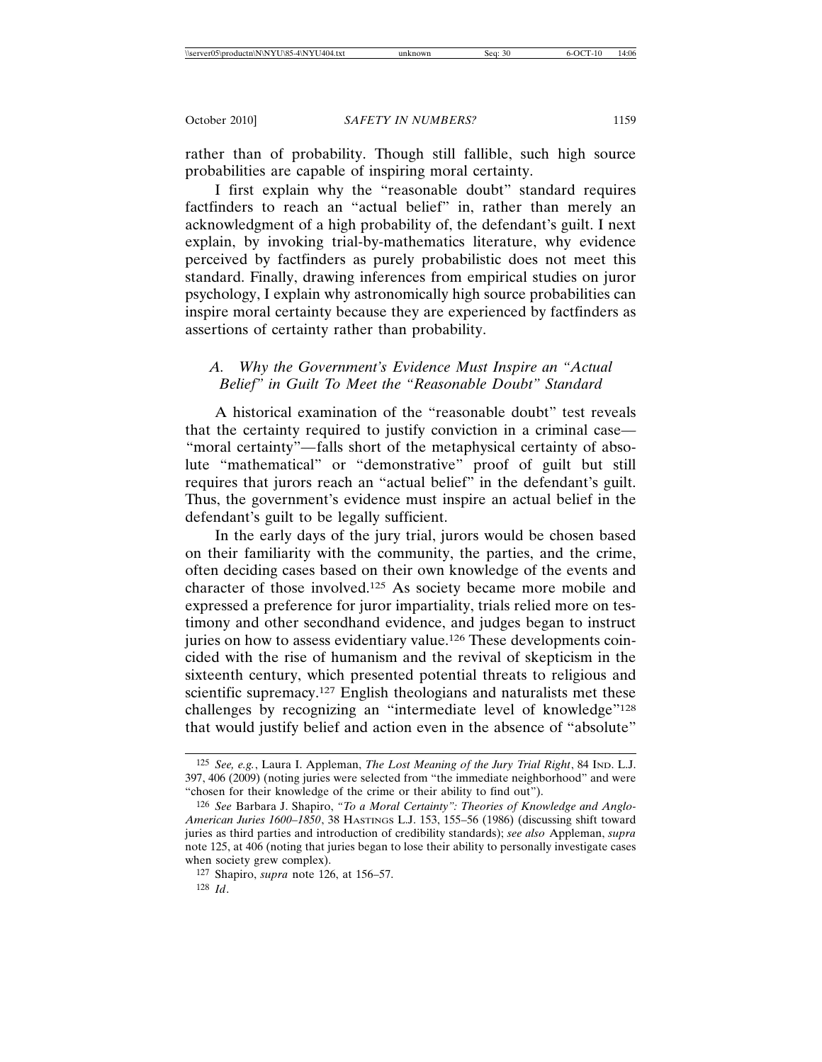rather than of probability. Though still fallible, such high source probabilities are capable of inspiring moral certainty.

I first explain why the "reasonable doubt" standard requires factfinders to reach an "actual belief" in, rather than merely an acknowledgment of a high probability of, the defendant's guilt. I next explain, by invoking trial-by-mathematics literature, why evidence perceived by factfinders as purely probabilistic does not meet this standard. Finally, drawing inferences from empirical studies on juror psychology, I explain why astronomically high source probabilities can inspire moral certainty because they are experienced by factfinders as assertions of certainty rather than probability.

# *A. Why the Government's Evidence Must Inspire an "Actual Belief" in Guilt To Meet the "Reasonable Doubt" Standard*

A historical examination of the "reasonable doubt" test reveals that the certainty required to justify conviction in a criminal case*—* "moral certainty"*—*falls short of the metaphysical certainty of absolute "mathematical" or "demonstrative" proof of guilt but still requires that jurors reach an "actual belief" in the defendant's guilt. Thus, the government's evidence must inspire an actual belief in the defendant's guilt to be legally sufficient.

In the early days of the jury trial, jurors would be chosen based on their familiarity with the community, the parties, and the crime, often deciding cases based on their own knowledge of the events and character of those involved.125 As society became more mobile and expressed a preference for juror impartiality, trials relied more on testimony and other secondhand evidence, and judges began to instruct juries on how to assess evidentiary value.<sup>126</sup> These developments coincided with the rise of humanism and the revival of skepticism in the sixteenth century, which presented potential threats to religious and scientific supremacy.<sup>127</sup> English theologians and naturalists met these challenges by recognizing an "intermediate level of knowledge"<sup>128</sup> that would justify belief and action even in the absence of "absolute"

<sup>125</sup> *See, e.g.*, Laura I. Appleman, *The Lost Meaning of the Jury Trial Right*, 84 IND. L.J. 397, 406 (2009) (noting juries were selected from "the immediate neighborhood" and were "chosen for their knowledge of the crime or their ability to find out").

<sup>126</sup> *See* Barbara J. Shapiro, *"To a Moral Certainty": Theories of Knowledge and Anglo-American Juries 1600–1850*, 38 HASTINGS L.J. 153, 155–56 (1986) (discussing shift toward juries as third parties and introduction of credibility standards); *see also* Appleman, *supra* note 125, at 406 (noting that juries began to lose their ability to personally investigate cases when society grew complex).

<sup>127</sup> Shapiro, *supra* note 126, at 156–57.

<sup>128</sup> *Id*.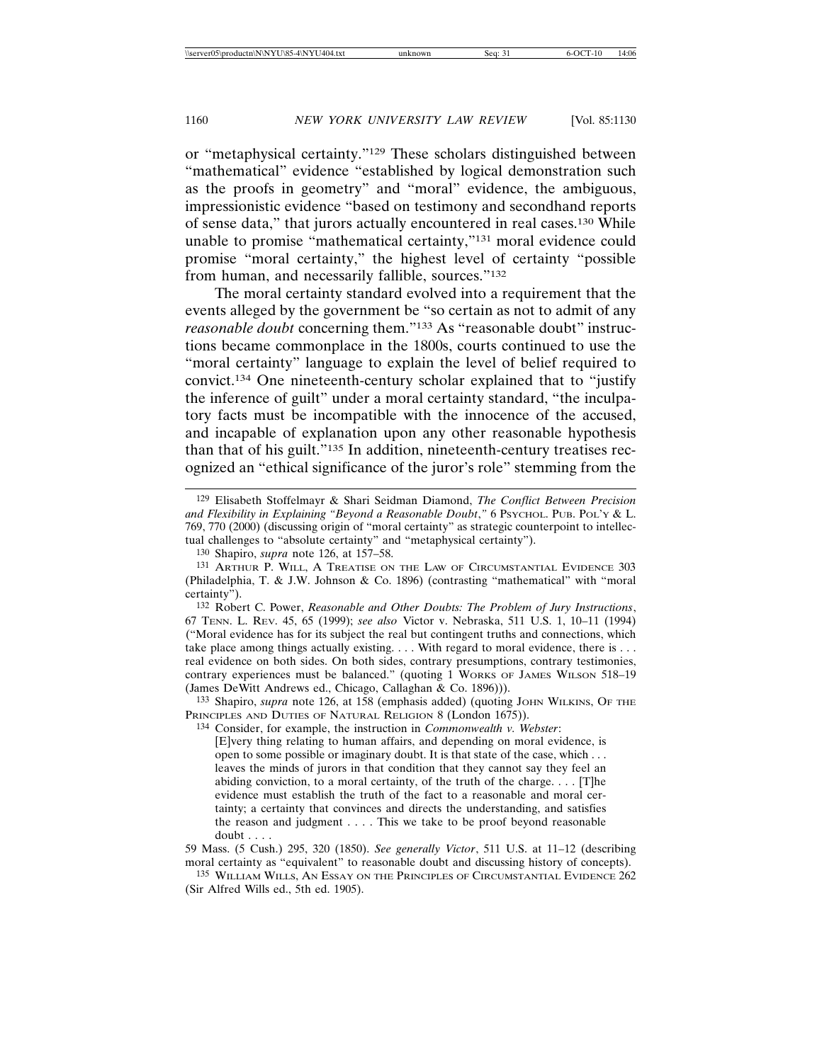or "metaphysical certainty."129 These scholars distinguished between "mathematical" evidence "established by logical demonstration such as the proofs in geometry" and "moral" evidence, the ambiguous, impressionistic evidence "based on testimony and secondhand reports of sense data," that jurors actually encountered in real cases.130 While unable to promise "mathematical certainty,"131 moral evidence could promise "moral certainty," the highest level of certainty "possible from human, and necessarily fallible, sources."132

The moral certainty standard evolved into a requirement that the events alleged by the government be "so certain as not to admit of any *reasonable doubt* concerning them."133 As "reasonable doubt" instructions became commonplace in the 1800s, courts continued to use the "moral certainty" language to explain the level of belief required to convict.134 One nineteenth-century scholar explained that to "justify the inference of guilt" under a moral certainty standard, "the inculpatory facts must be incompatible with the innocence of the accused, and incapable of explanation upon any other reasonable hypothesis than that of his guilt."135 In addition, nineteenth-century treatises recognized an "ethical significance of the juror's role" stemming from the

133 Shapiro, *supra* note 126, at 158 (emphasis added) (quoting JOHN WILKINS, OF THE PRINCIPLES AND DUTIES OF NATURAL RELIGION 8 (London 1675)).

134 Consider, for example, the instruction in *Commonwealth v. Webster*:

[E]very thing relating to human affairs, and depending on moral evidence, is open to some possible or imaginary doubt. It is that state of the case, which . . . leaves the minds of jurors in that condition that they cannot say they feel an abiding conviction, to a moral certainty, of the truth of the charge. . . . [T]he evidence must establish the truth of the fact to a reasonable and moral certainty; a certainty that convinces and directs the understanding, and satisfies the reason and judgment . . . . This we take to be proof beyond reasonable doubt . . . .

59 Mass. (5 Cush.) 295, 320 (1850). *See generally Victor*, 511 U.S. at 11–12 (describing moral certainty as "equivalent" to reasonable doubt and discussing history of concepts).

135 WILLIAM WILLS, AN ESSAY ON THE PRINCIPLES OF CIRCUMSTANTIAL EVIDENCE 262 (Sir Alfred Wills ed., 5th ed. 1905).

<sup>129</sup> Elisabeth Stoffelmayr & Shari Seidman Diamond, *The Conflict Between Precision* and Flexibility in Explaining "Beyond a Reasonable Doubt," 6 PSYCHOL. PUB. POL'Y & L. 769, 770 (2000) (discussing origin of "moral certainty" as strategic counterpoint to intellectual challenges to "absolute certainty" and "metaphysical certainty").

<sup>130</sup> Shapiro, *supra* note 126, at 157–58.

<sup>131</sup> ARTHUR P. WILL, A TREATISE ON THE LAW OF CIRCUMSTANTIAL EVIDENCE 303 (Philadelphia, T. & J.W. Johnson & Co. 1896) (contrasting "mathematical" with "moral certainty").

<sup>132</sup> Robert C. Power, *Reasonable and Other Doubts: The Problem of Jury Instructions*, 67 TENN. L. REV. 45, 65 (1999); *see also* Victor v. Nebraska, 511 U.S. 1, 10–11 (1994) ("Moral evidence has for its subject the real but contingent truths and connections, which take place among things actually existing. . . . With regard to moral evidence, there is . . . real evidence on both sides. On both sides, contrary presumptions, contrary testimonies, contrary experiences must be balanced." (quoting 1 WORKS OF JAMES WILSON 518–19 (James DeWitt Andrews ed., Chicago, Callaghan & Co. 1896))).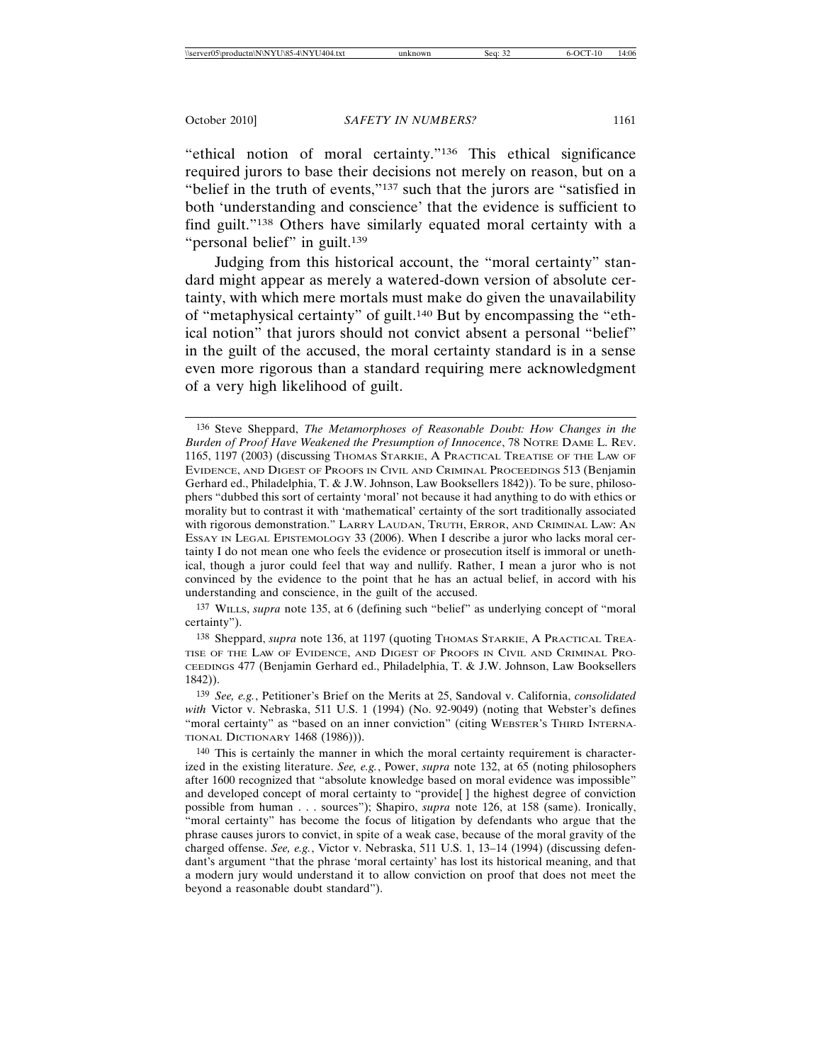"ethical notion of moral certainty."136 This ethical significance required jurors to base their decisions not merely on reason, but on a "belief in the truth of events,"<sup>137</sup> such that the jurors are "satisfied in both 'understanding and conscience' that the evidence is sufficient to find guilt."138 Others have similarly equated moral certainty with a "personal belief" in guilt.<sup>139</sup>

Judging from this historical account, the "moral certainty" standard might appear as merely a watered-down version of absolute certainty, with which mere mortals must make do given the unavailability of "metaphysical certainty" of guilt.140 But by encompassing the "ethical notion" that jurors should not convict absent a personal "belief" in the guilt of the accused, the moral certainty standard is in a sense even more rigorous than a standard requiring mere acknowledgment of a very high likelihood of guilt.

137 WILLS, *supra* note 135, at 6 (defining such "belief" as underlying concept of "moral certainty").

138 Sheppard, *supra* note 136, at 1197 (quoting THOMAS STARKIE, A PRACTICAL TREA-TISE OF THE LAW OF EVIDENCE, AND DIGEST OF PROOFS IN CIVIL AND CRIMINAL PRO-CEEDINGS 477 (Benjamin Gerhard ed., Philadelphia, T. & J.W. Johnson, Law Booksellers 1842)).

139 *See, e.g.*, Petitioner's Brief on the Merits at 25, Sandoval v. California, *consolidated* with Victor v. Nebraska, 511 U.S. 1 (1994) (No. 92-9049) (noting that Webster's defines "moral certainty" as "based on an inner conviction" (citing WEBSTER'S THIRD INTERNA-TIONAL DICTIONARY 1468 (1986))).

140 This is certainly the manner in which the moral certainty requirement is characterized in the existing literature. *See, e.g.*, Power, *supra* note 132, at 65 (noting philosophers after 1600 recognized that "absolute knowledge based on moral evidence was impossible" and developed concept of moral certainty to "provide[ ] the highest degree of conviction possible from human . . . sources"); Shapiro, *supra* note 126, at 158 (same). Ironically, "moral certainty" has become the focus of litigation by defendants who argue that the phrase causes jurors to convict, in spite of a weak case, because of the moral gravity of the charged offense. *See, e.g.*, Victor v. Nebraska, 511 U.S. 1, 13–14 (1994) (discussing defendant's argument "that the phrase 'moral certainty' has lost its historical meaning, and that a modern jury would understand it to allow conviction on proof that does not meet the beyond a reasonable doubt standard").

<sup>136</sup> Steve Sheppard, *The Metamorphoses of Reasonable Doubt: How Changes in the Burden of Proof Have Weakened the Presumption of Innocence*, 78 NOTRE DAME L. REV. 1165, 1197 (2003) (discussing THOMAS STARKIE, A PRACTICAL TREATISE OF THE LAW OF EVIDENCE, AND DIGEST OF PROOFS IN CIVIL AND CRIMINAL PROCEEDINGS 513 (Benjamin Gerhard ed., Philadelphia, T. & J.W. Johnson, Law Booksellers 1842)). To be sure, philosophers "dubbed this sort of certainty 'moral' not because it had anything to do with ethics or morality but to contrast it with 'mathematical' certainty of the sort traditionally associated with rigorous demonstration." LARRY LAUDAN, TRUTH, ERROR, AND CRIMINAL LAW: AN ESSAY IN LEGAL EPISTEMOLOGY 33 (2006). When I describe a juror who lacks moral certainty I do not mean one who feels the evidence or prosecution itself is immoral or unethical, though a juror could feel that way and nullify. Rather, I mean a juror who is not convinced by the evidence to the point that he has an actual belief, in accord with his understanding and conscience, in the guilt of the accused.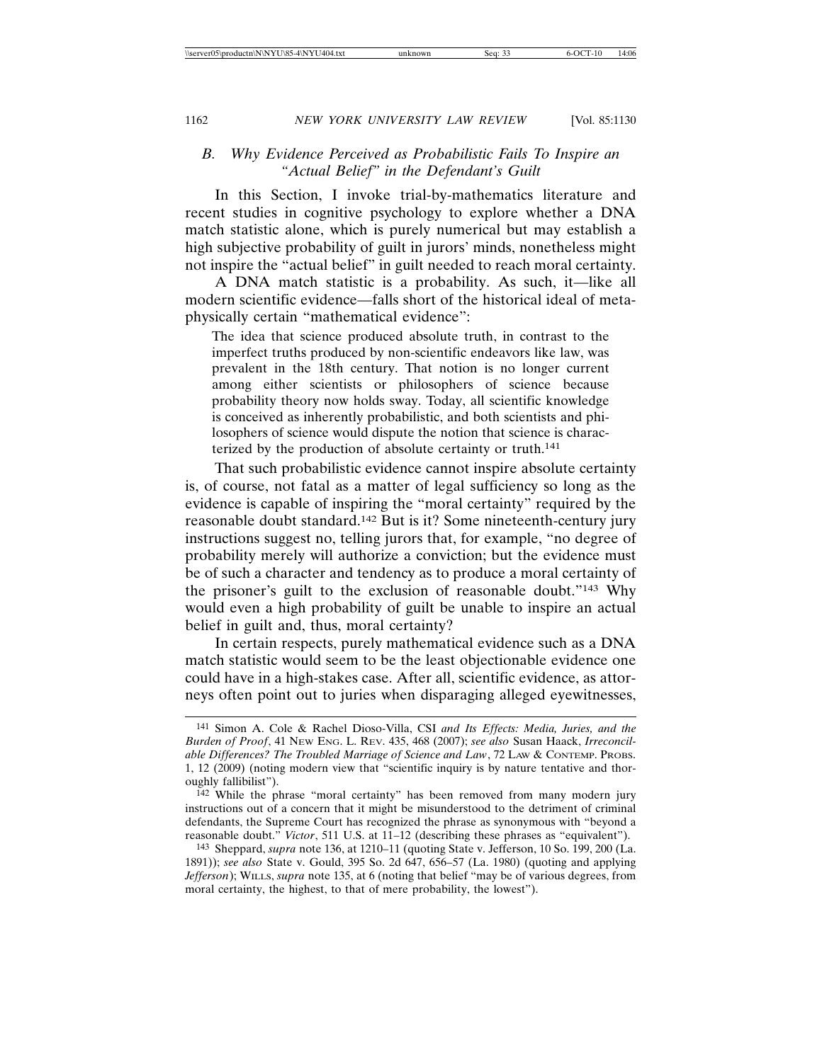### *B. Why Evidence Perceived as Probabilistic Fails To Inspire an "Actual Belief" in the Defendant's Guilt*

In this Section, I invoke trial-by-mathematics literature and recent studies in cognitive psychology to explore whether a DNA match statistic alone, which is purely numerical but may establish a high subjective probability of guilt in jurors' minds, nonetheless might not inspire the "actual belief" in guilt needed to reach moral certainty.

A DNA match statistic is a probability. As such, it—like all modern scientific evidence—falls short of the historical ideal of metaphysically certain "mathematical evidence":

The idea that science produced absolute truth, in contrast to the imperfect truths produced by non-scientific endeavors like law, was prevalent in the 18th century. That notion is no longer current among either scientists or philosophers of science because probability theory now holds sway. Today, all scientific knowledge is conceived as inherently probabilistic, and both scientists and philosophers of science would dispute the notion that science is characterized by the production of absolute certainty or truth.<sup>141</sup>

That such probabilistic evidence cannot inspire absolute certainty is, of course, not fatal as a matter of legal sufficiency so long as the evidence is capable of inspiring the "moral certainty" required by the reasonable doubt standard.142 But is it? Some nineteenth-century jury instructions suggest no, telling jurors that, for example, "no degree of probability merely will authorize a conviction; but the evidence must be of such a character and tendency as to produce a moral certainty of the prisoner's guilt to the exclusion of reasonable doubt."143 Why would even a high probability of guilt be unable to inspire an actual belief in guilt and, thus, moral certainty?

In certain respects, purely mathematical evidence such as a DNA match statistic would seem to be the least objectionable evidence one could have in a high-stakes case. After all, scientific evidence, as attorneys often point out to juries when disparaging alleged eyewitnesses,

<sup>141</sup> Simon A. Cole & Rachel Dioso-Villa, CSI *and Its Effects: Media, Juries, and the Burden of Proof*, 41 NEW ENG. L. REV. 435, 468 (2007); *see also* Susan Haack, *Irreconcilable Differences? The Troubled Marriage of Science and Law*, 72 LAW & CONTEMP. PROBS. 1, 12 (2009) (noting modern view that "scientific inquiry is by nature tentative and thoroughly fallibilist").

<sup>142</sup> While the phrase "moral certainty" has been removed from many modern jury instructions out of a concern that it might be misunderstood to the detriment of criminal defendants, the Supreme Court has recognized the phrase as synonymous with "beyond a reasonable doubt." *Victor*, 511 U.S. at 11–12 (describing these phrases as "equivalent").

<sup>143</sup> Sheppard, *supra* note 136, at 1210–11 (quoting State v. Jefferson, 10 So. 199, 200 (La. 1891)); *see also* State v. Gould, 395 So. 2d 647, 656–57 (La. 1980) (quoting and applying *Jefferson*); WILLS, *supra* note 135, at 6 (noting that belief "may be of various degrees, from moral certainty, the highest, to that of mere probability, the lowest").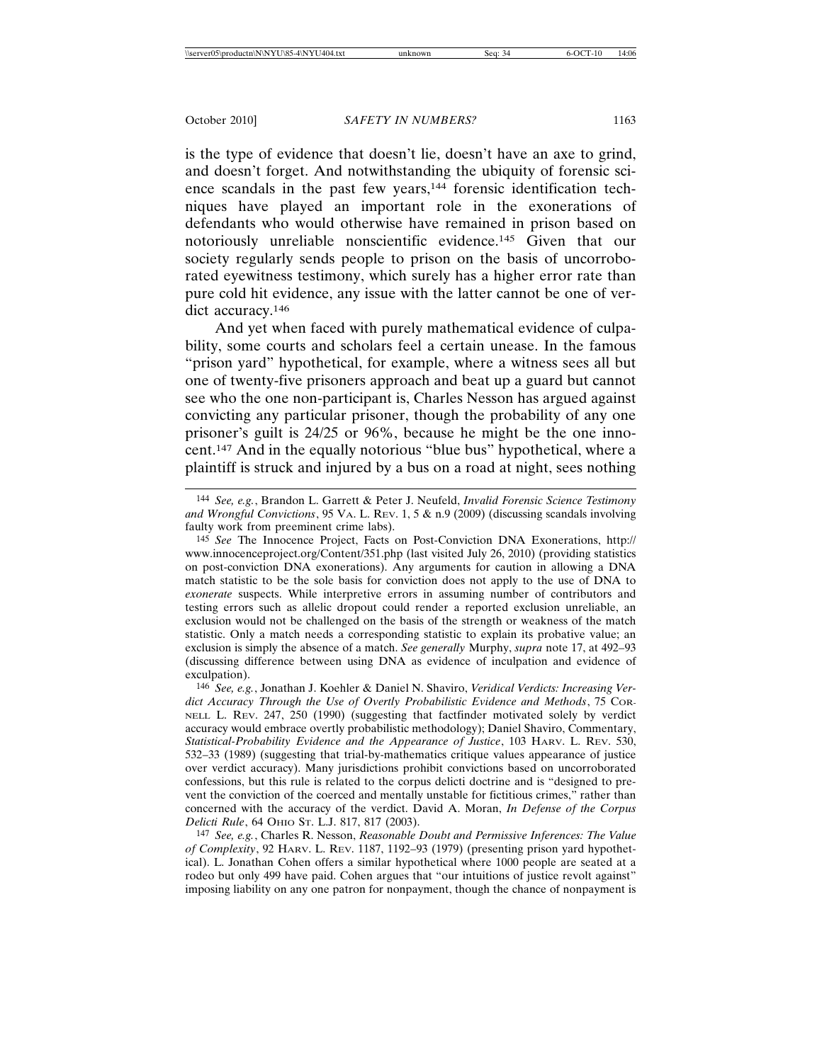is the type of evidence that doesn't lie, doesn't have an axe to grind, and doesn't forget. And notwithstanding the ubiquity of forensic science scandals in the past few years,<sup>144</sup> forensic identification techniques have played an important role in the exonerations of defendants who would otherwise have remained in prison based on notoriously unreliable nonscientific evidence.145 Given that our society regularly sends people to prison on the basis of uncorroborated eyewitness testimony, which surely has a higher error rate than pure cold hit evidence, any issue with the latter cannot be one of verdict accuracy.<sup>146</sup>

And yet when faced with purely mathematical evidence of culpability, some courts and scholars feel a certain unease. In the famous "prison yard" hypothetical, for example, where a witness sees all but one of twenty-five prisoners approach and beat up a guard but cannot see who the one non-participant is, Charles Nesson has argued against convicting any particular prisoner, though the probability of any one prisoner's guilt is 24/25 or 96%, because he might be the one innocent.147 And in the equally notorious "blue bus" hypothetical, where a plaintiff is struck and injured by a bus on a road at night, sees nothing

146 *See, e.g.*, Jonathan J. Koehler & Daniel N. Shaviro, *Veridical Verdicts: Increasing Verdict Accuracy Through the Use of Overtly Probabilistic Evidence and Methods*, 75 COR-NELL L. REV. 247, 250 (1990) (suggesting that factfinder motivated solely by verdict accuracy would embrace overtly probabilistic methodology); Daniel Shaviro, Commentary, *Statistical-Probability Evidence and the Appearance of Justice*, 103 HARV. L. REV. 530, 532–33 (1989) (suggesting that trial-by-mathematics critique values appearance of justice over verdict accuracy). Many jurisdictions prohibit convictions based on uncorroborated confessions, but this rule is related to the corpus delicti doctrine and is "designed to prevent the conviction of the coerced and mentally unstable for fictitious crimes," rather than concerned with the accuracy of the verdict. David A. Moran, *In Defense of the Corpus Delicti Rule*, 64 OHIO ST. L.J. 817, 817 (2003).

147 *See, e.g.*, Charles R. Nesson, *Reasonable Doubt and Permissive Inferences: The Value of Complexity*, 92 HARV. L. REV. 1187, 1192–93 (1979) (presenting prison yard hypothetical). L. Jonathan Cohen offers a similar hypothetical where 1000 people are seated at a rodeo but only 499 have paid. Cohen argues that "our intuitions of justice revolt against" imposing liability on any one patron for nonpayment, though the chance of nonpayment is

<sup>144</sup> *See, e.g.*, Brandon L. Garrett & Peter J. Neufeld, *Invalid Forensic Science Testimony and Wrongful Convictions*, 95 VA. L. REV. 1, 5 & n.9 (2009) (discussing scandals involving faulty work from preeminent crime labs).

<sup>145</sup> *See* The Innocence Project, Facts on Post-Conviction DNA Exonerations, http:// www.innocenceproject.org/Content/351.php (last visited July 26, 2010) (providing statistics on post-conviction DNA exonerations). Any arguments for caution in allowing a DNA match statistic to be the sole basis for conviction does not apply to the use of DNA to *exonerate* suspects. While interpretive errors in assuming number of contributors and testing errors such as allelic dropout could render a reported exclusion unreliable, an exclusion would not be challenged on the basis of the strength or weakness of the match statistic. Only a match needs a corresponding statistic to explain its probative value; an exclusion is simply the absence of a match. *See generally* Murphy, *supra* note 17, at 492–93 (discussing difference between using DNA as evidence of inculpation and evidence of exculpation).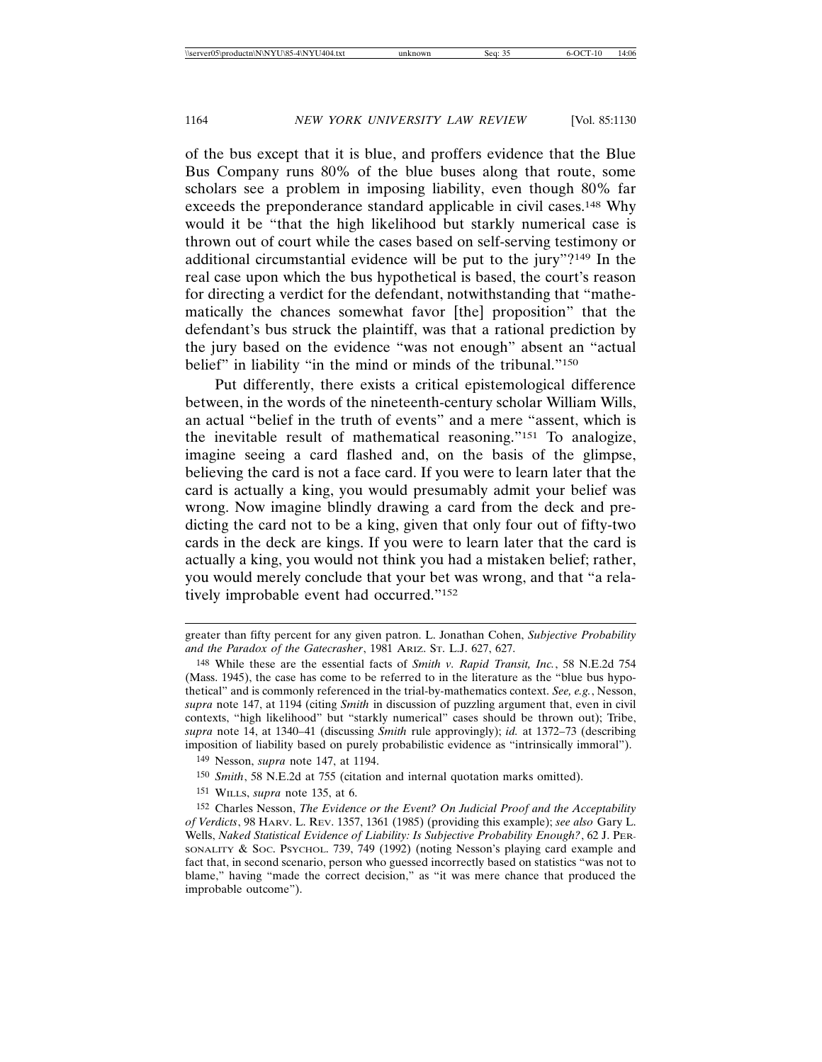of the bus except that it is blue, and proffers evidence that the Blue Bus Company runs 80% of the blue buses along that route, some scholars see a problem in imposing liability, even though 80% far exceeds the preponderance standard applicable in civil cases.148 Why would it be "that the high likelihood but starkly numerical case is thrown out of court while the cases based on self-serving testimony or additional circumstantial evidence will be put to the jury"?149 In the real case upon which the bus hypothetical is based, the court's reason for directing a verdict for the defendant, notwithstanding that "mathematically the chances somewhat favor [the] proposition" that the defendant's bus struck the plaintiff, was that a rational prediction by the jury based on the evidence "was not enough" absent an "actual belief" in liability "in the mind or minds of the tribunal."<sup>150</sup>

Put differently, there exists a critical epistemological difference between, in the words of the nineteenth-century scholar William Wills, an actual "belief in the truth of events" and a mere "assent, which is the inevitable result of mathematical reasoning."151 To analogize, imagine seeing a card flashed and, on the basis of the glimpse, believing the card is not a face card. If you were to learn later that the card is actually a king, you would presumably admit your belief was wrong. Now imagine blindly drawing a card from the deck and predicting the card not to be a king, given that only four out of fifty-two cards in the deck are kings. If you were to learn later that the card is actually a king, you would not think you had a mistaken belief; rather, you would merely conclude that your bet was wrong, and that "a relatively improbable event had occurred."152

151 WILLS, *supra* note 135, at 6.

greater than fifty percent for any given patron. L. Jonathan Cohen, *Subjective Probability and the Paradox of the Gatecrasher*, 1981 ARIZ. ST. L.J. 627, 627.

<sup>148</sup> While these are the essential facts of *Smith v. Rapid Transit, Inc.*, 58 N.E.2d 754 (Mass. 1945), the case has come to be referred to in the literature as the "blue bus hypothetical" and is commonly referenced in the trial-by-mathematics context. *See, e.g.*, Nesson, *supra* note 147, at 1194 (citing *Smith* in discussion of puzzling argument that, even in civil contexts, "high likelihood" but "starkly numerical" cases should be thrown out); Tribe, *supra* note 14, at 1340–41 (discussing *Smith* rule approvingly); *id.* at 1372–73 (describing imposition of liability based on purely probabilistic evidence as "intrinsically immoral").

<sup>149</sup> Nesson, *supra* note 147, at 1194.

<sup>150</sup> *Smith*, 58 N.E.2d at 755 (citation and internal quotation marks omitted).

<sup>152</sup> Charles Nesson, *The Evidence or the Event? On Judicial Proof and the Acceptability of Verdicts*, 98 HARV. L. REV. 1357, 1361 (1985) (providing this example); *see also* Gary L. Wells, *Naked Statistical Evidence of Liability: Is Subjective Probability Enough?*, 62 J. PER-SONALITY & SOC. PSYCHOL. 739, 749 (1992) (noting Nesson's playing card example and fact that, in second scenario, person who guessed incorrectly based on statistics "was not to blame," having "made the correct decision," as "it was mere chance that produced the improbable outcome").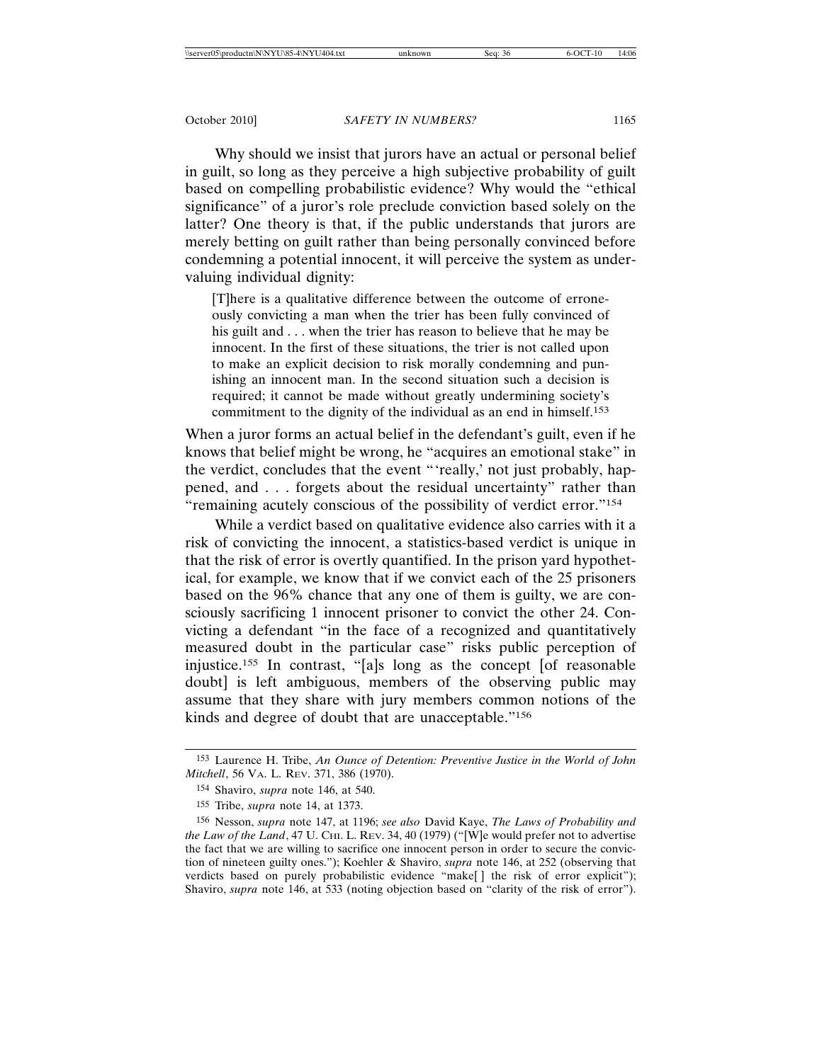Why should we insist that jurors have an actual or personal belief in guilt, so long as they perceive a high subjective probability of guilt based on compelling probabilistic evidence? Why would the "ethical significance" of a juror's role preclude conviction based solely on the latter? One theory is that, if the public understands that jurors are merely betting on guilt rather than being personally convinced before condemning a potential innocent, it will perceive the system as undervaluing individual dignity:

[T]here is a qualitative difference between the outcome of erroneously convicting a man when the trier has been fully convinced of his guilt and . . . when the trier has reason to believe that he may be innocent. In the first of these situations, the trier is not called upon to make an explicit decision to risk morally condemning and punishing an innocent man. In the second situation such a decision is required; it cannot be made without greatly undermining society's commitment to the dignity of the individual as an end in himself.<sup>153</sup>

When a juror forms an actual belief in the defendant's guilt, even if he knows that belief might be wrong, he "acquires an emotional stake" in the verdict, concludes that the event "'really,' not just probably, happened, and . . . forgets about the residual uncertainty" rather than "remaining acutely conscious of the possibility of verdict error."154

While a verdict based on qualitative evidence also carries with it a risk of convicting the innocent, a statistics-based verdict is unique in that the risk of error is overtly quantified. In the prison yard hypothetical, for example, we know that if we convict each of the 25 prisoners based on the 96% chance that any one of them is guilty, we are consciously sacrificing 1 innocent prisoner to convict the other 24. Convicting a defendant "in the face of a recognized and quantitatively measured doubt in the particular case" risks public perception of injustice.155 In contrast, "[a]s long as the concept [of reasonable doubt] is left ambiguous, members of the observing public may assume that they share with jury members common notions of the kinds and degree of doubt that are unacceptable."156

<sup>153</sup> Laurence H. Tribe, *An Ounce of Detention: Preventive Justice in the World of John Mitchell*, 56 VA. L. REV. 371, 386 (1970).

<sup>154</sup> Shaviro, *supra* note 146, at 540.

<sup>155</sup> Tribe, *supra* note 14, at 1373.

<sup>156</sup> Nesson, *supra* note 147, at 1196; *see also* David Kaye, *The Laws of Probability and the Law of the Land*, 47 U. CHI. L. REV. 34, 40 (1979) ("[W]e would prefer not to advertise the fact that we are willing to sacrifice one innocent person in order to secure the conviction of nineteen guilty ones."); Koehler & Shaviro, *supra* note 146, at 252 (observing that verdicts based on purely probabilistic evidence "make[] the risk of error explicit"); Shaviro, *supra* note 146, at 533 (noting objection based on "clarity of the risk of error").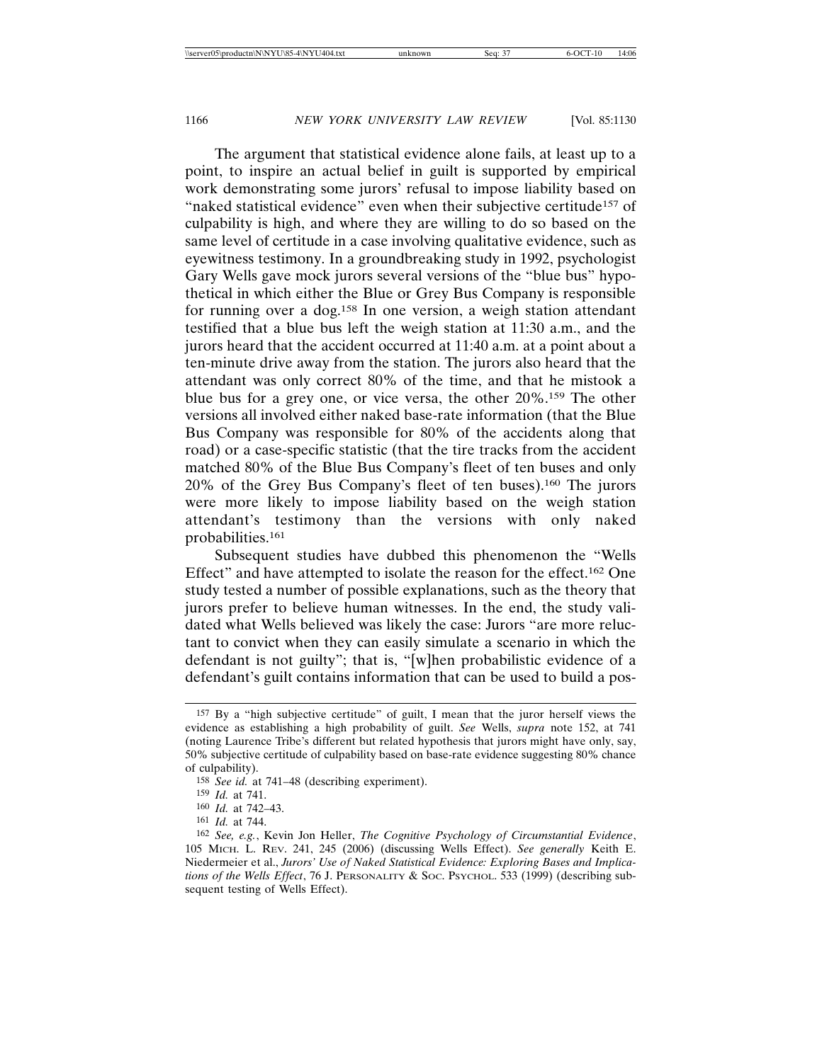The argument that statistical evidence alone fails, at least up to a point, to inspire an actual belief in guilt is supported by empirical work demonstrating some jurors' refusal to impose liability based on "naked statistical evidence" even when their subjective certitude<sup>157</sup> of culpability is high, and where they are willing to do so based on the same level of certitude in a case involving qualitative evidence, such as eyewitness testimony. In a groundbreaking study in 1992, psychologist Gary Wells gave mock jurors several versions of the "blue bus" hypothetical in which either the Blue or Grey Bus Company is responsible for running over a dog.158 In one version, a weigh station attendant testified that a blue bus left the weigh station at 11:30 a.m., and the jurors heard that the accident occurred at 11:40 a.m. at a point about a ten-minute drive away from the station. The jurors also heard that the attendant was only correct 80% of the time, and that he mistook a blue bus for a grey one, or vice versa, the other 20%.159 The other versions all involved either naked base-rate information (that the Blue Bus Company was responsible for 80% of the accidents along that road) or a case-specific statistic (that the tire tracks from the accident matched 80% of the Blue Bus Company's fleet of ten buses and only 20% of the Grey Bus Company's fleet of ten buses).160 The jurors were more likely to impose liability based on the weigh station attendant's testimony than the versions with only naked probabilities.161

Subsequent studies have dubbed this phenomenon the "Wells Effect" and have attempted to isolate the reason for the effect.<sup>162</sup> One study tested a number of possible explanations, such as the theory that jurors prefer to believe human witnesses. In the end, the study validated what Wells believed was likely the case: Jurors "are more reluctant to convict when they can easily simulate a scenario in which the defendant is not guilty"; that is, "[w]hen probabilistic evidence of a defendant's guilt contains information that can be used to build a pos-

<sup>157</sup> By a "high subjective certitude" of guilt, I mean that the juror herself views the evidence as establishing a high probability of guilt. *See* Wells, *supra* note 152, at 741 (noting Laurence Tribe's different but related hypothesis that jurors might have only, say, 50% subjective certitude of culpability based on base-rate evidence suggesting 80% chance of culpability).

<sup>158</sup> *See id.* at 741–48 (describing experiment).

<sup>159</sup> *Id.* at 741.

<sup>160</sup> *Id.* at 742–43.

<sup>161</sup> *Id.* at 744.

<sup>162</sup> *See, e.g.*, Kevin Jon Heller, *The Cognitive Psychology of Circumstantial Evidence*, 105 MICH. L. REV. 241, 245 (2006) (discussing Wells Effect). *See generally* Keith E. Niedermeier et al., *Jurors' Use of Naked Statistical Evidence: Exploring Bases and Implications of the Wells Effect*, 76 J. PERSONALITY & SOC. PSYCHOL. 533 (1999) (describing subsequent testing of Wells Effect).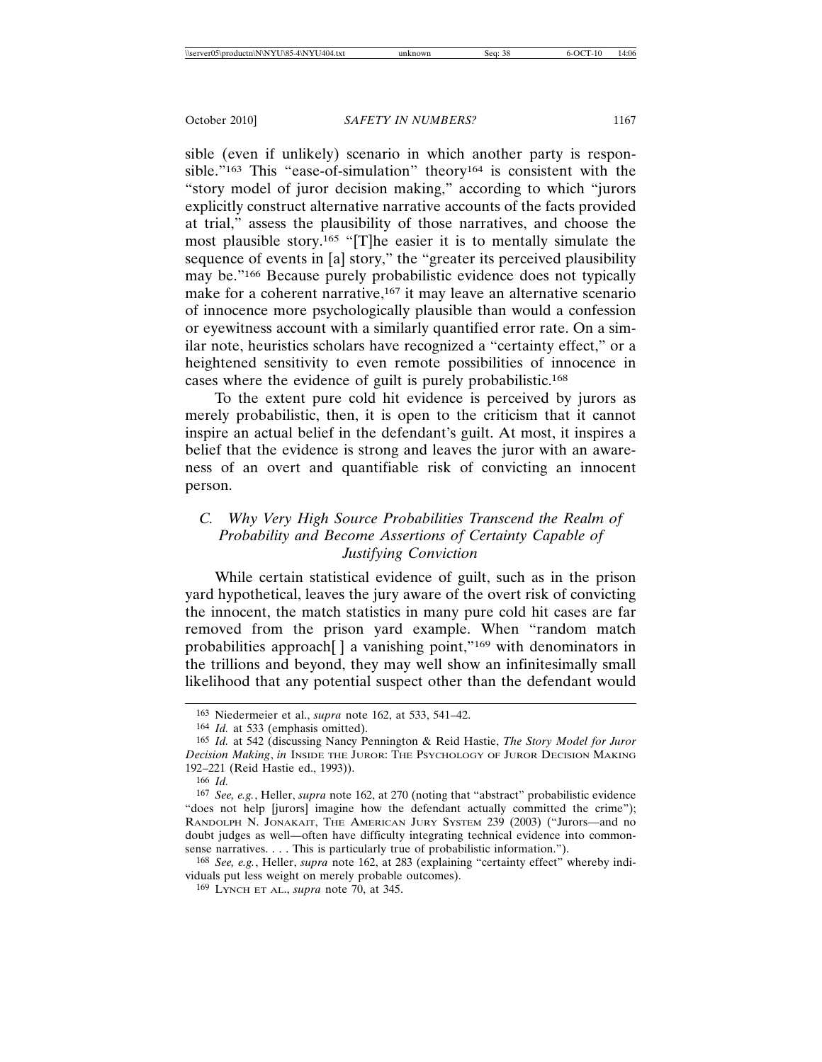sible (even if unlikely) scenario in which another party is responsible."163 This "ease-of-simulation" theory164 is consistent with the "story model of juror decision making," according to which "jurors explicitly construct alternative narrative accounts of the facts provided at trial," assess the plausibility of those narratives, and choose the most plausible story.165 "[T]he easier it is to mentally simulate the sequence of events in [a] story," the "greater its perceived plausibility may be."<sup>166</sup> Because purely probabilistic evidence does not typically make for a coherent narrative,<sup>167</sup> it may leave an alternative scenario of innocence more psychologically plausible than would a confession or eyewitness account with a similarly quantified error rate. On a similar note, heuristics scholars have recognized a "certainty effect," or a heightened sensitivity to even remote possibilities of innocence in cases where the evidence of guilt is purely probabilistic.168

To the extent pure cold hit evidence is perceived by jurors as merely probabilistic, then, it is open to the criticism that it cannot inspire an actual belief in the defendant's guilt. At most, it inspires a belief that the evidence is strong and leaves the juror with an awareness of an overt and quantifiable risk of convicting an innocent person.

# *C. Why Very High Source Probabilities Transcend the Realm of Probability and Become Assertions of Certainty Capable of Justifying Conviction*

While certain statistical evidence of guilt, such as in the prison yard hypothetical, leaves the jury aware of the overt risk of convicting the innocent, the match statistics in many pure cold hit cases are far removed from the prison yard example. When "random match probabilities approach[ ] a vanishing point,"169 with denominators in the trillions and beyond, they may well show an infinitesimally small likelihood that any potential suspect other than the defendant would

<sup>163</sup> Niedermeier et al., *supra* note 162, at 533, 541–42.

<sup>164</sup> *Id.* at 533 (emphasis omitted).

<sup>165</sup> *Id.* at 542 (discussing Nancy Pennington & Reid Hastie, *The Story Model for Juror Decision Making*, *in* INSIDE THE JUROR: THE PSYCHOLOGY OF JUROR DECISION MAKING 192–221 (Reid Hastie ed., 1993)).

<sup>166</sup> *Id.*

<sup>167</sup> *See, e.g.*, Heller, *supra* note 162, at 270 (noting that "abstract" probabilistic evidence "does not help [jurors] imagine how the defendant actually committed the crime"); RANDOLPH N. JONAKAIT, THE AMERICAN JURY SYSTEM 239 (2003) ("Jurors—and no doubt judges as well—often have difficulty integrating technical evidence into commonsense narratives. . . . This is particularly true of probabilistic information.").

<sup>168</sup> *See, e.g.*, Heller, *supra* note 162, at 283 (explaining "certainty effect" whereby individuals put less weight on merely probable outcomes).

<sup>169</sup> LYNCH ET AL., *supra* note 70, at 345.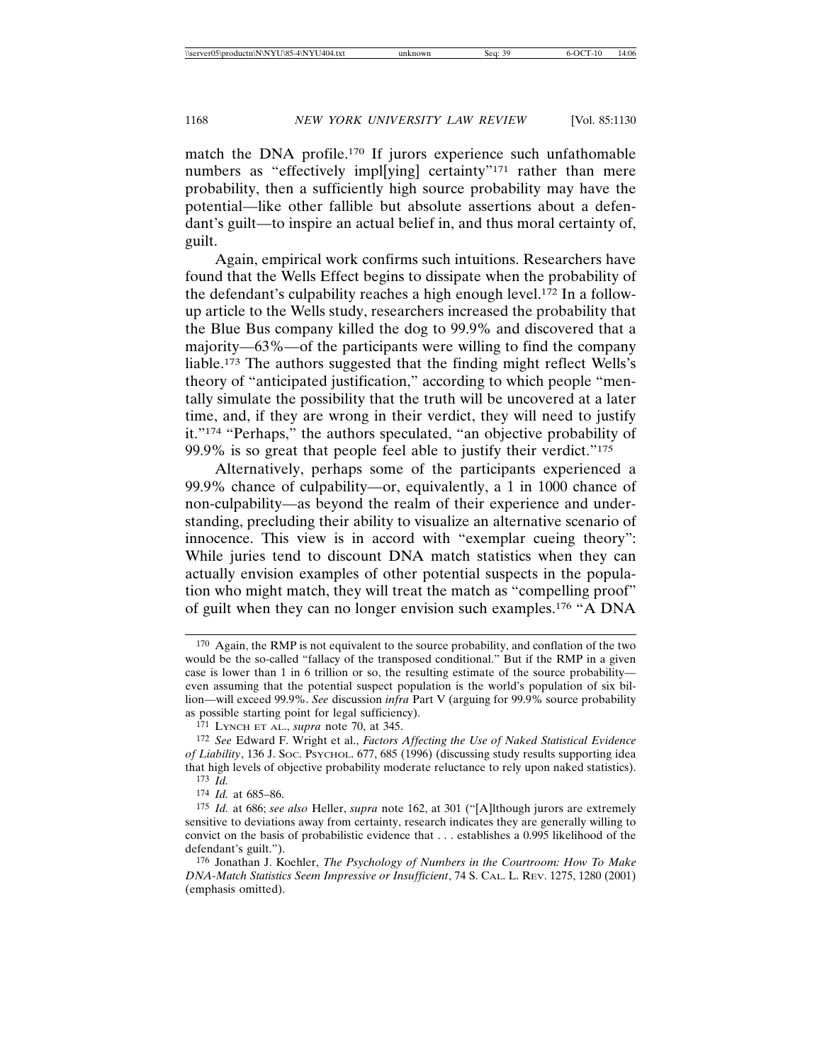match the DNA profile.170 If jurors experience such unfathomable numbers as "effectively impl[ying] certainty"<sup>171</sup> rather than mere probability, then a sufficiently high source probability may have the potential—like other fallible but absolute assertions about a defendant's guilt—to inspire an actual belief in, and thus moral certainty of, guilt.

Again, empirical work confirms such intuitions. Researchers have found that the Wells Effect begins to dissipate when the probability of the defendant's culpability reaches a high enough level.<sup>172</sup> In a followup article to the Wells study, researchers increased the probability that the Blue Bus company killed the dog to 99.9% and discovered that a majority—63%—of the participants were willing to find the company liable.173 The authors suggested that the finding might reflect Wells's theory of "anticipated justification," according to which people "mentally simulate the possibility that the truth will be uncovered at a later time, and, if they are wrong in their verdict, they will need to justify it."174 "Perhaps," the authors speculated, "an objective probability of 99.9% is so great that people feel able to justify their verdict."<sup>175</sup>

Alternatively, perhaps some of the participants experienced a 99.9% chance of culpability—or, equivalently, a 1 in 1000 chance of non-culpability—as beyond the realm of their experience and understanding, precluding their ability to visualize an alternative scenario of innocence. This view is in accord with "exemplar cueing theory": While juries tend to discount DNA match statistics when they can actually envision examples of other potential suspects in the population who might match, they will treat the match as "compelling proof" of guilt when they can no longer envision such examples.176 "A DNA

<sup>170</sup> Again, the RMP is not equivalent to the source probability, and conflation of the two would be the so-called "fallacy of the transposed conditional." But if the RMP in a given case is lower than 1 in 6 trillion or so, the resulting estimate of the source probability even assuming that the potential suspect population is the world's population of six billion—will exceed 99.9%. *See* discussion *infra* Part V (arguing for 99.9% source probability as possible starting point for legal sufficiency).

<sup>171</sup> LYNCH ET AL., *supra* note 70, at 345.

<sup>172</sup> *See* Edward F. Wright et al., *Factors Affecting the Use of Naked Statistical Evidence of Liability*, 136 J. SOC. PSYCHOL. 677, 685 (1996) (discussing study results supporting idea that high levels of objective probability moderate reluctance to rely upon naked statistics). 173 *Id.*

<sup>174</sup> *Id.* at 685–86.

<sup>175</sup> *Id.* at 686; *see also* Heller, *supra* note 162, at 301 ("[A]lthough jurors are extremely sensitive to deviations away from certainty, research indicates they are generally willing to convict on the basis of probabilistic evidence that . . . establishes a 0.995 likelihood of the defendant's guilt.").

<sup>176</sup> Jonathan J. Koehler, *The Psychology of Numbers in the Courtroom: How To Make DNA-Match Statistics Seem Impressive or Insufficient*, 74 S. CAL. L. REV. 1275, 1280 (2001) (emphasis omitted).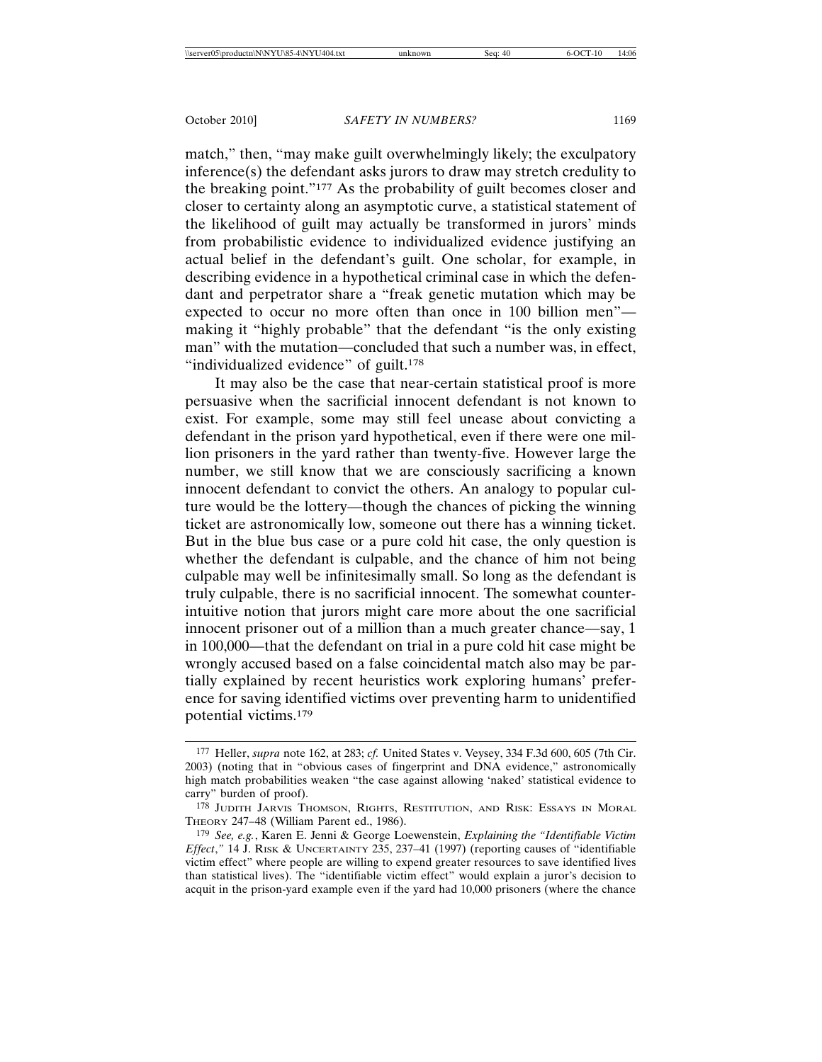match," then, "may make guilt overwhelmingly likely; the exculpatory inference(s) the defendant asks jurors to draw may stretch credulity to the breaking point."177 As the probability of guilt becomes closer and closer to certainty along an asymptotic curve, a statistical statement of the likelihood of guilt may actually be transformed in jurors' minds from probabilistic evidence to individualized evidence justifying an actual belief in the defendant's guilt. One scholar, for example, in describing evidence in a hypothetical criminal case in which the defendant and perpetrator share a "freak genetic mutation which may be expected to occur no more often than once in 100 billion men" making it "highly probable" that the defendant "is the only existing man" with the mutation—concluded that such a number was, in effect, "individualized evidence" of guilt.<sup>178</sup>

It may also be the case that near-certain statistical proof is more persuasive when the sacrificial innocent defendant is not known to exist. For example, some may still feel unease about convicting a defendant in the prison yard hypothetical, even if there were one million prisoners in the yard rather than twenty-five. However large the number, we still know that we are consciously sacrificing a known innocent defendant to convict the others. An analogy to popular culture would be the lottery—though the chances of picking the winning ticket are astronomically low, someone out there has a winning ticket. But in the blue bus case or a pure cold hit case, the only question is whether the defendant is culpable, and the chance of him not being culpable may well be infinitesimally small. So long as the defendant is truly culpable, there is no sacrificial innocent. The somewhat counterintuitive notion that jurors might care more about the one sacrificial innocent prisoner out of a million than a much greater chance—say, 1 in 100,000—that the defendant on trial in a pure cold hit case might be wrongly accused based on a false coincidental match also may be partially explained by recent heuristics work exploring humans' preference for saving identified victims over preventing harm to unidentified potential victims.179

<sup>177</sup> Heller, *supra* note 162, at 283; *cf.* United States v. Veysey, 334 F.3d 600, 605 (7th Cir. 2003) (noting that in "obvious cases of fingerprint and DNA evidence," astronomically high match probabilities weaken "the case against allowing 'naked' statistical evidence to carry" burden of proof).

<sup>178</sup> JUDITH JARVIS THOMSON, RIGHTS, RESTITUTION, AND RISK: ESSAYS IN MORAL THEORY 247–48 (William Parent ed., 1986).

<sup>179</sup> *See, e.g.*, Karen E. Jenni & George Loewenstein, *Explaining the "Identifiable Victim Effect*,*"* 14 J. RISK & UNCERTAINTY 235, 237–41 (1997) (reporting causes of "identifiable victim effect" where people are willing to expend greater resources to save identified lives than statistical lives). The "identifiable victim effect" would explain a juror's decision to acquit in the prison-yard example even if the yard had 10,000 prisoners (where the chance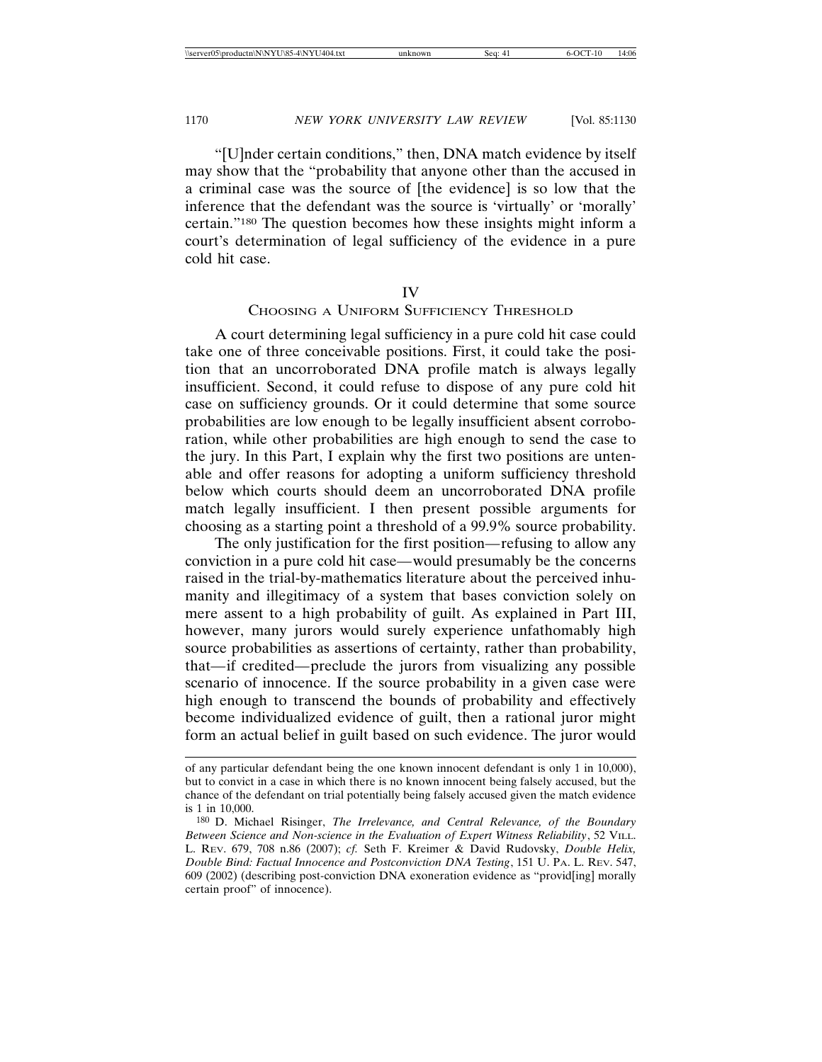"[U]nder certain conditions," then, DNA match evidence by itself may show that the "probability that anyone other than the accused in a criminal case was the source of [the evidence] is so low that the inference that the defendant was the source is 'virtually' or 'morally' certain."180 The question becomes how these insights might inform a court's determination of legal sufficiency of the evidence in a pure cold hit case.

### IV

### CHOOSING A UNIFORM SUFFICIENCY THRESHOLD

A court determining legal sufficiency in a pure cold hit case could take one of three conceivable positions. First, it could take the position that an uncorroborated DNA profile match is always legally insufficient. Second, it could refuse to dispose of any pure cold hit case on sufficiency grounds. Or it could determine that some source probabilities are low enough to be legally insufficient absent corroboration, while other probabilities are high enough to send the case to the jury. In this Part, I explain why the first two positions are untenable and offer reasons for adopting a uniform sufficiency threshold below which courts should deem an uncorroborated DNA profile match legally insufficient. I then present possible arguments for choosing as a starting point a threshold of a 99.9% source probability.

The only justification for the first position*—*refusing to allow any conviction in a pure cold hit case*—*would presumably be the concerns raised in the trial-by-mathematics literature about the perceived inhumanity and illegitimacy of a system that bases conviction solely on mere assent to a high probability of guilt. As explained in Part III, however, many jurors would surely experience unfathomably high source probabilities as assertions of certainty, rather than probability, that*—*if credited*—*preclude the jurors from visualizing any possible scenario of innocence. If the source probability in a given case were high enough to transcend the bounds of probability and effectively become individualized evidence of guilt, then a rational juror might form an actual belief in guilt based on such evidence. The juror would

of any particular defendant being the one known innocent defendant is only 1 in 10,000), but to convict in a case in which there is no known innocent being falsely accused, but the chance of the defendant on trial potentially being falsely accused given the match evidence is 1 in 10,000.

<sup>180</sup> D. Michael Risinger, *The Irrelevance, and Central Relevance, of the Boundary Between Science and Non-science in the Evaluation of Expert Witness Reliability*, 52 VILL. L. REV. 679, 708 n.86 (2007); *cf.* Seth F. Kreimer & David Rudovsky, *Double Helix, Double Bind: Factual Innocence and Postconviction DNA Testing*, 151 U. PA. L. REV. 547, 609 (2002) (describing post-conviction DNA exoneration evidence as "provid[ing] morally certain proof" of innocence).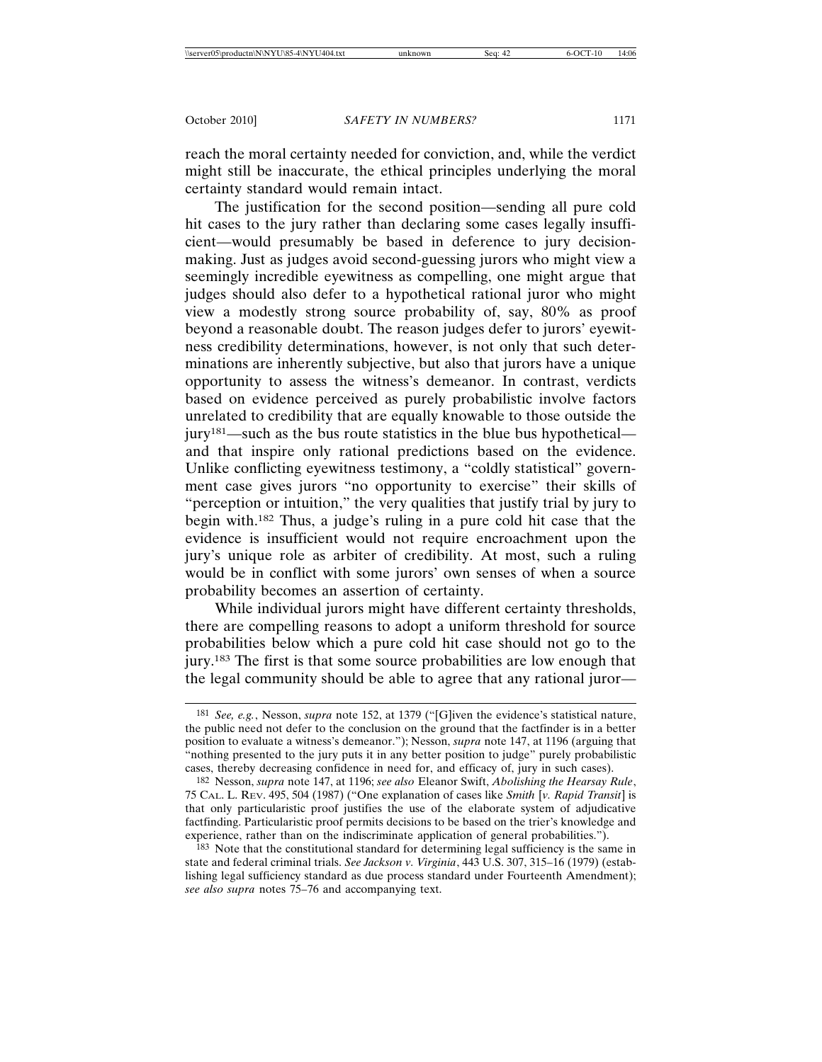reach the moral certainty needed for conviction, and, while the verdict might still be inaccurate, the ethical principles underlying the moral certainty standard would remain intact.

The justification for the second position—sending all pure cold hit cases to the jury rather than declaring some cases legally insufficient—would presumably be based in deference to jury decisionmaking. Just as judges avoid second-guessing jurors who might view a seemingly incredible eyewitness as compelling, one might argue that judges should also defer to a hypothetical rational juror who might view a modestly strong source probability of, say, 80% as proof beyond a reasonable doubt. The reason judges defer to jurors' eyewitness credibility determinations, however, is not only that such determinations are inherently subjective, but also that jurors have a unique opportunity to assess the witness's demeanor. In contrast, verdicts based on evidence perceived as purely probabilistic involve factors unrelated to credibility that are equally knowable to those outside the jury181—such as the bus route statistics in the blue bus hypothetical and that inspire only rational predictions based on the evidence. Unlike conflicting eyewitness testimony, a "coldly statistical" government case gives jurors "no opportunity to exercise" their skills of "perception or intuition," the very qualities that justify trial by jury to begin with.182 Thus, a judge's ruling in a pure cold hit case that the evidence is insufficient would not require encroachment upon the jury's unique role as arbiter of credibility. At most, such a ruling would be in conflict with some jurors' own senses of when a source probability becomes an assertion of certainty.

While individual jurors might have different certainty thresholds, there are compelling reasons to adopt a uniform threshold for source probabilities below which a pure cold hit case should not go to the jury.183 The first is that some source probabilities are low enough that the legal community should be able to agree that any rational juror—

<sup>183</sup> Note that the constitutional standard for determining legal sufficiency is the same in state and federal criminal trials. *See Jackson v. Virginia*, 443 U.S. 307, 315–16 (1979) (establishing legal sufficiency standard as due process standard under Fourteenth Amendment); *see also supra* notes 75–76 and accompanying text.

<sup>181</sup> *See, e.g.*, Nesson, *supra* note 152, at 1379 ("[G]iven the evidence's statistical nature, the public need not defer to the conclusion on the ground that the factfinder is in a better position to evaluate a witness's demeanor."); Nesson, *supra* note 147, at 1196 (arguing that "nothing presented to the jury puts it in any better position to judge" purely probabilistic cases, thereby decreasing confidence in need for, and efficacy of, jury in such cases).

<sup>182</sup> Nesson, *supra* note 147, at 1196; *see also* Eleanor Swift, *Abolishing the Hearsay Rule*, 75 CAL. L. REV. 495, 504 (1987) ("One explanation of cases like *Smith* [*v. Rapid Transit*] is that only particularistic proof justifies the use of the elaborate system of adjudicative factfinding. Particularistic proof permits decisions to be based on the trier's knowledge and experience, rather than on the indiscriminate application of general probabilities.").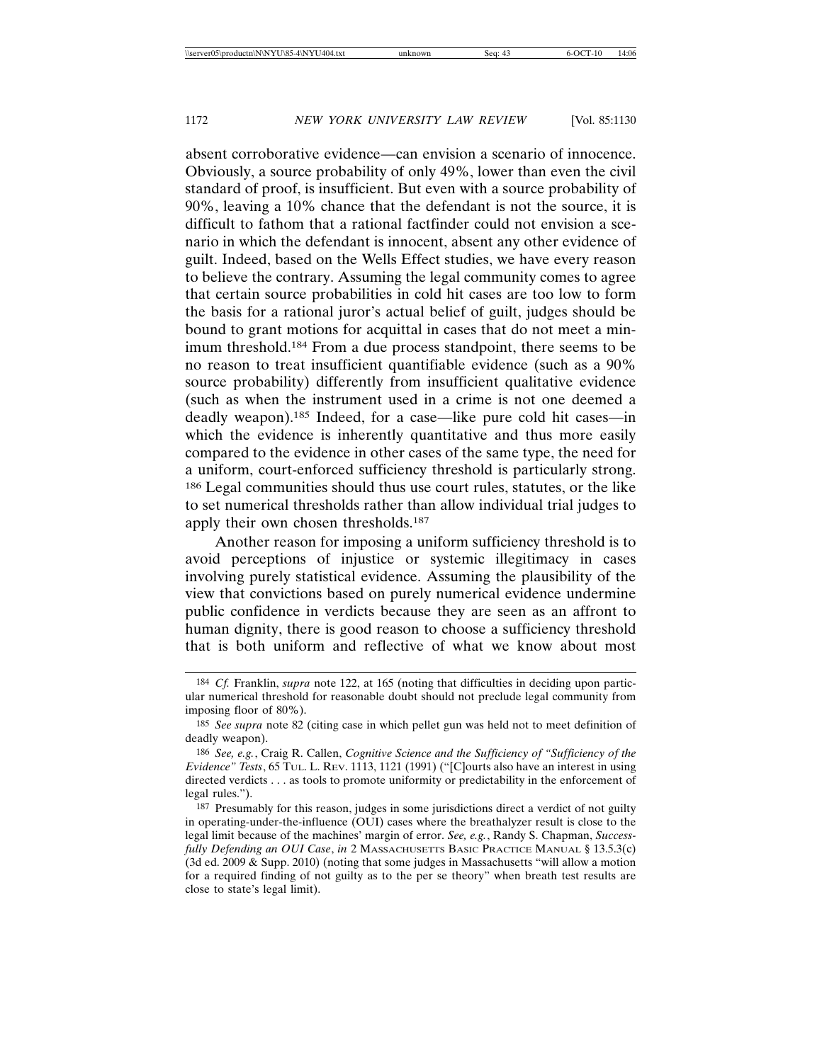absent corroborative evidence—can envision a scenario of innocence. Obviously, a source probability of only 49%, lower than even the civil standard of proof, is insufficient. But even with a source probability of 90%, leaving a 10% chance that the defendant is not the source, it is difficult to fathom that a rational factfinder could not envision a scenario in which the defendant is innocent, absent any other evidence of guilt. Indeed, based on the Wells Effect studies, we have every reason to believe the contrary. Assuming the legal community comes to agree that certain source probabilities in cold hit cases are too low to form the basis for a rational juror's actual belief of guilt, judges should be bound to grant motions for acquittal in cases that do not meet a minimum threshold.184 From a due process standpoint, there seems to be no reason to treat insufficient quantifiable evidence (such as a 90% source probability) differently from insufficient qualitative evidence (such as when the instrument used in a crime is not one deemed a deadly weapon).185 Indeed, for a case—like pure cold hit cases—in which the evidence is inherently quantitative and thus more easily compared to the evidence in other cases of the same type, the need for a uniform, court-enforced sufficiency threshold is particularly strong. 186 Legal communities should thus use court rules, statutes, or the like to set numerical thresholds rather than allow individual trial judges to apply their own chosen thresholds.187

Another reason for imposing a uniform sufficiency threshold is to avoid perceptions of injustice or systemic illegitimacy in cases involving purely statistical evidence. Assuming the plausibility of the view that convictions based on purely numerical evidence undermine public confidence in verdicts because they are seen as an affront to human dignity, there is good reason to choose a sufficiency threshold that is both uniform and reflective of what we know about most

<sup>184</sup> *Cf.* Franklin, *supra* note 122, at 165 (noting that difficulties in deciding upon particular numerical threshold for reasonable doubt should not preclude legal community from imposing floor of 80%).

<sup>185</sup> *See supra* note 82 (citing case in which pellet gun was held not to meet definition of deadly weapon).

<sup>186</sup> *See, e.g.*, Craig R. Callen, *Cognitive Science and the Sufficiency of "Sufficiency of the Evidence" Tests*, 65 TUL. L. REV. 1113, 1121 (1991) ("[C]ourts also have an interest in using directed verdicts . . . as tools to promote uniformity or predictability in the enforcement of legal rules.").

<sup>187</sup> Presumably for this reason, judges in some jurisdictions direct a verdict of not guilty in operating-under-the-influence (OUI) cases where the breathalyzer result is close to the legal limit because of the machines' margin of error. *See, e.g.*, Randy S. Chapman, *Successfully Defending an OUI Case*, *in* 2 MASSACHUSETTS BASIC PRACTICE MANUAL § 13.5.3(c) (3d ed. 2009  $\&$  Supp. 2010) (noting that some judges in Massachusetts "will allow a motion for a required finding of not guilty as to the per se theory" when breath test results are close to state's legal limit).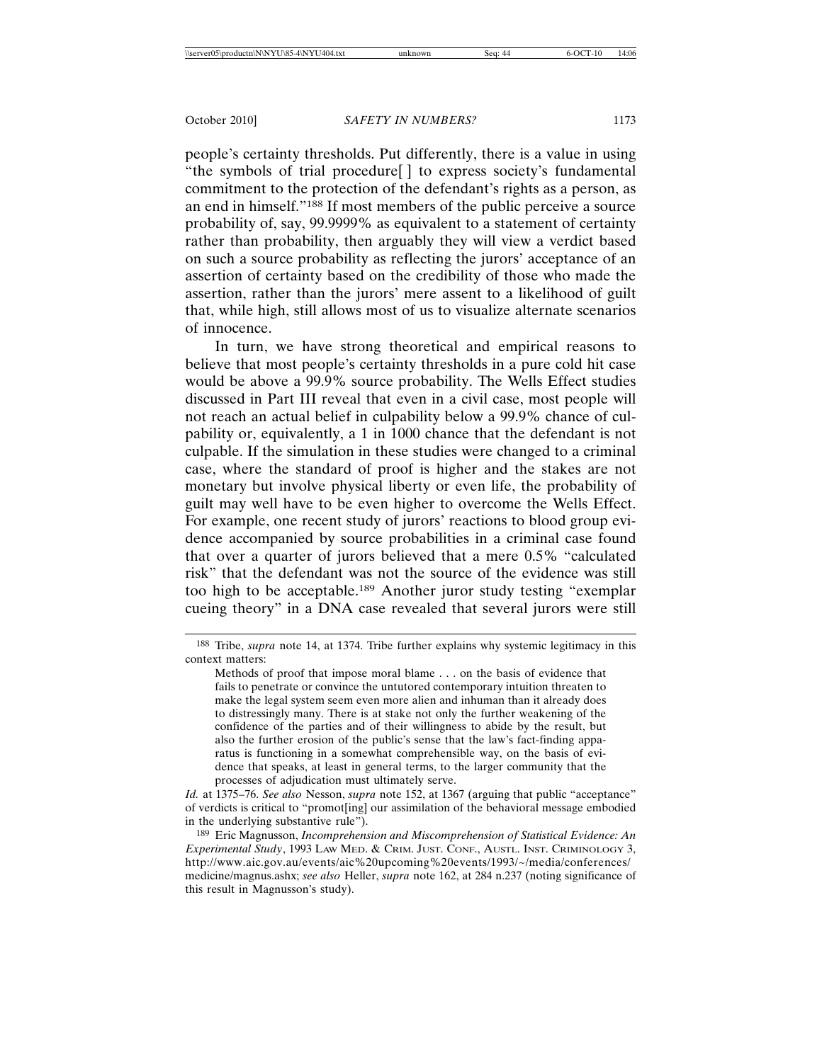people's certainty thresholds. Put differently, there is a value in using "the symbols of trial procedure[ ] to express society's fundamental commitment to the protection of the defendant's rights as a person, as an end in himself."188 If most members of the public perceive a source probability of, say, 99.9999% as equivalent to a statement of certainty rather than probability, then arguably they will view a verdict based on such a source probability as reflecting the jurors' acceptance of an assertion of certainty based on the credibility of those who made the assertion, rather than the jurors' mere assent to a likelihood of guilt that, while high, still allows most of us to visualize alternate scenarios of innocence.

In turn, we have strong theoretical and empirical reasons to believe that most people's certainty thresholds in a pure cold hit case would be above a 99.9% source probability. The Wells Effect studies discussed in Part III reveal that even in a civil case, most people will not reach an actual belief in culpability below a 99.9% chance of culpability or, equivalently, a 1 in 1000 chance that the defendant is not culpable. If the simulation in these studies were changed to a criminal case, where the standard of proof is higher and the stakes are not monetary but involve physical liberty or even life, the probability of guilt may well have to be even higher to overcome the Wells Effect. For example, one recent study of jurors' reactions to blood group evidence accompanied by source probabilities in a criminal case found that over a quarter of jurors believed that a mere 0.5% "calculated risk" that the defendant was not the source of the evidence was still too high to be acceptable.189 Another juror study testing "exemplar cueing theory" in a DNA case revealed that several jurors were still

<sup>188</sup> Tribe, *supra* note 14, at 1374. Tribe further explains why systemic legitimacy in this context matters:

Methods of proof that impose moral blame . . . on the basis of evidence that fails to penetrate or convince the untutored contemporary intuition threaten to make the legal system seem even more alien and inhuman than it already does to distressingly many. There is at stake not only the further weakening of the confidence of the parties and of their willingness to abide by the result, but also the further erosion of the public's sense that the law's fact-finding apparatus is functioning in a somewhat comprehensible way, on the basis of evidence that speaks, at least in general terms, to the larger community that the processes of adjudication must ultimately serve.

*Id.* at 1375–76. *See also* Nesson, *supra* note 152, at 1367 (arguing that public "acceptance" of verdicts is critical to "promot[ing] our assimilation of the behavioral message embodied in the underlying substantive rule").

<sup>189</sup> Eric Magnusson, *Incomprehension and Miscomprehension of Statistical Evidence: An Experimental Study*, 1993 LAW MED. & CRIM. JUST. CONF., AUSTL. INST. CRIMINOLOGY 3, http://www.aic.gov.au/events/aic%20upcoming%20events/1993/~/media/conferences/ medicine/magnus.ashx; *see also* Heller, *supra* note 162, at 284 n.237 (noting significance of this result in Magnusson's study).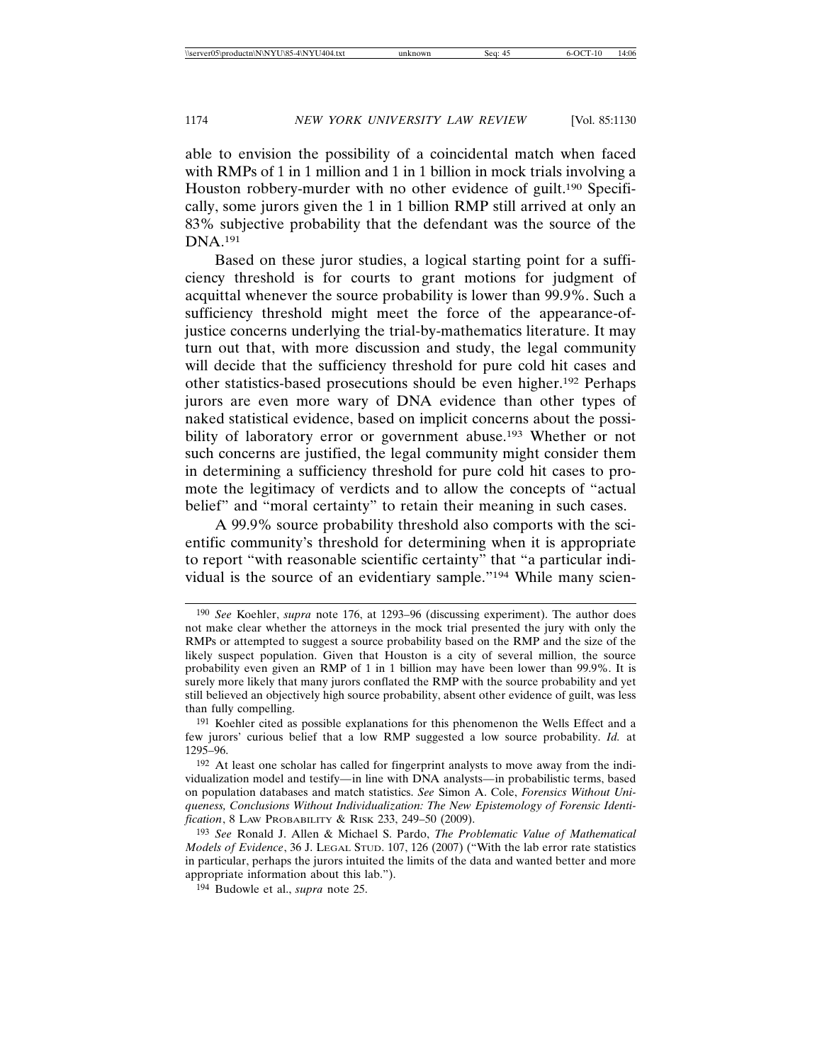able to envision the possibility of a coincidental match when faced with RMPs of 1 in 1 million and 1 in 1 billion in mock trials involving a Houston robbery-murder with no other evidence of guilt.<sup>190</sup> Specifically, some jurors given the 1 in 1 billion RMP still arrived at only an 83% subjective probability that the defendant was the source of the DNA.191

Based on these juror studies, a logical starting point for a sufficiency threshold is for courts to grant motions for judgment of acquittal whenever the source probability is lower than 99.9%. Such a sufficiency threshold might meet the force of the appearance-ofjustice concerns underlying the trial-by-mathematics literature. It may turn out that, with more discussion and study, the legal community will decide that the sufficiency threshold for pure cold hit cases and other statistics-based prosecutions should be even higher.192 Perhaps jurors are even more wary of DNA evidence than other types of naked statistical evidence, based on implicit concerns about the possibility of laboratory error or government abuse.<sup>193</sup> Whether or not such concerns are justified, the legal community might consider them in determining a sufficiency threshold for pure cold hit cases to promote the legitimacy of verdicts and to allow the concepts of "actual belief" and "moral certainty" to retain their meaning in such cases.

A 99.9% source probability threshold also comports with the scientific community's threshold for determining when it is appropriate to report "with reasonable scientific certainty" that "a particular individual is the source of an evidentiary sample."194 While many scien-

<sup>190</sup> *See* Koehler, *supra* note 176, at 1293–96 (discussing experiment). The author does not make clear whether the attorneys in the mock trial presented the jury with only the RMPs or attempted to suggest a source probability based on the RMP and the size of the likely suspect population. Given that Houston is a city of several million, the source probability even given an RMP of 1 in 1 billion may have been lower than 99.9%. It is surely more likely that many jurors conflated the RMP with the source probability and yet still believed an objectively high source probability, absent other evidence of guilt, was less than fully compelling.

<sup>191</sup> Koehler cited as possible explanations for this phenomenon the Wells Effect and a few jurors' curious belief that a low RMP suggested a low source probability. *Id.* at 1295–96.

<sup>192</sup> At least one scholar has called for fingerprint analysts to move away from the individualization model and testify*—*in line with DNA analysts*—*in probabilistic terms, based on population databases and match statistics. *See* Simon A. Cole, *Forensics Without Uniqueness, Conclusions Without Individualization: The New Epistemology of Forensic Identification*, 8 LAW PROBABILITY & RISK 233, 249–50 (2009).

<sup>193</sup> *See* Ronald J. Allen & Michael S. Pardo, *The Problematic Value of Mathematical Models of Evidence*, 36 J. LEGAL STUD. 107, 126 (2007) ("With the lab error rate statistics in particular, perhaps the jurors intuited the limits of the data and wanted better and more appropriate information about this lab.").

<sup>194</sup> Budowle et al., *supra* note 25.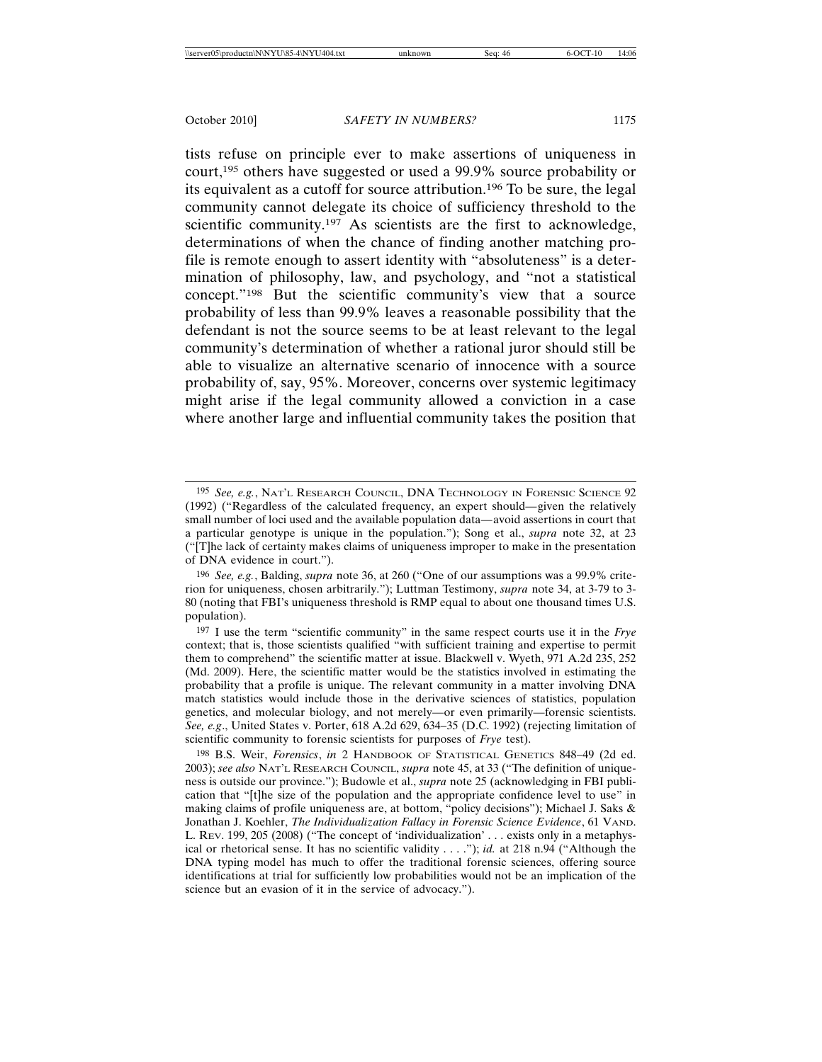tists refuse on principle ever to make assertions of uniqueness in court,195 others have suggested or used a 99.9% source probability or its equivalent as a cutoff for source attribution.196 To be sure, the legal community cannot delegate its choice of sufficiency threshold to the scientific community.<sup>197</sup> As scientists are the first to acknowledge, determinations of when the chance of finding another matching profile is remote enough to assert identity with "absoluteness" is a determination of philosophy, law, and psychology, and "not a statistical concept."198 But the scientific community's view that a source probability of less than 99.9% leaves a reasonable possibility that the defendant is not the source seems to be at least relevant to the legal community's determination of whether a rational juror should still be able to visualize an alternative scenario of innocence with a source probability of, say, 95%. Moreover, concerns over systemic legitimacy might arise if the legal community allowed a conviction in a case where another large and influential community takes the position that

<sup>195</sup> *See, e.g.*, NAT'L RESEARCH COUNCIL, DNA TECHNOLOGY IN FORENSIC SCIENCE 92 (1992) ("Regardless of the calculated frequency, an expert should*—*given the relatively small number of loci used and the available population data*—*avoid assertions in court that a particular genotype is unique in the population."); Song et al., *supra* note 32, at 23 ("[T]he lack of certainty makes claims of uniqueness improper to make in the presentation of DNA evidence in court.").

<sup>196</sup> *See, e.g.*, Balding, *supra* note 36, at 260 ("One of our assumptions was a 99.9% criterion for uniqueness, chosen arbitrarily."); Luttman Testimony, *supra* note 34, at 3-79 to 3- 80 (noting that FBI's uniqueness threshold is RMP equal to about one thousand times U.S. population).

<sup>197</sup> I use the term "scientific community" in the same respect courts use it in the *Frye* context; that is, those scientists qualified "with sufficient training and expertise to permit them to comprehend" the scientific matter at issue. Blackwell v. Wyeth, 971 A.2d 235, 252 (Md. 2009). Here, the scientific matter would be the statistics involved in estimating the probability that a profile is unique. The relevant community in a matter involving DNA match statistics would include those in the derivative sciences of statistics, population genetics, and molecular biology, and not merely—or even primarily—forensic scientists. *See, e.g*., United States v. Porter, 618 A.2d 629, 634–35 (D.C. 1992) (rejecting limitation of scientific community to forensic scientists for purposes of *Frye* test).

<sup>198</sup> B.S. Weir, *Forensics*, *in* 2 HANDBOOK OF STATISTICAL GENETICS 848–49 (2d ed. 2003); *see also* NAT'L RESEARCH COUNCIL, *supra* note 45, at 33 ("The definition of uniqueness is outside our province."); Budowle et al., *supra* note 25 (acknowledging in FBI publication that "[t]he size of the population and the appropriate confidence level to use" in making claims of profile uniqueness are, at bottom, "policy decisions"); Michael J. Saks & Jonathan J. Koehler, *The Individualization Fallacy in Forensic Science Evidence*, 61 VAND. L. REV. 199, 205 (2008) ("The concept of 'individualization' . . . exists only in a metaphysical or rhetorical sense. It has no scientific validity . . . ."); *id.* at 218 n.94 ("Although the DNA typing model has much to offer the traditional forensic sciences, offering source identifications at trial for sufficiently low probabilities would not be an implication of the science but an evasion of it in the service of advocacy.").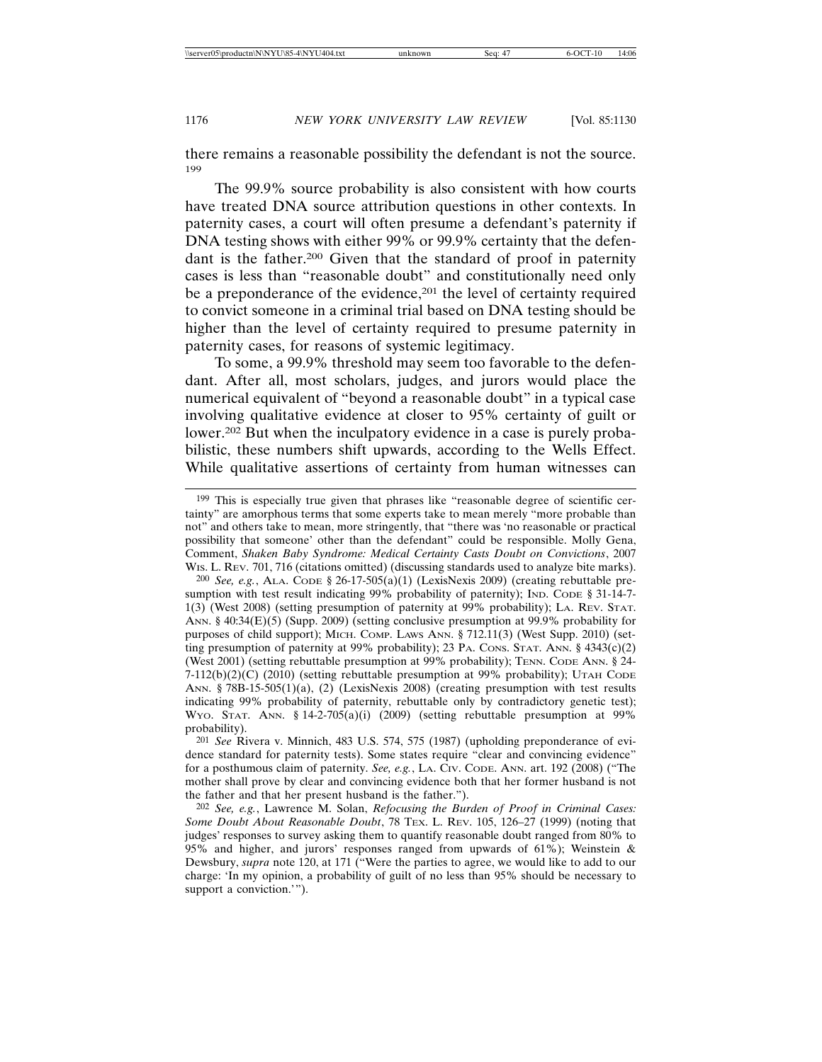there remains a reasonable possibility the defendant is not the source. 199

The 99.9% source probability is also consistent with how courts have treated DNA source attribution questions in other contexts. In paternity cases, a court will often presume a defendant's paternity if DNA testing shows with either 99% or 99.9% certainty that the defendant is the father.200 Given that the standard of proof in paternity cases is less than "reasonable doubt" and constitutionally need only be a preponderance of the evidence,<sup>201</sup> the level of certainty required to convict someone in a criminal trial based on DNA testing should be higher than the level of certainty required to presume paternity in paternity cases, for reasons of systemic legitimacy.

To some, a 99.9% threshold may seem too favorable to the defendant. After all, most scholars, judges, and jurors would place the numerical equivalent of "beyond a reasonable doubt" in a typical case involving qualitative evidence at closer to 95% certainty of guilt or lower.<sup>202</sup> But when the inculpatory evidence in a case is purely probabilistic, these numbers shift upwards, according to the Wells Effect. While qualitative assertions of certainty from human witnesses can

200 *See, e.g.*, ALA. CODE § 26-17-505(a)(1) (LexisNexis 2009) (creating rebuttable presumption with test result indicating 99% probability of paternity); IND. CODE § 31-14-7-1(3) (West 2008) (setting presumption of paternity at 99% probability); LA. REV. STAT. ANN. § 40:34(E)(5) (Supp. 2009) (setting conclusive presumption at 99.9% probability for purposes of child support); MICH. COMP. LAWS ANN. § 712.11(3) (West Supp. 2010) (setting presumption of paternity at 99% probability); 23 PA. CONS. STAT. ANN.  $\S$  4343(c)(2) (West 2001) (setting rebuttable presumption at 99% probability); TENN. CODE ANN. § 24- 7-112(b)(2)(C) (2010) (setting rebuttable presumption at 99% probability); UTAH CODE ANN. § 78B-15-505(1)(a), (2) (LexisNexis 2008) (creating presumption with test results indicating 99% probability of paternity, rebuttable only by contradictory genetic test); WYO. STAT. ANN.  $\S$  14-2-705(a)(i) (2009) (setting rebuttable presumption at 99% probability).

201 *See* Rivera v. Minnich, 483 U.S. 574, 575 (1987) (upholding preponderance of evidence standard for paternity tests). Some states require "clear and convincing evidence" for a posthumous claim of paternity. *See, e.g.*, LA. CIV. CODE. ANN. art. 192 (2008) ("The mother shall prove by clear and convincing evidence both that her former husband is not the father and that her present husband is the father.").

202 *See, e.g.*, Lawrence M. Solan, *Refocusing the Burden of Proof in Criminal Cases: Some Doubt About Reasonable Doubt*, 78 TEX. L. REV. 105, 126–27 (1999) (noting that judges' responses to survey asking them to quantify reasonable doubt ranged from 80% to 95% and higher, and jurors' responses ranged from upwards of 61%); Weinstein & Dewsbury, *supra* note 120, at 171 ("Were the parties to agree, we would like to add to our charge: 'In my opinion, a probability of guilt of no less than 95% should be necessary to support a conviction.'").

<sup>199</sup> This is especially true given that phrases like "reasonable degree of scientific certainty" are amorphous terms that some experts take to mean merely "more probable than not" and others take to mean, more stringently, that "there was 'no reasonable or practical possibility that someone' other than the defendant" could be responsible. Molly Gena, Comment, *Shaken Baby Syndrome: Medical Certainty Casts Doubt on Convictions*, 2007 WIS. L. REV. 701, 716 (citations omitted) (discussing standards used to analyze bite marks).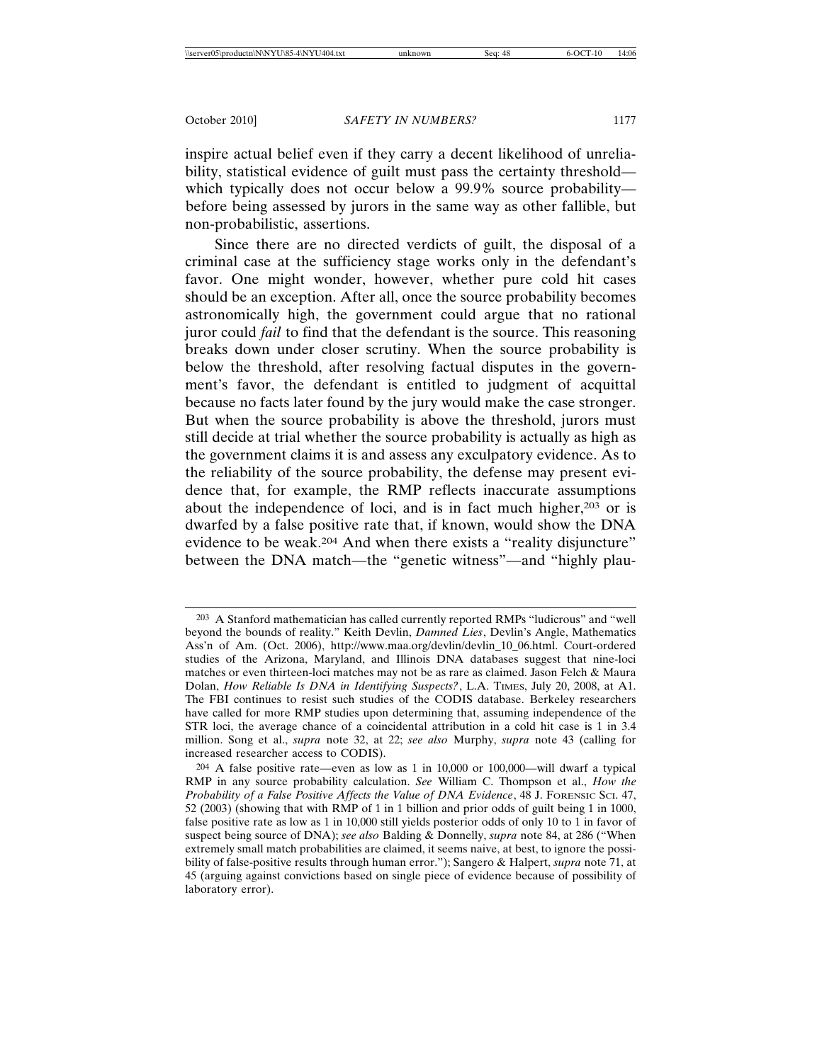inspire actual belief even if they carry a decent likelihood of unreliability, statistical evidence of guilt must pass the certainty threshold which typically does not occur below a 99.9% source probability before being assessed by jurors in the same way as other fallible, but non-probabilistic, assertions.

Since there are no directed verdicts of guilt, the disposal of a criminal case at the sufficiency stage works only in the defendant's favor. One might wonder, however, whether pure cold hit cases should be an exception. After all, once the source probability becomes astronomically high, the government could argue that no rational juror could *fail* to find that the defendant is the source. This reasoning breaks down under closer scrutiny. When the source probability is below the threshold, after resolving factual disputes in the government's favor, the defendant is entitled to judgment of acquittal because no facts later found by the jury would make the case stronger. But when the source probability is above the threshold, jurors must still decide at trial whether the source probability is actually as high as the government claims it is and assess any exculpatory evidence. As to the reliability of the source probability, the defense may present evidence that, for example, the RMP reflects inaccurate assumptions about the independence of loci, and is in fact much higher,  $203$  or is dwarfed by a false positive rate that, if known, would show the DNA evidence to be weak.<sup>204</sup> And when there exists a "reality disjuncture" between the DNA match—the "genetic witness"—and "highly plau-

<sup>203</sup> A Stanford mathematician has called currently reported RMPs "ludicrous" and "well beyond the bounds of reality." Keith Devlin, *Damned Lies*, Devlin's Angle, Mathematics Ass'n of Am. (Oct. 2006), http://www.maa.org/devlin/devlin\_10\_06.html. Court-ordered studies of the Arizona, Maryland, and Illinois DNA databases suggest that nine-loci matches or even thirteen-loci matches may not be as rare as claimed. Jason Felch & Maura Dolan, *How Reliable Is DNA in Identifying Suspects?*, L.A. TIMES, July 20, 2008, at A1. The FBI continues to resist such studies of the CODIS database. Berkeley researchers have called for more RMP studies upon determining that, assuming independence of the STR loci, the average chance of a coincidental attribution in a cold hit case is 1 in 3.4 million. Song et al., *supra* note 32, at 22; *see also* Murphy, *supra* note 43 (calling for increased researcher access to CODIS).

<sup>204</sup> A false positive rate—even as low as 1 in 10,000 or 100,000—will dwarf a typical RMP in any source probability calculation. *See* William C. Thompson et al., *How the Probability of a False Positive Affects the Value of DNA Evidence*, 48 J. FORENSIC SCI. 47, 52 (2003) (showing that with RMP of 1 in 1 billion and prior odds of guilt being 1 in 1000, false positive rate as low as 1 in 10,000 still yields posterior odds of only 10 to 1 in favor of suspect being source of DNA); *see also* Balding & Donnelly, *supra* note 84, at 286 ("When extremely small match probabilities are claimed, it seems naive, at best, to ignore the possibility of false-positive results through human error."); Sangero & Halpert, *supra* note 71, at 45 (arguing against convictions based on single piece of evidence because of possibility of laboratory error).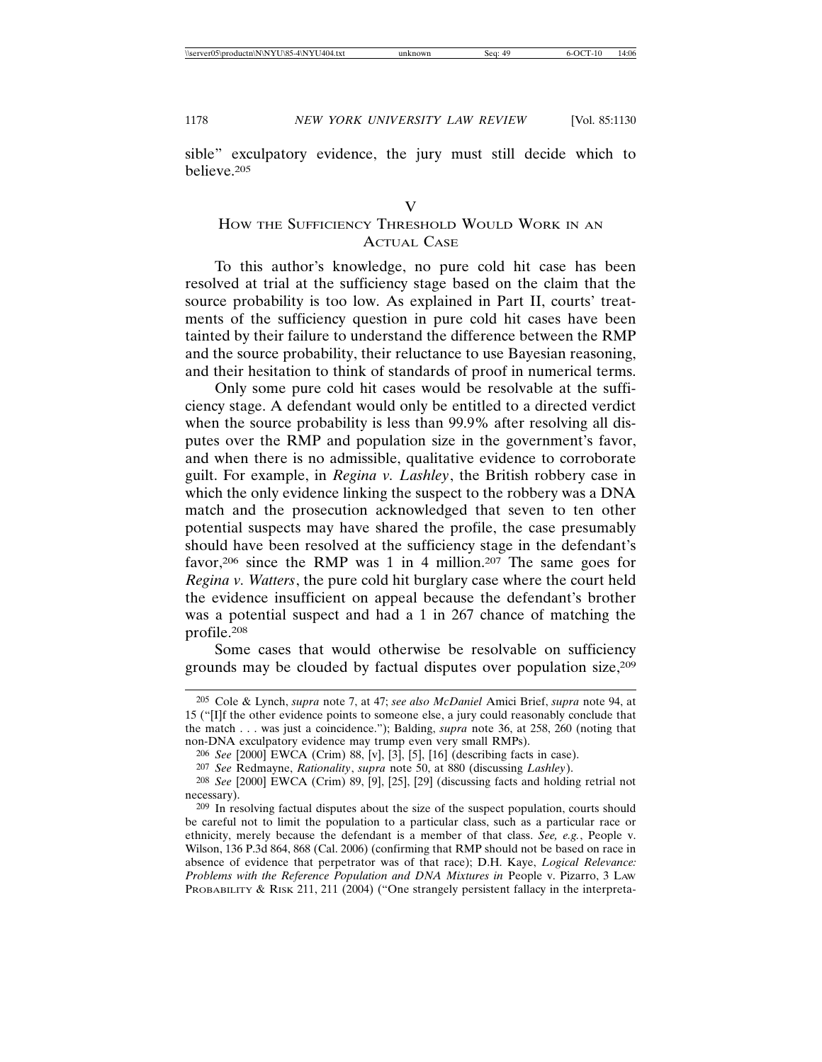sible" exculpatory evidence, the jury must still decide which to believe.205

# HOW THE SUFFICIENCY THRESHOLD WOULD WORK IN AN ACTUAL CASE

To this author's knowledge, no pure cold hit case has been resolved at trial at the sufficiency stage based on the claim that the source probability is too low. As explained in Part II, courts' treatments of the sufficiency question in pure cold hit cases have been tainted by their failure to understand the difference between the RMP and the source probability, their reluctance to use Bayesian reasoning, and their hesitation to think of standards of proof in numerical terms.

Only some pure cold hit cases would be resolvable at the sufficiency stage. A defendant would only be entitled to a directed verdict when the source probability is less than 99.9% after resolving all disputes over the RMP and population size in the government's favor, and when there is no admissible, qualitative evidence to corroborate guilt. For example, in *Regina v. Lashley*, the British robbery case in which the only evidence linking the suspect to the robbery was a DNA match and the prosecution acknowledged that seven to ten other potential suspects may have shared the profile, the case presumably should have been resolved at the sufficiency stage in the defendant's favor,<sup>206</sup> since the RMP was 1 in 4 million.<sup>207</sup> The same goes for *Regina v. Watters*, the pure cold hit burglary case where the court held the evidence insufficient on appeal because the defendant's brother was a potential suspect and had a 1 in 267 chance of matching the profile.208

Some cases that would otherwise be resolvable on sufficiency grounds may be clouded by factual disputes over population size,<sup>209</sup>

207 *See* Redmayne, *Rationality*, *supra* note 50, at 880 (discussing *Lashley*).

<sup>205</sup> Cole & Lynch, *supra* note 7, at 47; *see also McDaniel* Amici Brief, *supra* note 94, at 15 ("[I]f the other evidence points to someone else, a jury could reasonably conclude that the match . . . was just a coincidence."); Balding, *supra* note 36, at 258, 260 (noting that non-DNA exculpatory evidence may trump even very small RMPs).

<sup>206</sup> *See* [2000] EWCA (Crim) 88, [v], [3], [5], [16] (describing facts in case).

<sup>208</sup> *See* [2000] EWCA (Crim) 89, [9], [25], [29] (discussing facts and holding retrial not necessary).

<sup>209</sup> In resolving factual disputes about the size of the suspect population, courts should be careful not to limit the population to a particular class, such as a particular race or ethnicity, merely because the defendant is a member of that class. *See, e.g.*, People v. Wilson, 136 P.3d 864, 868 (Cal. 2006) (confirming that RMP should not be based on race in absence of evidence that perpetrator was of that race); D.H. Kaye, *Logical Relevance: Problems with the Reference Population and DNA Mixtures in* People v. Pizarro, 3 LAW PROBABILITY & RISK 211, 211 (2004) ("One strangely persistent fallacy in the interpreta-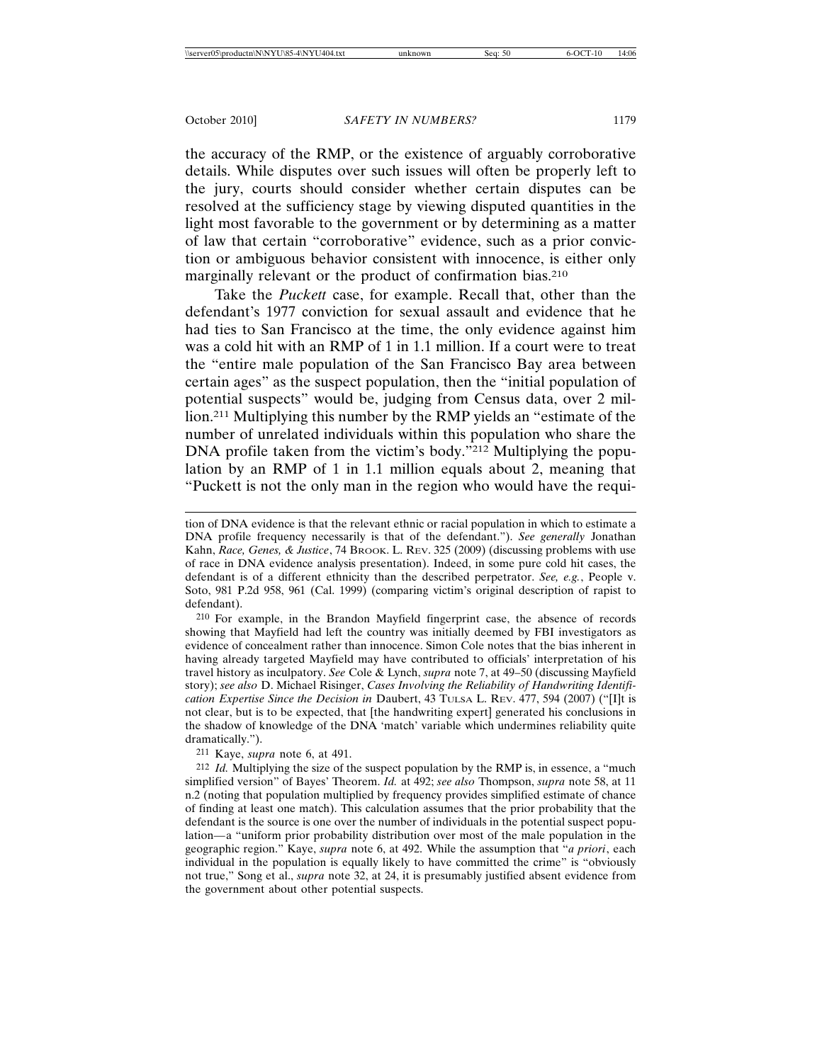the accuracy of the RMP, or the existence of arguably corroborative details. While disputes over such issues will often be properly left to the jury, courts should consider whether certain disputes can be resolved at the sufficiency stage by viewing disputed quantities in the light most favorable to the government or by determining as a matter of law that certain "corroborative" evidence, such as a prior conviction or ambiguous behavior consistent with innocence, is either only marginally relevant or the product of confirmation bias.210

Take the *Puckett* case, for example. Recall that, other than the defendant's 1977 conviction for sexual assault and evidence that he had ties to San Francisco at the time, the only evidence against him was a cold hit with an RMP of 1 in 1.1 million. If a court were to treat the "entire male population of the San Francisco Bay area between certain ages" as the suspect population, then the "initial population of potential suspects" would be, judging from Census data, over 2 million.211 Multiplying this number by the RMP yields an "estimate of the number of unrelated individuals within this population who share the DNA profile taken from the victim's body."<sup>212</sup> Multiplying the population by an RMP of 1 in 1.1 million equals about 2, meaning that "Puckett is not the only man in the region who would have the requi-

211 Kaye, *supra* note 6, at 491.

tion of DNA evidence is that the relevant ethnic or racial population in which to estimate a DNA profile frequency necessarily is that of the defendant."). *See generally* Jonathan Kahn, Race, Genes, & Justice, 74 BROOK. L. REV. 325 (2009) (discussing problems with use of race in DNA evidence analysis presentation). Indeed, in some pure cold hit cases, the defendant is of a different ethnicity than the described perpetrator. *See, e.g.*, People v. Soto, 981 P.2d 958, 961 (Cal. 1999) (comparing victim's original description of rapist to defendant).

<sup>210</sup> For example, in the Brandon Mayfield fingerprint case, the absence of records showing that Mayfield had left the country was initially deemed by FBI investigators as evidence of concealment rather than innocence. Simon Cole notes that the bias inherent in having already targeted Mayfield may have contributed to officials' interpretation of his travel history as inculpatory. *See* Cole & Lynch, *supra* note 7, at 49–50 (discussing Mayfield story); *see also* D. Michael Risinger, *Cases Involving the Reliability of Handwriting Identification Expertise Since the Decision in* Daubert, 43 TULSA L. REV. 477, 594 (2007) ("[I]t is not clear, but is to be expected, that [the handwriting expert] generated his conclusions in the shadow of knowledge of the DNA 'match' variable which undermines reliability quite dramatically.").

<sup>212</sup> *Id.* Multiplying the size of the suspect population by the RMP is, in essence, a "much simplified version" of Bayes' Theorem. *Id.* at 492; *see also* Thompson, *supra* note 58, at 11 n.2 (noting that population multiplied by frequency provides simplified estimate of chance of finding at least one match). This calculation assumes that the prior probability that the defendant is the source is one over the number of individuals in the potential suspect population*—*a "uniform prior probability distribution over most of the male population in the geographic region." Kaye, *supra* note 6, at 492. While the assumption that "*a priori*, each individual in the population is equally likely to have committed the crime" is "obviously not true," Song et al., *supra* note 32, at 24, it is presumably justified absent evidence from the government about other potential suspects.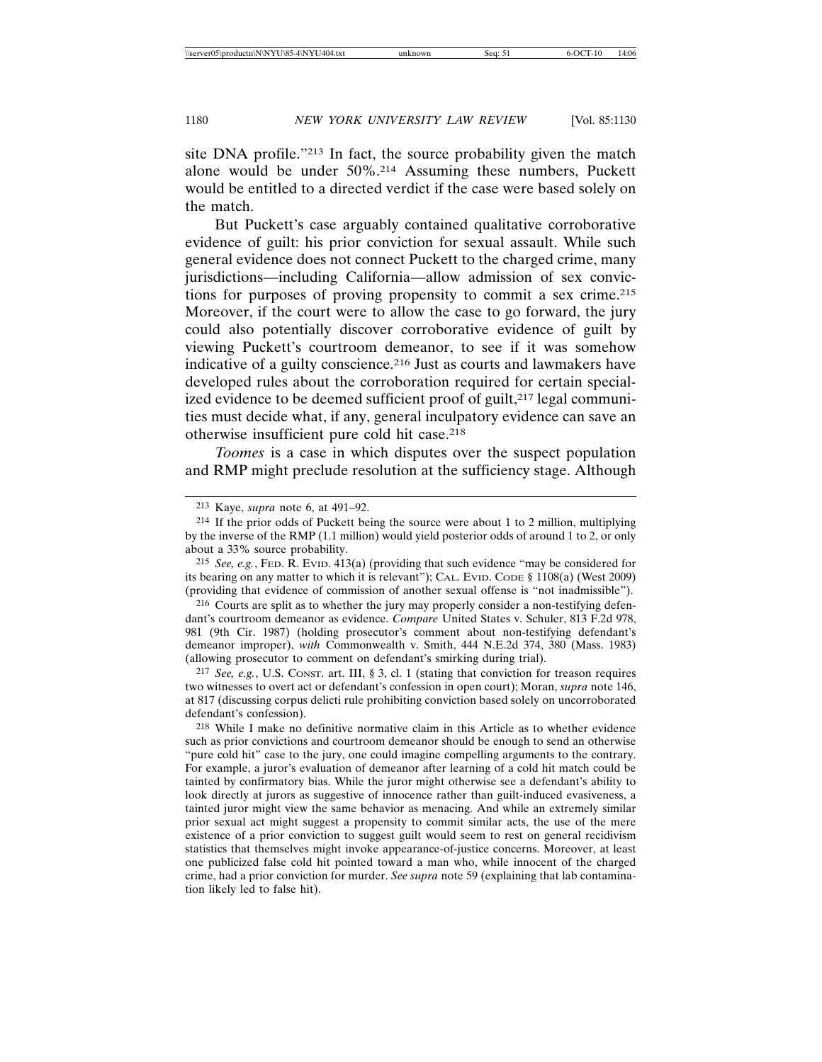site DNA profile."213 In fact, the source probability given the match alone would be under 50%.214 Assuming these numbers, Puckett would be entitled to a directed verdict if the case were based solely on the match.

But Puckett's case arguably contained qualitative corroborative evidence of guilt: his prior conviction for sexual assault. While such general evidence does not connect Puckett to the charged crime, many jurisdictions—including California—allow admission of sex convictions for purposes of proving propensity to commit a sex crime.215 Moreover, if the court were to allow the case to go forward, the jury could also potentially discover corroborative evidence of guilt by viewing Puckett's courtroom demeanor, to see if it was somehow indicative of a guilty conscience.<sup>216</sup> Just as courts and lawmakers have developed rules about the corroboration required for certain specialized evidence to be deemed sufficient proof of guilt,<sup>217</sup> legal communities must decide what, if any, general inculpatory evidence can save an otherwise insufficient pure cold hit case.218

*Toomes* is a case in which disputes over the suspect population and RMP might preclude resolution at the sufficiency stage. Although

215 *See, e.g.*, FED. R. EVID. 413(a) (providing that such evidence "may be considered for its bearing on any matter to which it is relevant"); CAL. EVID. CODE § 1108(a) (West 2009) (providing that evidence of commission of another sexual offense is "not inadmissible").

216 Courts are split as to whether the jury may properly consider a non-testifying defendant's courtroom demeanor as evidence. *Compare* United States v. Schuler, 813 F.2d 978, 981 (9th Cir. 1987) (holding prosecutor's comment about non-testifying defendant's demeanor improper), *with* Commonwealth v. Smith, 444 N.E.2d 374, 380 (Mass. 1983) (allowing prosecutor to comment on defendant's smirking during trial).

217 *See, e.g.*, U.S. CONST. art. III, § 3, cl. 1 (stating that conviction for treason requires two witnesses to overt act or defendant's confession in open court); Moran, *supra* note 146, at 817 (discussing corpus delicti rule prohibiting conviction based solely on uncorroborated defendant's confession).

218 While I make no definitive normative claim in this Article as to whether evidence such as prior convictions and courtroom demeanor should be enough to send an otherwise "pure cold hit" case to the jury, one could imagine compelling arguments to the contrary. For example, a juror's evaluation of demeanor after learning of a cold hit match could be tainted by confirmatory bias. While the juror might otherwise see a defendant's ability to look directly at jurors as suggestive of innocence rather than guilt-induced evasiveness, a tainted juror might view the same behavior as menacing. And while an extremely similar prior sexual act might suggest a propensity to commit similar acts, the use of the mere existence of a prior conviction to suggest guilt would seem to rest on general recidivism statistics that themselves might invoke appearance-of-justice concerns. Moreover, at least one publicized false cold hit pointed toward a man who, while innocent of the charged crime, had a prior conviction for murder. *See supra* note 59 (explaining that lab contamination likely led to false hit).

<sup>213</sup> Kaye, *supra* note 6, at 491–92.

<sup>214</sup> If the prior odds of Puckett being the source were about 1 to 2 million, multiplying by the inverse of the RMP (1.1 million) would yield posterior odds of around 1 to 2, or only about a 33% source probability.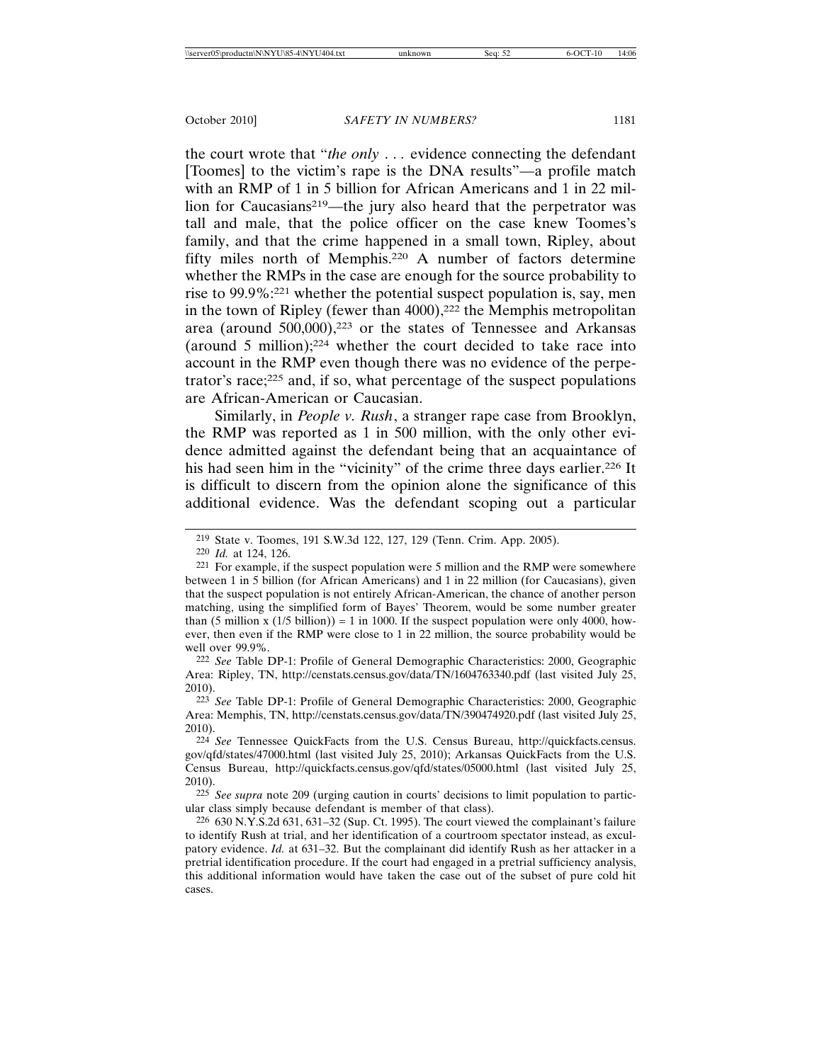the court wrote that "*the only* . . *.* evidence connecting the defendant [Toomes] to the victim's rape is the DNA results"—a profile match with an RMP of 1 in 5 billion for African Americans and 1 in 22 million for Caucasians<sup>219</sup>—the jury also heard that the perpetrator was tall and male, that the police officer on the case knew Toomes's family, and that the crime happened in a small town, Ripley, about fifty miles north of Memphis.220 A number of factors determine whether the RMPs in the case are enough for the source probability to rise to 99.9%:221 whether the potential suspect population is, say, men in the town of Ripley (fewer than 4000),<sup>222</sup> the Memphis metropolitan area (around 500,000),223 or the states of Tennessee and Arkansas (around 5 million);224 whether the court decided to take race into account in the RMP even though there was no evidence of the perpetrator's race; $225$  and, if so, what percentage of the suspect populations are African-American or Caucasian.

Similarly, in *People v. Rush*, a stranger rape case from Brooklyn, the RMP was reported as 1 in 500 million, with the only other evidence admitted against the defendant being that an acquaintance of his had seen him in the "vicinity" of the crime three days earlier.<sup>226</sup> It is difficult to discern from the opinion alone the significance of this additional evidence. Was the defendant scoping out a particular

222 *See* Table DP-1: Profile of General Demographic Characteristics: 2000, Geographic Area: Ripley, TN, http://censtats.census.gov/data/TN/1604763340.pdf (last visited July 25, 2010).

223 *See* Table DP-1: Profile of General Demographic Characteristics: 2000, Geographic Area: Memphis, TN, http://censtats.census.gov/data/TN/390474920.pdf (last visited July 25, 2010).

224 *See* Tennessee QuickFacts from the U.S. Census Bureau, http://quickfacts.census. gov/qfd/states/47000.html (last visited July 25, 2010); Arkansas QuickFacts from the U.S. Census Bureau, http://quickfacts.census.gov/qfd/states/05000.html (last visited July 25, 2010).

225 *See supra* note 209 (urging caution in courts' decisions to limit population to particular class simply because defendant is member of that class).

226 630 N.Y.S.2d 631, 631–32 (Sup. Ct. 1995). The court viewed the complainant's failure to identify Rush at trial, and her identification of a courtroom spectator instead, as exculpatory evidence. *Id.* at 631–32. But the complainant did identify Rush as her attacker in a pretrial identification procedure. If the court had engaged in a pretrial sufficiency analysis, this additional information would have taken the case out of the subset of pure cold hit cases.

<sup>219</sup> State v. Toomes, 191 S.W.3d 122, 127, 129 (Tenn. Crim. App. 2005).

<sup>220</sup> *Id.* at 124, 126.

<sup>221</sup> For example, if the suspect population were 5 million and the RMP were somewhere between 1 in 5 billion (for African Americans) and 1 in 22 million (for Caucasians), given that the suspect population is not entirely African-American, the chance of another person matching, using the simplified form of Bayes' Theorem, would be some number greater than (5 million x  $(1/5 \text{ billion}) = 1$  in 1000. If the suspect population were only 4000, however, then even if the RMP were close to 1 in 22 million, the source probability would be well over 99.9%.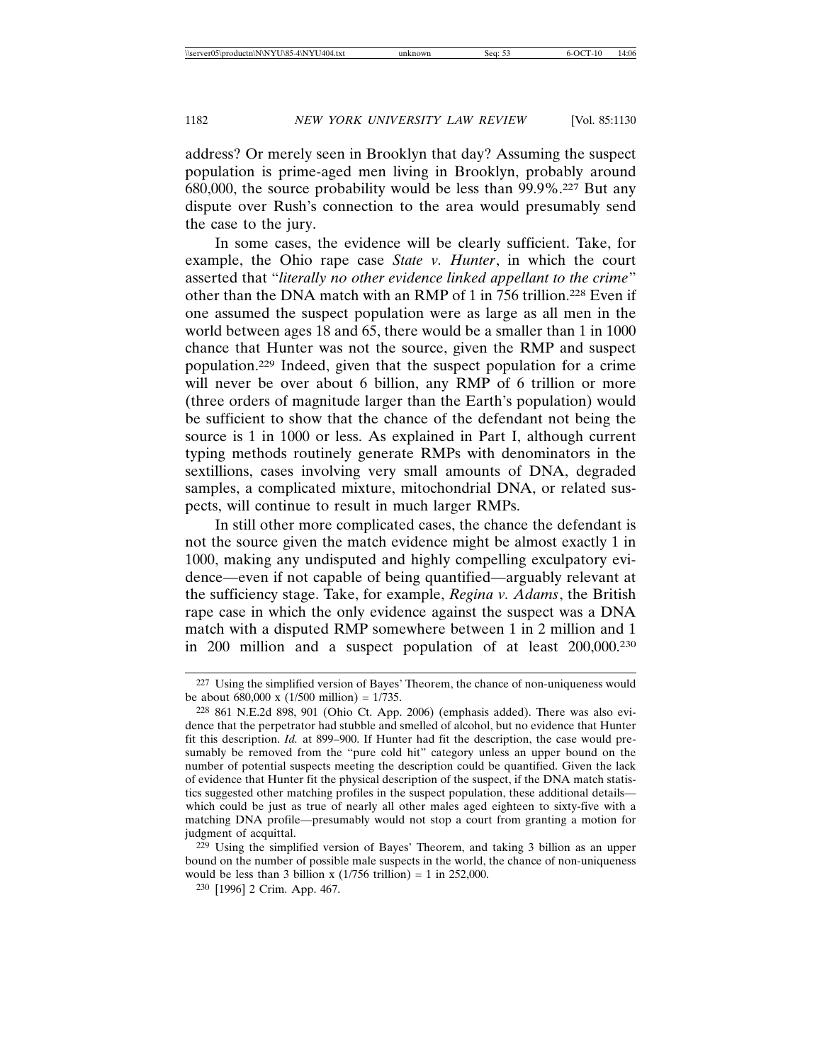address? Or merely seen in Brooklyn that day? Assuming the suspect population is prime-aged men living in Brooklyn, probably around 680,000, the source probability would be less than 99.9%.227 But any dispute over Rush's connection to the area would presumably send the case to the jury.

In some cases, the evidence will be clearly sufficient. Take, for example, the Ohio rape case *State v. Hunter*, in which the court asserted that "*literally no other evidence linked appellant to the crime*" other than the DNA match with an RMP of 1 in 756 trillion.228 Even if one assumed the suspect population were as large as all men in the world between ages 18 and 65, there would be a smaller than 1 in 1000 chance that Hunter was not the source, given the RMP and suspect population.229 Indeed, given that the suspect population for a crime will never be over about 6 billion, any RMP of 6 trillion or more (three orders of magnitude larger than the Earth's population) would be sufficient to show that the chance of the defendant not being the source is 1 in 1000 or less. As explained in Part I, although current typing methods routinely generate RMPs with denominators in the sextillions, cases involving very small amounts of DNA, degraded samples, a complicated mixture, mitochondrial DNA, or related suspects, will continue to result in much larger RMPs.

In still other more complicated cases, the chance the defendant is not the source given the match evidence might be almost exactly 1 in 1000, making any undisputed and highly compelling exculpatory evidence—even if not capable of being quantified—arguably relevant at the sufficiency stage. Take, for example, *Regina v. Adams*, the British rape case in which the only evidence against the suspect was a DNA match with a disputed RMP somewhere between 1 in 2 million and 1 in 200 million and a suspect population of at least 200,000.230

229 Using the simplified version of Bayes' Theorem, and taking 3 billion as an upper bound on the number of possible male suspects in the world, the chance of non-uniqueness would be less than 3 billion x  $(1/756 \text{ trillion}) = 1$  in 252,000.

<sup>227</sup> Using the simplified version of Bayes' Theorem, the chance of non-uniqueness would be about 680,000 x  $(1/500 \text{ million}) = 1/735$ .

<sup>228</sup> 861 N.E.2d 898, 901 (Ohio Ct. App. 2006) (emphasis added). There was also evidence that the perpetrator had stubble and smelled of alcohol, but no evidence that Hunter fit this description. *Id.* at 899–900. If Hunter had fit the description, the case would presumably be removed from the "pure cold hit" category unless an upper bound on the number of potential suspects meeting the description could be quantified. Given the lack of evidence that Hunter fit the physical description of the suspect, if the DNA match statistics suggested other matching profiles in the suspect population, these additional details which could be just as true of nearly all other males aged eighteen to sixty-five with a matching DNA profile—presumably would not stop a court from granting a motion for judgment of acquittal.

<sup>230</sup> [1996] 2 Crim. App. 467.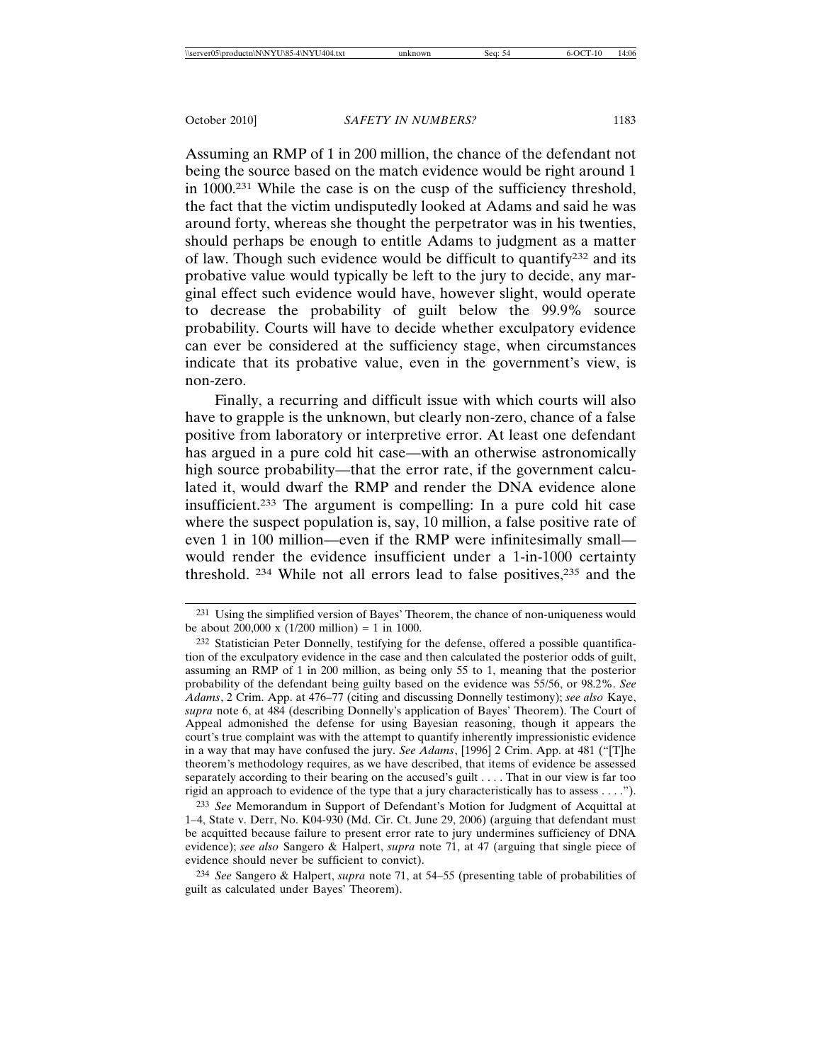Assuming an RMP of 1 in 200 million, the chance of the defendant not being the source based on the match evidence would be right around 1 in 1000.231 While the case is on the cusp of the sufficiency threshold, the fact that the victim undisputedly looked at Adams and said he was around forty, whereas she thought the perpetrator was in his twenties, should perhaps be enough to entitle Adams to judgment as a matter of law. Though such evidence would be difficult to quantify $2^{32}$  and its probative value would typically be left to the jury to decide, any marginal effect such evidence would have, however slight, would operate to decrease the probability of guilt below the 99.9% source probability. Courts will have to decide whether exculpatory evidence can ever be considered at the sufficiency stage, when circumstances indicate that its probative value, even in the government's view, is non-zero.

Finally, a recurring and difficult issue with which courts will also have to grapple is the unknown, but clearly non-zero, chance of a false positive from laboratory or interpretive error. At least one defendant has argued in a pure cold hit case—with an otherwise astronomically high source probability—that the error rate, if the government calculated it, would dwarf the RMP and render the DNA evidence alone insufficient.233 The argument is compelling: In a pure cold hit case where the suspect population is, say, 10 million, a false positive rate of even 1 in 100 million—even if the RMP were infinitesimally small would render the evidence insufficient under a 1-in-1000 certainty threshold. 234 While not all errors lead to false positives,235 and the

233 *See* Memorandum in Support of Defendant's Motion for Judgment of Acquittal at 1–4, State v. Derr, No. K04-930 (Md. Cir. Ct. June 29, 2006) (arguing that defendant must be acquitted because failure to present error rate to jury undermines sufficiency of DNA evidence); *see also* Sangero & Halpert, *supra* note 71, at 47 (arguing that single piece of evidence should never be sufficient to convict).

234 *See* Sangero & Halpert, *supra* note 71, at 54–55 (presenting table of probabilities of guilt as calculated under Bayes' Theorem).

<sup>231</sup> Using the simplified version of Bayes' Theorem, the chance of non-uniqueness would be about 200,000 x  $(1/200 \text{ million}) = 1 \text{ in } 1000$ .

<sup>232</sup> Statistician Peter Donnelly, testifying for the defense, offered a possible quantification of the exculpatory evidence in the case and then calculated the posterior odds of guilt, assuming an RMP of 1 in 200 million, as being only 55 to 1, meaning that the posterior probability of the defendant being guilty based on the evidence was 55/56, or 98.2%. *See Adams*, 2 Crim. App. at 476–77 (citing and discussing Donnelly testimony); *see also* Kaye, *supra* note 6, at 484 (describing Donnelly's application of Bayes' Theorem). The Court of Appeal admonished the defense for using Bayesian reasoning, though it appears the court's true complaint was with the attempt to quantify inherently impressionistic evidence in a way that may have confused the jury. *See Adams*, [1996] 2 Crim. App. at 481 ("[T]he theorem's methodology requires, as we have described, that items of evidence be assessed separately according to their bearing on the accused's guilt . . . . That in our view is far too rigid an approach to evidence of the type that a jury characteristically has to assess . . . .").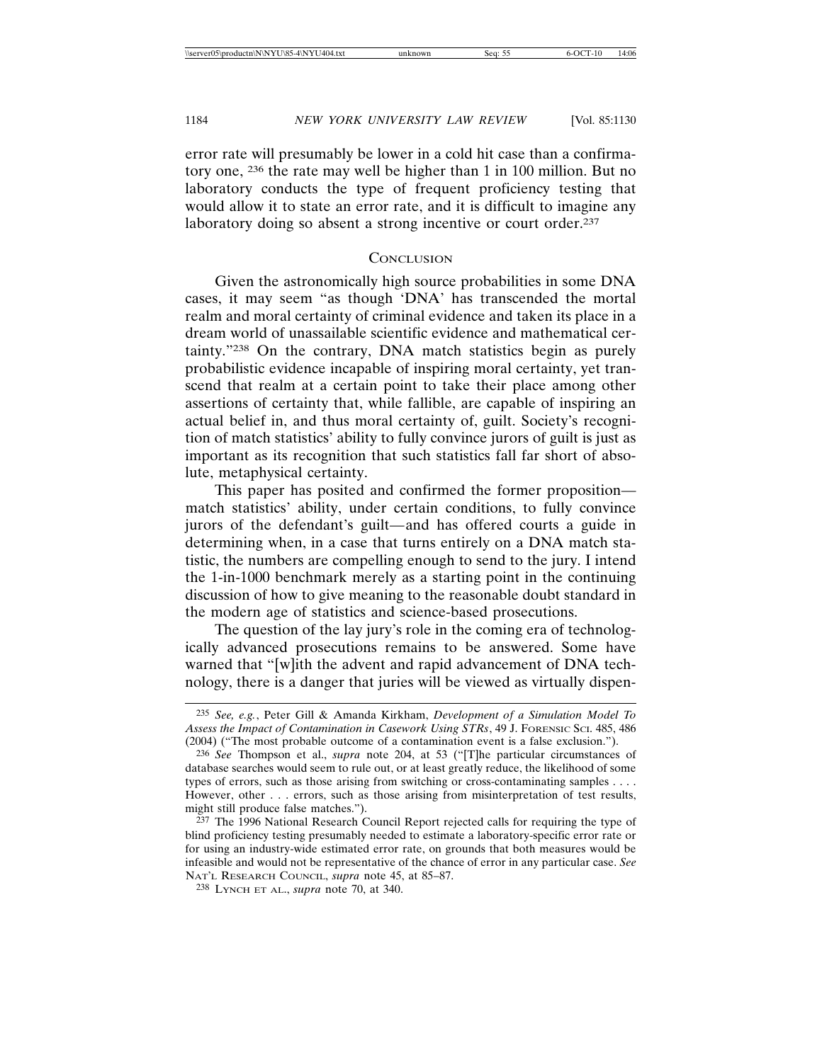error rate will presumably be lower in a cold hit case than a confirmatory one, 236 the rate may well be higher than 1 in 100 million. But no laboratory conducts the type of frequent proficiency testing that would allow it to state an error rate, and it is difficult to imagine any laboratory doing so absent a strong incentive or court order.<sup>237</sup>

#### **CONCLUSION**

Given the astronomically high source probabilities in some DNA cases, it may seem "as though 'DNA' has transcended the mortal realm and moral certainty of criminal evidence and taken its place in a dream world of unassailable scientific evidence and mathematical certainty."238 On the contrary, DNA match statistics begin as purely probabilistic evidence incapable of inspiring moral certainty, yet transcend that realm at a certain point to take their place among other assertions of certainty that, while fallible, are capable of inspiring an actual belief in, and thus moral certainty of, guilt. Society's recognition of match statistics' ability to fully convince jurors of guilt is just as important as its recognition that such statistics fall far short of absolute, metaphysical certainty.

This paper has posited and confirmed the former proposition match statistics' ability, under certain conditions, to fully convince jurors of the defendant's guilt*—*and has offered courts a guide in determining when, in a case that turns entirely on a DNA match statistic, the numbers are compelling enough to send to the jury. I intend the 1-in-1000 benchmark merely as a starting point in the continuing discussion of how to give meaning to the reasonable doubt standard in the modern age of statistics and science-based prosecutions.

The question of the lay jury's role in the coming era of technologically advanced prosecutions remains to be answered. Some have warned that "[w]ith the advent and rapid advancement of DNA technology, there is a danger that juries will be viewed as virtually dispen-

<sup>235</sup> *See, e.g.*, Peter Gill & Amanda Kirkham, *Development of a Simulation Model To Assess the Impact of Contamination in Casework Using STRs*, 49 J. FORENSIC SCI. 485, 486 (2004) ("The most probable outcome of a contamination event is a false exclusion.").

<sup>236</sup> *See* Thompson et al., *supra* note 204, at 53 ("[T]he particular circumstances of database searches would seem to rule out, or at least greatly reduce, the likelihood of some types of errors, such as those arising from switching or cross-contaminating samples . . . . However, other . . . errors, such as those arising from misinterpretation of test results, might still produce false matches.").

<sup>&</sup>lt;sup>237</sup> The 1996 National Research Council Report rejected calls for requiring the type of blind proficiency testing presumably needed to estimate a laboratory-specific error rate or for using an industry-wide estimated error rate, on grounds that both measures would be infeasible and would not be representative of the chance of error in any particular case. *See* NAT'L RESEARCH COUNCIL, *supra* note 45, at 85–87.

<sup>238</sup> LYNCH ET AL., *supra* note 70, at 340.